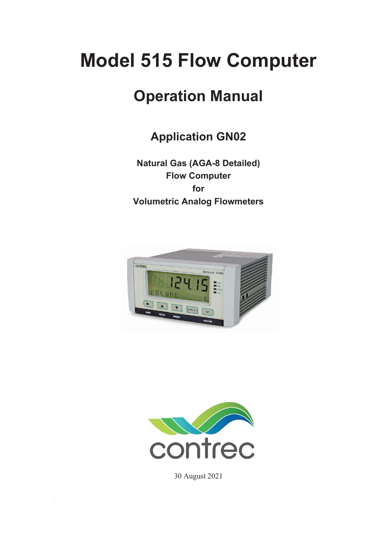# **Model 515 Flow Computer**

# **Operation Manual**

# **Application GN02**

**Natural Gas (AGA-8 Detailed) Flow Computer for Volumetric Analog Flowmeters** 





30 August 2021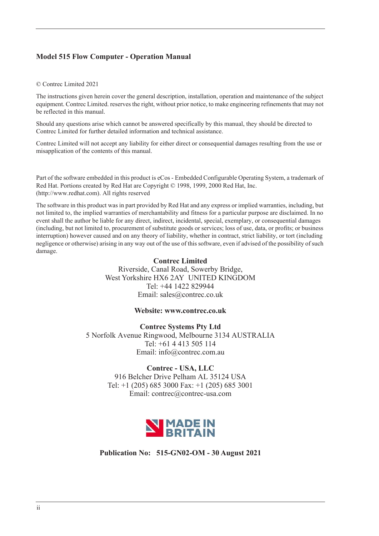### **Model 515 Flow Computer - Operation Manual**

#### © Contrec Limited 2021

The instructions given herein cover the general description, installation, operation and maintenance of the subject equipment. Contrec Limited. reserves the right, without prior notice, to make engineering refinements that may not be reflected in this manual.

Should any questions arise which cannot be answered specifically by this manual, they should be directed to Contrec Limited for further detailed information and technical assistance.

Contrec Limited will not accept any liability for either direct or consequential damages resulting from the use or misapplication of the contents of this manual.

Part of the software embedded in this product is eCos - Embedded Configurable Operating System, a trademark of Red Hat. Portions created by Red Hat are Copyright © 1998, 1999, 2000 Red Hat, Inc. (http://www.redhat.com). All rights reserved

The software in this product was in part provided by Red Hat and any express or implied warranties, including, but not limited to, the implied warranties of merchantability and fitness for a particular purpose are disclaimed. In no event shall the author be liable for any direct, indirect, incidental, special, exemplary, or consequential damages (including, but not limited to, procurement of substitute goods or services; loss of use, data, or profits; or business interruption) however caused and on any theory of liability, whether in contract, strict liability, or tort (including negligence or otherwise) arising in any way out of the use of this software, even if advised of the possibility of such damage.

#### **Contrec Limited**

Riverside, Canal Road, Sowerby Bridge, West Yorkshire HX6 2AY UNITED KINGDOM Tel: +44 1422 829944 Email: sales@contrec.co.uk

#### **Website: www.contrec.co.uk**

**Contrec Systems Pty Ltd** 5 Norfolk Avenue Ringwood, Melbourne 3134 AUSTRALIA Tel: +61 4 413 505 114 Email: info@contrec.com.au

#### **Contrec - USA, LLC**

916 Belcher Drive Pelham AL 35124 USA Tel: +1 (205) 685 3000 Fax: +1 (205) 685 3001 Email: contrec@contrec-usa.com



**Publication No: 515-GN02-OM - 30 August 2021**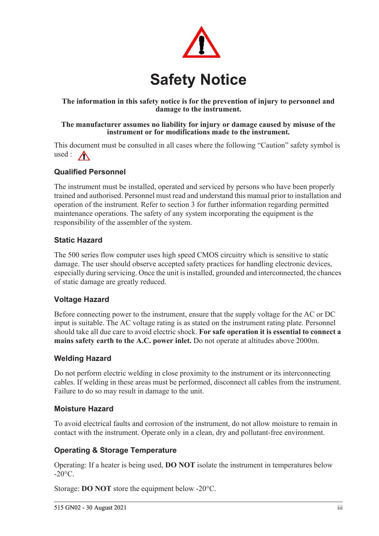

### **The information in this safety notice is for the prevention of injury to personnel and damage to the instrument.**

### **The manufacturer assumes no liability for injury or damage caused by misuse of the instrument or for modifications made to the instrument.**

This document must be consulted in all cases where the following "Caution" safety symbol is used :  $\bigwedge$ 

### **Qualified Personnel**

The instrument must be installed, operated and serviced by persons who have been properly trained and authorised. Personnel must read and understand this manual prior to installation and operation of the instrument. Refer to section 3 for further information regarding permitted maintenance operations. The safety of any system incorporating the equipment is the responsibility of the assembler of the system.

### **Static Hazard**

The 500 series flow computer uses high speed CMOS circuitry which is sensitive to static damage. The user should observe accepted safety practices for handling electronic devices, especially during servicing. Once the unit is installed, grounded and interconnected, the chances of static damage are greatly reduced.

### **Voltage Hazard**

Before connecting power to the instrument, ensure that the supply voltage for the AC or DC input is suitable. The AC voltage rating is as stated on the instrument rating plate. Personnel should take all due care to avoid electric shock. **For safe operation it is essential to connect a mains safety earth to the A.C. power inlet.** Do not operate at altitudes above 2000m.

### **Welding Hazard**

Do not perform electric welding in close proximity to the instrument or its interconnecting cables. If welding in these areas must be performed, disconnect all cables from the instrument. Failure to do so may result in damage to the unit.

### **Moisture Hazard**

To avoid electrical faults and corrosion of the instrument, do not allow moisture to remain in contact with the instrument. Operate only in a clean, dry and pollutant-free environment.

### **Operating & Storage Temperature**

Operating: If a heater is being used, **DO NOT** isolate the instrument in temperatures below  $-20^{\circ}$ C.

Storage: **DO NOT** store the equipment below -20°C.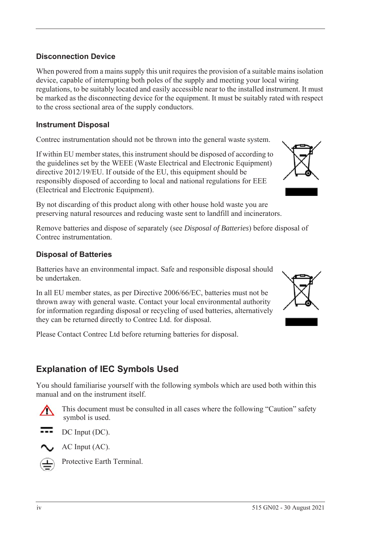### **Disconnection Device**

When powered from a mains supply this unit requires the provision of a suitable mains isolation device, capable of interrupting both poles of the supply and meeting your local wiring regulations, to be suitably located and easily accessible near to the installed instrument. It must be marked as the disconnecting device for the equipment. It must be suitably rated with respect to the cross sectional area of the supply conductors.

### **Instrument Disposal**

Contrec instrumentation should not be thrown into the general waste system.

If within EU member states, this instrument should be disposed of according to the guidelines set by the WEEE (Waste Electrical and Electronic Equipment) directive 2012/19/EU. If outside of the EU, this equipment should be responsibly disposed of according to local and national regulations for EEE (Electrical and Electronic Equipment).

By not discarding of this product along with other house hold waste you are preserving natural resources and reducing waste sent to landfill and incinerators.

Remove batteries and dispose of separately (see *Disposal of Batteries*) before disposal of Contrec instrumentation.

### **Disposal of Batteries**

Batteries have an environmental impact. Safe and responsible disposal should be undertaken.

In all EU member states, as per Directive 2006/66/EC, batteries must not be thrown away with general waste. Contact your local environmental authority for information regarding disposal or recycling of used batteries, alternatively they can be returned directly to Contrec Ltd. for disposal.

Please Contact Contrec Ltd before returning batteries for disposal.

# **Explanation of IEC Symbols Used**

You should familiarise yourself with the following symbols which are used both within this manual and on the instrument itself.



 This document must be consulted in all cases where the following "Caution" safety symbol is used.



AC Input (AC).



Protective Earth Terminal.



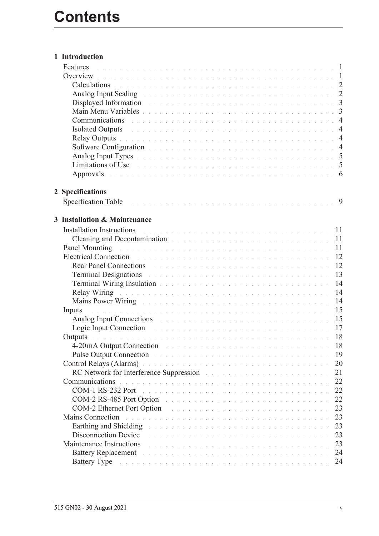| 1 Introduction                                                                                                                                                                                                                                                                                                                                       |  |  |  |  |  |  |  |    |
|------------------------------------------------------------------------------------------------------------------------------------------------------------------------------------------------------------------------------------------------------------------------------------------------------------------------------------------------------|--|--|--|--|--|--|--|----|
| Features                                                                                                                                                                                                                                                                                                                                             |  |  |  |  |  |  |  |    |
|                                                                                                                                                                                                                                                                                                                                                      |  |  |  |  |  |  |  |    |
| Calculations de la communication de la communication de la communication de la communication de la communication                                                                                                                                                                                                                                     |  |  |  |  |  |  |  |    |
| Analog Input Scaling (and a contract of the contract of the contract of the contract of 2                                                                                                                                                                                                                                                            |  |  |  |  |  |  |  |    |
| Displayed Information and a contract of the contract of the contract of the contract of the 3                                                                                                                                                                                                                                                        |  |  |  |  |  |  |  |    |
|                                                                                                                                                                                                                                                                                                                                                      |  |  |  |  |  |  |  |    |
| Communications research resources and contract the contract of the contract of the 4                                                                                                                                                                                                                                                                 |  |  |  |  |  |  |  |    |
| Isolated Outputs and a contract the contract of the contract of the contract of the contract of the 4                                                                                                                                                                                                                                                |  |  |  |  |  |  |  |    |
|                                                                                                                                                                                                                                                                                                                                                      |  |  |  |  |  |  |  |    |
|                                                                                                                                                                                                                                                                                                                                                      |  |  |  |  |  |  |  |    |
| Analog Input Types and a contract the contract of the contract of the contract of the 5                                                                                                                                                                                                                                                              |  |  |  |  |  |  |  |    |
| Limitations of Use the community of the community of Use of the community of the community of the community of                                                                                                                                                                                                                                       |  |  |  |  |  |  |  |    |
| Approvals and continuous continuous continuous continuous continuous continuous 6                                                                                                                                                                                                                                                                    |  |  |  |  |  |  |  |    |
|                                                                                                                                                                                                                                                                                                                                                      |  |  |  |  |  |  |  |    |
| 2 Specifications                                                                                                                                                                                                                                                                                                                                     |  |  |  |  |  |  |  |    |
|                                                                                                                                                                                                                                                                                                                                                      |  |  |  |  |  |  |  |    |
|                                                                                                                                                                                                                                                                                                                                                      |  |  |  |  |  |  |  |    |
| 3 Installation & Maintenance                                                                                                                                                                                                                                                                                                                         |  |  |  |  |  |  |  |    |
| . The set of the set of the set of the set of the set of the set of the set of $\mathbb{R}^2$<br>Installation Instructions                                                                                                                                                                                                                           |  |  |  |  |  |  |  |    |
| Cleaning and Decontamination and the contract of the contract of the contract of the contract of the contract of the contract of the contract of the contract of the contract of the contract of the contract of the contract                                                                                                                        |  |  |  |  |  |  |  | 11 |
| Panel Mounting and a contract the contract of the contract of the contract of the contract of                                                                                                                                                                                                                                                        |  |  |  |  |  |  |  | 11 |
| Electrical Connection and a construction of the contract of the contract of the contract of the contract of the                                                                                                                                                                                                                                      |  |  |  |  |  |  |  | 12 |
| Rear Panel Connections and the contract of the contract of the contract of the contract of the contract of the contract of the contract of the contract of the contract of the contract of the contract of the contract of the                                                                                                                       |  |  |  |  |  |  |  | 12 |
| Terminal Designations and a contract the contract of the contract of the contract of the contract of the contract of the contract of the contract of the contract of the contract of the contract of the contract of the contr                                                                                                                       |  |  |  |  |  |  |  | 13 |
| Terminal Wiring Insulation and a contract of the contract of the contract of the contract of the contract of the contract of the contract of the contract of the contract of the contract of the contract of the contract of t                                                                                                                       |  |  |  |  |  |  |  | 14 |
|                                                                                                                                                                                                                                                                                                                                                      |  |  |  |  |  |  |  | 14 |
| Mains Power Wiring <b>Experience Communication</b> Contract Communication Communication Communication Communication Communication Communication Communication Communication Communication Communication Communication Communication                                                                                                                  |  |  |  |  |  |  |  | 14 |
| a constitución de la caractería de la caractería de la caractería de la caractería de la caractería de la cara<br>Inputs                                                                                                                                                                                                                             |  |  |  |  |  |  |  | 15 |
| Analog Input Connections and a contract the contract of the contract of the contract of the contract of the contract of the contract of the contract of the contract of the contract of the contract of the contract of the co                                                                                                                       |  |  |  |  |  |  |  | 15 |
| Logic Input Connection and a construction of the contract of the contract of the Connection of the contract of the contract of the contract of the contract of the contract of the contract of the contract of the contract of                                                                                                                       |  |  |  |  |  |  |  |    |
|                                                                                                                                                                                                                                                                                                                                                      |  |  |  |  |  |  |  |    |
| 4-20 mA Output Connection and a constant of the contract of the contract of the contract of the contract of the contract of the contract of the contract of the contract of the contract of the contract of the contract of th                                                                                                                       |  |  |  |  |  |  |  | 18 |
| Pulse Output Connection and a constant of the contract of the contract of the contract of the contract of the contract of the contract of the contract of the contract of the contract of the contract of the contract of the                                                                                                                        |  |  |  |  |  |  |  | 19 |
| Control Relays (Alarms) and a control of the control of the control of the control of the control of the control of the control of the control of the control of the control of the control of the control of the control of t                                                                                                                       |  |  |  |  |  |  |  | 20 |
| RC Network for Interference Suppression and a substitution of the set of the set of the set of the set of the                                                                                                                                                                                                                                        |  |  |  |  |  |  |  | 21 |
| Communications<br>.<br>The main material contract of the contract of the contract of the contract of the contract of the contract of                                                                                                                                                                                                                 |  |  |  |  |  |  |  | 22 |
|                                                                                                                                                                                                                                                                                                                                                      |  |  |  |  |  |  |  | 22 |
| COM-2 RS-485 Port Option                                                                                                                                                                                                                                                                                                                             |  |  |  |  |  |  |  | 22 |
| COM-2 Ethernet Port Option                                                                                                                                                                                                                                                                                                                           |  |  |  |  |  |  |  | 23 |
| Mains Connection<br>.<br>In the company of the company of the company of the company of the company of the company of the company of th                                                                                                                                                                                                              |  |  |  |  |  |  |  | 23 |
| Earthing and Shielding Theorem 2014 Contract of the Contract of the Contract of the Contract of the Contract of the Contract of the Contract of the Contract of the Contract of the Contract of the Contract of the Contract o                                                                                                                       |  |  |  |  |  |  |  | 23 |
| Disconnection Device<br>المتعاونة والمتعاونة والمتعاونة والمتعاونة والمتعاونة والمتعاونة والمتعاونة والمتعاونة والمتعاونة والمتعاونة                                                                                                                                                                                                                 |  |  |  |  |  |  |  | 23 |
|                                                                                                                                                                                                                                                                                                                                                      |  |  |  |  |  |  |  |    |
| Maintenance Instructions                                                                                                                                                                                                                                                                                                                             |  |  |  |  |  |  |  | 23 |
| .<br>In the company of the company of the company of the company of the company of the company of the company of th<br>Battery Replacement and a substitution of the contract of the contract of the contract of the contract of the contract of the contract of the contract of the contract of the contract of the contract of the contract of the |  |  |  |  |  |  |  | 24 |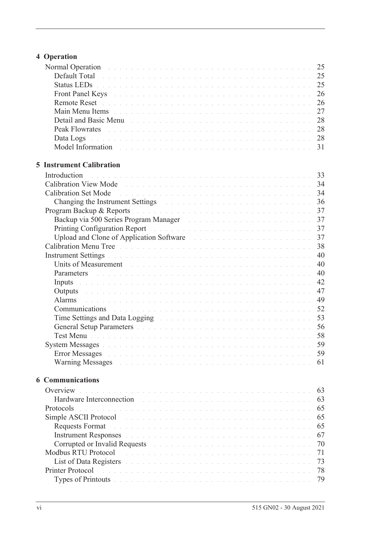# **[4 Operation](#page-34-0)**

| Normal Operation and a contract the contract of the contract of the contract of the 25                                                                                                                                         |  |  |  |  |  |  |  |  |    |
|--------------------------------------------------------------------------------------------------------------------------------------------------------------------------------------------------------------------------------|--|--|--|--|--|--|--|--|----|
| Default Total de la commune de la commune de la commune de la commune de la commune de 25                                                                                                                                      |  |  |  |  |  |  |  |  |    |
| Status LEDs <b>Election Community 25</b> Status Leader Community 25                                                                                                                                                            |  |  |  |  |  |  |  |  |    |
| Front Panel Keys and a construction of the construction of the construction of 26                                                                                                                                              |  |  |  |  |  |  |  |  |    |
|                                                                                                                                                                                                                                |  |  |  |  |  |  |  |  |    |
| Main Menu Items de la communicación de la communicación de la communicación 27                                                                                                                                                 |  |  |  |  |  |  |  |  |    |
|                                                                                                                                                                                                                                |  |  |  |  |  |  |  |  |    |
|                                                                                                                                                                                                                                |  |  |  |  |  |  |  |  |    |
|                                                                                                                                                                                                                                |  |  |  |  |  |  |  |  |    |
|                                                                                                                                                                                                                                |  |  |  |  |  |  |  |  |    |
|                                                                                                                                                                                                                                |  |  |  |  |  |  |  |  |    |
| <b>5 Instrument Calibration</b>                                                                                                                                                                                                |  |  |  |  |  |  |  |  |    |
| Introduction                                                                                                                                                                                                                   |  |  |  |  |  |  |  |  |    |
|                                                                                                                                                                                                                                |  |  |  |  |  |  |  |  |    |
|                                                                                                                                                                                                                                |  |  |  |  |  |  |  |  |    |
| Changing the Instrument Settings and a contract of the contract of the settings of the contract of the contract of the contract of the contract of the contract of the contract of the contract of the contract of the contrac |  |  |  |  |  |  |  |  |    |
| Program Backup & Reports and a contract the contract of the contract of the state of the 37                                                                                                                                    |  |  |  |  |  |  |  |  |    |
|                                                                                                                                                                                                                                |  |  |  |  |  |  |  |  |    |
| Printing Configuration Report environment and the contract of the contract of the 37                                                                                                                                           |  |  |  |  |  |  |  |  |    |
| Upload and Clone of Application Software Marian and an american contract the contract of the Upload and Clone of Application Software                                                                                          |  |  |  |  |  |  |  |  | 37 |
|                                                                                                                                                                                                                                |  |  |  |  |  |  |  |  |    |
|                                                                                                                                                                                                                                |  |  |  |  |  |  |  |  |    |
| Units of Measurement                                                                                                                                                                                                           |  |  |  |  |  |  |  |  | 40 |
| Parameters and a construction of the construction of the construction of the construction of                                                                                                                                   |  |  |  |  |  |  |  |  | 40 |
| Inputs and a construction of the construction of the construction of the construction of the construction of the construction of the construction of the construction of the construction of the construction of the construct |  |  |  |  |  |  |  |  | 42 |
| Outputs and a construction of the construction of the construction of the construction of the construction of the construction of the construction of the construction of the construction of the construction of the construc |  |  |  |  |  |  |  |  | 47 |
| Alarms<br>de la caractería de la caractería de la caractería de la caractería de la caractería de la caractería de la ca                                                                                                       |  |  |  |  |  |  |  |  | 49 |
| Communications de la communication de la communication de la communication de la communication de la communication de la communication de S2                                                                                   |  |  |  |  |  |  |  |  |    |
| Time Settings and Data Logging The Contract of the Contract of the Settings and Data Logging                                                                                                                                   |  |  |  |  |  |  |  |  | 53 |
| General Setup Parameters and a contract the contract of the contract of the state of the 56                                                                                                                                    |  |  |  |  |  |  |  |  |    |
| Test Menu de la componencia de la componencia de la componencia de la 58                                                                                                                                                       |  |  |  |  |  |  |  |  |    |
| System Messages with a community of the community of the set of the community of the community of the community of the community of the community of the community of the community of the community of the community of the c |  |  |  |  |  |  |  |  | 59 |
| <b>Error Messages</b>                                                                                                                                                                                                          |  |  |  |  |  |  |  |  | 59 |
| Warning Messages entertainment and the contract of the contract of the contract of the contract of the contract of the contract of the contract of the contract of the contract of the contract of the contract of the contrac |  |  |  |  |  |  |  |  | 61 |
| <b>6 Communications</b>                                                                                                                                                                                                        |  |  |  |  |  |  |  |  |    |
| Overview<br>.<br>In the second complete the second complete service in the second complete service in the second complete servic                                                                                               |  |  |  |  |  |  |  |  | 63 |
| Hardware Interconnection<br>.<br>The contract of the contract of the contract of the contract of the contract of the contract of the contract o                                                                                |  |  |  |  |  |  |  |  | 63 |
| Protocols<br>a constitución de la constitución de la constitución de la constitución de la constitución de la constitución                                                                                                     |  |  |  |  |  |  |  |  | 65 |
| Simple ASCII Protocol<br>.<br>The second complete state of the complete state of the second complete state of the complete state of the second                                                                                 |  |  |  |  |  |  |  |  | 65 |
| <b>Requests Format</b>                                                                                                                                                                                                         |  |  |  |  |  |  |  |  | 65 |
|                                                                                                                                                                                                                                |  |  |  |  |  |  |  |  | 67 |
| Corrupted or Invalid Requests and a contract the contract of the contract of the contract of the contract of the contract of the contract of the contract of the contract of the contract of the contract of the contract of t |  |  |  |  |  |  |  |  | 70 |
| Modbus RTU Protocol<br>.<br>The second complete state of the second complete state of the second complete state of the second complete state of                                                                                |  |  |  |  |  |  |  |  | 71 |
| List of Data Registers and a conservation of the conservation of the conservation of the conservation of the conservation of the conservation of the conservation of the conservation of the conservation of the conservation  |  |  |  |  |  |  |  |  | 73 |
| Printer Protocol<br>.<br>In the second complete the second complete second complete the second complete second complete second complete                                                                                        |  |  |  |  |  |  |  |  | 78 |
| Types of Printouts and a contract the contract of the contract of the contract of the contract of the contract of the contract of the contract of the contract of the contract of the contract of the contract of the contract |  |  |  |  |  |  |  |  | 79 |
|                                                                                                                                                                                                                                |  |  |  |  |  |  |  |  |    |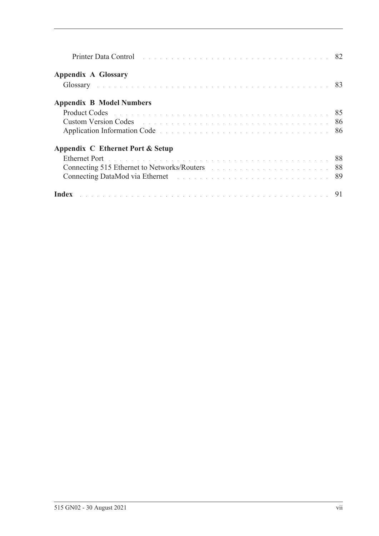| Printer Data Control entrepreneur and the control of the control of the control of the control of the control of the control of the control of the control of the control of the control of the control of the control of the  |  |
|--------------------------------------------------------------------------------------------------------------------------------------------------------------------------------------------------------------------------------|--|
| <b>Appendix A Glossary</b>                                                                                                                                                                                                     |  |
| Glossary enterpreted to the contract of the contract of the contract of the contract of the state of the state of the state of the state of the state of the state of the state of the state of the state of the state of the  |  |
| <b>Appendix B Model Numbers</b>                                                                                                                                                                                                |  |
|                                                                                                                                                                                                                                |  |
| <b>Custom Version Codes Contained According to the Containing of the Custom Version Codes</b>                                                                                                                                  |  |
| Application Information Code entrances and a series are a series and series and the series of the S6                                                                                                                           |  |
| Appendix C Ethernet Port & Setup                                                                                                                                                                                               |  |
| Ethernet Port <b>Ethernet Port 1988</b>                                                                                                                                                                                        |  |
| Connecting 515 Ethernet to Networks/Routers and the connection of the 88                                                                                                                                                       |  |
| Connecting DataMod via Ethernet (1) and the connection of the state of the state of the state of the state of the state of the state of the state of the state of the state of the state of the state of the state of the stat |  |
| Index <b>Index Experimental Construction Construction</b> of the construction of the construction of $91$                                                                                                                      |  |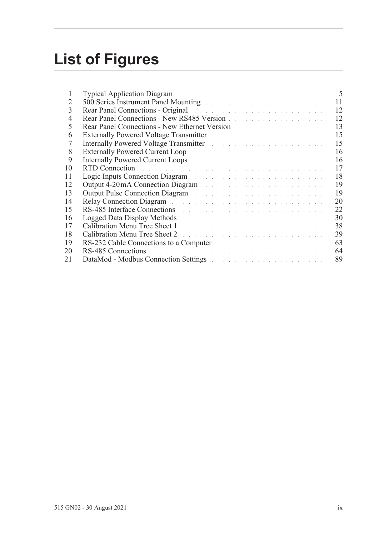# **List of Figures**

| 1  | Typical Application Diagram and a contract of the contract of the contract of the 5                                                                                                                                            |    |
|----|--------------------------------------------------------------------------------------------------------------------------------------------------------------------------------------------------------------------------------|----|
| 2  | 500 Series Instrument Panel Mounting and a contract of the series of the 11                                                                                                                                                    |    |
| 3  | Rear Panel Connections - Original and the contract of the connection of the connection of the connection of the connection of the connection of the connection of the connection of the connection of the connection of the co |    |
| 4  | Rear Panel Connections - New RS485 Version                                                                                                                                                                                     | 12 |
| 5  | Rear Panel Connections - New Ethernet Version                                                                                                                                                                                  | 13 |
| 6  | Externally Powered Voltage Transmitter Marshall and Alexandre and Alexandre and Alexandre and Alexandre and Alexandre and Alexandre and Alexandre and Alexandre and Alexandre and Alexandre and Alexandre and Alexandre and Al | 15 |
| 7  | Internally Powered Voltage Transmitter March 2014 and State and State and State and                                                                                                                                            | 15 |
| 8  |                                                                                                                                                                                                                                | 16 |
| 9  | Internally Powered Current Loops and a contract to the contract of the contract of the contract of the contract of the contract of the contract of the contract of the contract of the contract of the contract of the contrac | 16 |
| 10 |                                                                                                                                                                                                                                | 17 |
| 11 | Logic Inputs Connection Diagram and a constant of the contract of the contract of the contract of the contract of the contract of the contract of the contract of the contract of the contract of the contract of the contract | 18 |
| 12 |                                                                                                                                                                                                                                | 19 |
| 13 | Output Pulse Connection Diagram and a connection of the Connection of the Connection of the Connection of the Connection of the Connection of the Connection of the Connection of the Connection of the Connection of the Conn | 19 |
| 14 | Relay Connection Diagram and a connection of the connection of the Connection of the Connection of the Connection of the Connection of the Connection of the Connection of the Connection of the Connection of the Connection  | 20 |
| 15 |                                                                                                                                                                                                                                | 22 |
| 16 | Logged Data Display Methods and a contract the contract of the contract of the contract of the contract of the contract of the contract of the contract of the contract of the contract of the contract of the contract of the | 30 |
| 17 |                                                                                                                                                                                                                                | 38 |
| 18 |                                                                                                                                                                                                                                | 39 |
| 19 | RS-232 Cable Connections to a Computer entertainment of the contract of the connections of the connections of the connections of the connections of the connections of the connections of the connections of the connections o | 63 |
| 20 | RS-485 Connections                                                                                                                                                                                                             | 64 |
| 21 | DataMod - Modbus Connection Settings and the connection of the connection of the connection of the connection of the connection of the connection of the connection of the connection of the connection of the connection of t | 89 |
|    |                                                                                                                                                                                                                                |    |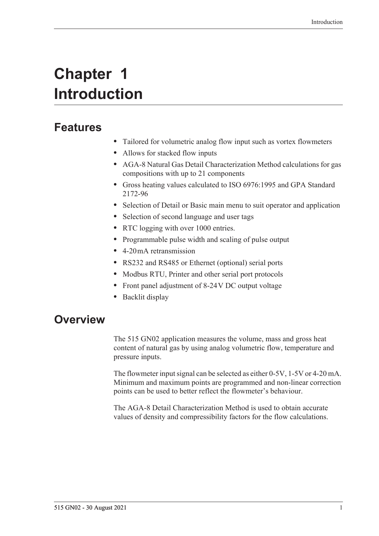# <span id="page-10-0"></span>**Chapter 1 Introduction**

# <span id="page-10-1"></span>**Features**

- **•** Tailored for volumetric analog flow input such as vortex flowmeters
- Allows for stacked flow inputs
- **•** AGA-8 Natural Gas Detail Characterization Method calculations for gas compositions with up to 21 components
- **•** Gross heating values calculated to ISO 6976:1995 and GPA Standard 2172-96
- **•** Selection of Detail or Basic main menu to suit operator and application
- **•** Selection of second language and user tags
- **•** RTC logging with over 1000 entries.
- **•** Programmable pulse width and scaling of pulse output
- **•** 4-20 mA retransmission
- **•** RS232 and RS485 or Ethernet (optional) serial ports
- **•** Modbus RTU, Printer and other serial port protocols
- **•** Front panel adjustment of 8-24 V DC output voltage
- **•** Backlit display

# <span id="page-10-2"></span>**Overview**

The 515 GN02 application measures the volume, mass and gross heat content of natural gas by using analog volumetric flow, temperature and pressure inputs.

The flowmeter input signal can be selected as either 0-5V, 1-5V or 4-20 mA. Minimum and maximum points are programmed and non-linear correction points can be used to better reflect the flowmeter's behaviour.

The AGA-8 Detail Characterization Method is used to obtain accurate values of density and compressibility factors for the flow calculations.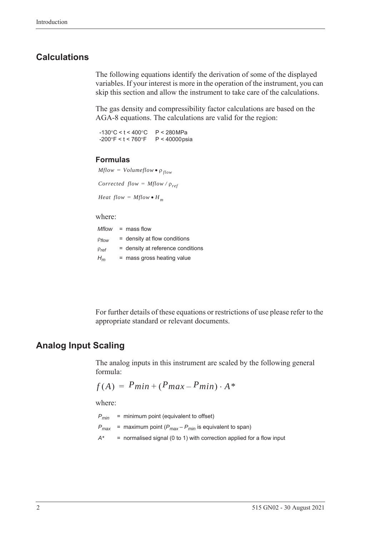### <span id="page-11-0"></span>**Calculations**

The following equations identify the derivation of some of the displayed variables. If your interest is more in the operation of the instrument, you can skip this section and allow the instrument to take care of the calculations.

The gas density and compressibility factor calculations are based on the AGA-8 equations. The calculations are valid for the region:

 $-130^{\circ}$ C < t < 400 $^{\circ}$ C -200F < t < 760F P < 280 MPa P < 40000 psia

#### **Formulas**

 $Mflow = Volumeflow \bullet \rho_{flow}$ *Corrected flow = Mflow /*  $\rho_{ref}$ *Heat flow =*  $Mflow \cdot H_m$ 

where:

|              | $Mflow = mass flow$                 |
|--------------|-------------------------------------|
| $P$ flow     | $=$ density at flow conditions      |
| $\rho_{ref}$ | $=$ density at reference conditions |
| $H_m$        | $=$ mass gross heating value        |

For further details of these equations or restrictions of use please refer to the appropriate standard or relevant documents.

### <span id="page-11-1"></span>**Analog Input Scaling**

The analog inputs in this instrument are scaled by the following general formula:

$$
f(A) = P_{min} + (P_{max} - P_{min}) \cdot A^*
$$

where:

 $P_{min}$  = minimum point (equivalent to offset)

 $P_{\text{max}}$  = maximum point ( $P_{\text{max}} - P_{\text{min}}$  is equivalent to span)

*A\** = normalised signal (0 to 1) with correction applied for a flow input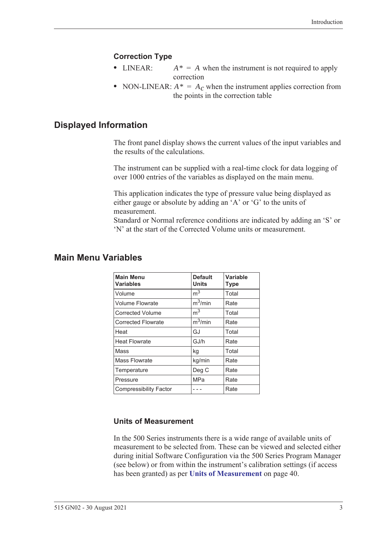### **Correction Type**

- LINEAR:  $A^* = A$  when the instrument is not required to apply correction
- NON-LINEAR:  $A^* = A_c$  when the instrument applies correction from the points in the correction table

### <span id="page-12-0"></span>**Displayed Information**

The front panel display shows the current values of the input variables and the results of the calculations.

The instrument can be supplied with a real-time clock for data logging of over 1000 entries of the variables as displayed on the main menu.

This application indicates the type of pressure value being displayed as either gauge or absolute by adding an 'A' or 'G' to the units of measurement.

Standard or Normal reference conditions are indicated by adding an 'S' or 'N' at the start of the Corrected Volume units or measurement.

| <b>Main Menu</b><br>Variables | <b>Default</b><br><b>Units</b> | <b>Variable</b><br><b>Type</b> |
|-------------------------------|--------------------------------|--------------------------------|
| Volume                        | m <sup>3</sup>                 | Total                          |
| <b>Volume Flowrate</b>        | $m^3/m$ in                     | Rate                           |
| Corrected Volume              | m <sup>3</sup>                 | Total                          |
| <b>Corrected Flowrate</b>     | $m^3/m$ in                     | Rate                           |
| Heat                          | GJ                             | Total                          |
| <b>Heat Flowrate</b>          | GJ/h                           | Rate                           |
| Mass                          | kg                             | Total                          |
| <b>Mass Flowrate</b>          | kg/min                         | Rate                           |
| Temperature                   | Deg C                          | Rate                           |
| Pressure                      | MPa                            | Rate                           |
| <b>Compressibility Factor</b> |                                | Rate                           |

### <span id="page-12-1"></span>**Main Menu Variables**

#### **Units of Measurement**

In the 500 Series instruments there is a wide range of available units of measurement to be selected from. These can be viewed and selected either during initial Software Configuration via the 500 Series Program Manager (see below) or from within the instrument's calibration settings (if access has been granted) as per **[Units of Measurement](#page-49-3)** on page 40.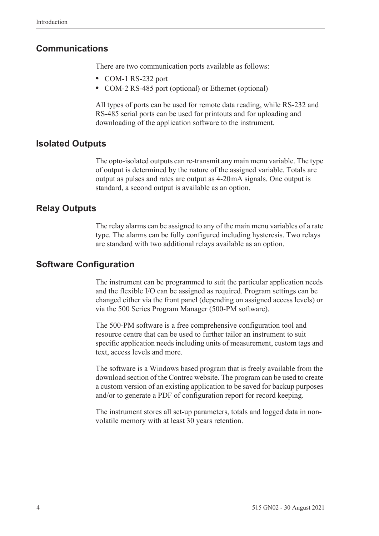## <span id="page-13-0"></span>**Communications**

There are two communication ports available as follows:

- **•** COM-1 RS-232 port
- **•** COM-2 RS-485 port (optional) or Ethernet (optional)

All types of ports can be used for remote data reading, while RS-232 and RS-485 serial ports can be used for printouts and for uploading and downloading of the application software to the instrument.

## <span id="page-13-1"></span>**Isolated Outputs**

The opto-isolated outputs can re-transmit any main menu variable. The type of output is determined by the nature of the assigned variable. Totals are output as pulses and rates are output as 4-20 mA signals. One output is standard, a second output is available as an option.

# <span id="page-13-2"></span>**Relay Outputs**

The relay alarms can be assigned to any of the main menu variables of a rate type. The alarms can be fully configured including hysteresis. Two relays are standard with two additional relays available as an option.

## <span id="page-13-3"></span>**Software Configuration**

The instrument can be programmed to suit the particular application needs and the flexible I/O can be assigned as required. Program settings can be changed either via the front panel (depending on assigned access levels) or via the 500 Series Program Manager (500-PM software).

The 500-PM software is a free comprehensive configuration tool and resource centre that can be used to further tailor an instrument to suit specific application needs including units of measurement, custom tags and text, access levels and more.

The software is a Windows based program that is freely available from the download section of the Contrec website. The program can be used to create a custom version of an existing application to be saved for backup purposes and/or to generate a PDF of configuration report for record keeping.

The instrument stores all set-up parameters, totals and logged data in nonvolatile memory with at least 30 years retention.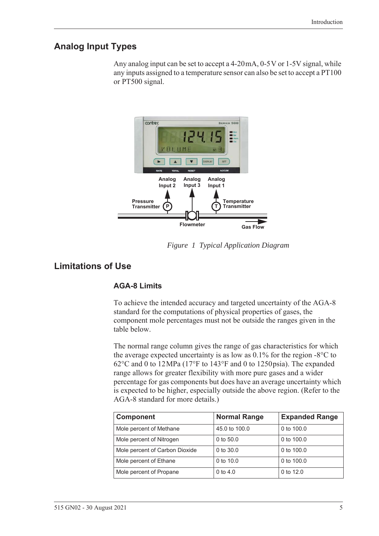# <span id="page-14-0"></span>**Analog Input Types**

Any analog input can be set to accept a 4-20 mA, 0-5 V or 1-5 V signal, while any inputs assigned to a temperature sensor can also be set to accept a PT100 or PT500 signal.



*Figure 1 Typical Application Diagram*

## <span id="page-14-1"></span>**Limitations of Use**

### <span id="page-14-2"></span>**AGA-8 Limits**

To achieve the intended accuracy and targeted uncertainty of the AGA-8 standard for the computations of physical properties of gases, the component mole percentages must not be outside the ranges given in the table below.

The normal range column gives the range of gas characteristics for which the average expected uncertainty is as low as  $0.1\%$  for the region -8 $\degree$ C to  $62^{\circ}$ C and 0 to 12 MPa (17°F to 143°F and 0 to 1250 psia). The expanded range allows for greater flexibility with more pure gases and a wider percentage for gas components but does have an average uncertainty which is expected to be higher, especially outside the above region. (Refer to the AGA-8 standard for more details.)

| <b>Component</b>               | <b>Normal Range</b> | <b>Expanded Range</b> |
|--------------------------------|---------------------|-----------------------|
| Mole percent of Methane        | 45.0 to 100.0       | 0 to 100.0            |
| Mole percent of Nitrogen       | 0 to $50.0$         | 0 to 100.0            |
| Mole percent of Carbon Dioxide | 0 to $30.0$         | 0 to 100.0            |
| Mole percent of Ethane         | 0 to $10.0$         | 0 to 100.0            |
| Mole percent of Propane        | 0 to $4.0$          | 0 to 12.0             |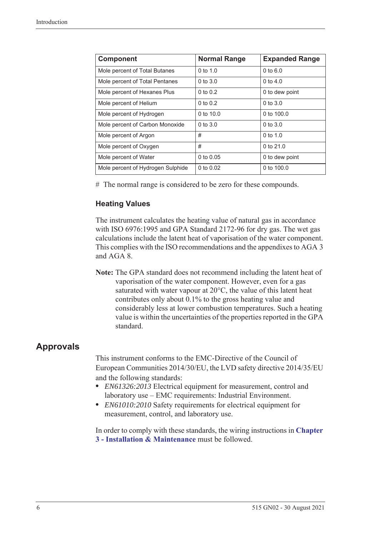| <b>Component</b>                  | <b>Normal Range</b> | <b>Expanded Range</b> |
|-----------------------------------|---------------------|-----------------------|
| Mole percent of Total Butanes     | 0 to $1.0$          | $0$ to $6.0$          |
| Mole percent of Total Pentanes    | $0$ to $3.0$        | 0 to $4.0$            |
| Mole percent of Hexanes Plus      | $0$ to $0.2$        | 0 to dew point        |
| Mole percent of Helium            | $0$ to $0.2$        | $0$ to $3.0$          |
| Mole percent of Hydrogen          | 0 to $10.0$         | 0 to $100.0$          |
| Mole percent of Carbon Monoxide   | $0$ to $3.0$        | $0$ to $3.0$          |
| Mole percent of Argon             | #                   | 0 to $1.0$            |
| Mole percent of Oxygen            | #                   | 0 to $21.0$           |
| Mole percent of Water             | 0 to $0.05$         | 0 to dew point        |
| Mole percent of Hydrogen Sulphide | 0 to $0.02$         | 0 to $100.0$          |

# The normal range is considered to be zero for these compounds.

### **Heating Values**

The instrument calculates the heating value of natural gas in accordance with ISO 6976:1995 and GPA Standard 2172-96 for dry gas. The wet gas calculations include the latent heat of vaporisation of the water component. This complies with the ISO recommendations and the appendixes to AGA 3 and AGA 8.

**Note:** The GPA standard does not recommend including the latent heat of vaporisation of the water component. However, even for a gas saturated with water vapour at  $20^{\circ}$ C, the value of this latent heat contributes only about 0.1% to the gross heating value and considerably less at lower combustion temperatures. Such a heating value is within the uncertainties of the properties reported in the GPA standard.

## <span id="page-15-0"></span>**Approvals**

This instrument conforms to the EMC-Directive of the Council of European Communities 2014/30/EU, the LVD safety directive 2014/35/EU and the following standards:

- **•** *EN61326:2013* Electrical equipment for measurement, control and laboratory use – EMC requirements: Industrial Environment.
- **•** *EN61010:2010* Safety requirements for electrical equipment for measurement, control, and laboratory use.

In order to comply with these standards, the wiring instructions in **[Chapter](#page-20-5)  [3 - Installation & Maintenance](#page-20-5)** must be followed.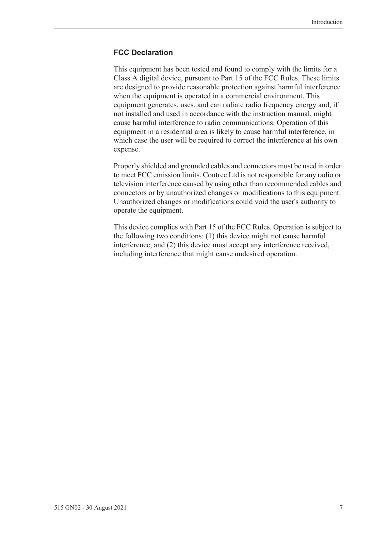### **FCC Declaration**

This equipment has been tested and found to comply with the limits for a Class A digital device, pursuant to Part 15 of the FCC Rules. These limits are designed to provide reasonable protection against harmful interference when the equipment is operated in a commercial environment. This equipment generates, uses, and can radiate radio frequency energy and, if not installed and used in accordance with the instruction manual, might cause harmful interference to radio communications. Operation of this equipment in a residential area is likely to cause harmful interference, in which case the user will be required to correct the interference at his own expense.

Properly shielded and grounded cables and connectors must be used in order to meet FCC emission limits. Contrec Ltd is not responsible for any radio or television interference caused by using other than recommended cables and connectors or by unauthorized changes or modifications to this equipment. Unauthorized changes or modifications could void the user's authority to operate the equipment.

This device complies with Part 15 of the FCC Rules. Operation is subject to the following two conditions: (1) this device might not cause harmful interference, and (2) this device must accept any interference received, including interference that might cause undesired operation.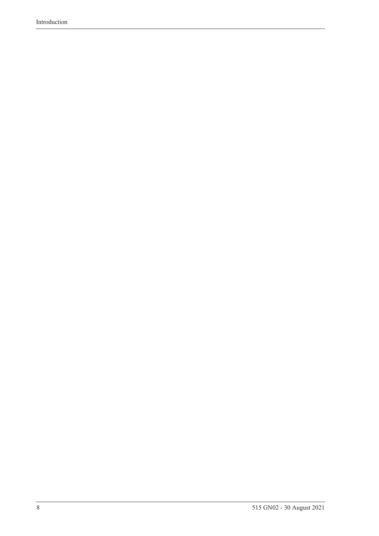Introduction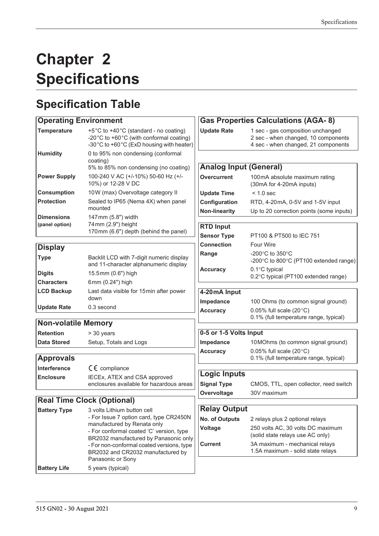# <span id="page-18-0"></span>**Chapter 2 Specifications**

# <span id="page-18-1"></span>**Specification Table**

| <b>Operating Environment</b>        |                                                                                                                              | <b>Gas Properties Calculations (AGA-8)</b> |                                                                                                                 |  |  |  |
|-------------------------------------|------------------------------------------------------------------------------------------------------------------------------|--------------------------------------------|-----------------------------------------------------------------------------------------------------------------|--|--|--|
| <b>Temperature</b>                  | +5°C to +40°C (standard - no coating)<br>-20°C to +60°C (with conformal coating)<br>-30°C to +60°C (ExD housing with heater) | <b>Update Rate</b>                         | 1 sec - gas composition unchanged<br>2 sec - when changed, 10 components<br>4 sec - when changed, 21 components |  |  |  |
| <b>Humidity</b>                     | 0 to 95% non condensing (conformal<br>coating)                                                                               |                                            |                                                                                                                 |  |  |  |
|                                     | 5% to 85% non condensing (no coating)                                                                                        | <b>Analog Input (General)</b>              |                                                                                                                 |  |  |  |
| <b>Power Supply</b>                 | 100-240 V AC (+/-10%) 50-60 Hz (+/-<br>10%) or 12-28 V DC                                                                    | <b>Overcurrent</b>                         | 100mA absolute maximum rating<br>(30mA for 4-20mA inputs)                                                       |  |  |  |
| <b>Consumption</b>                  | 10W (max) Overvoltage category II                                                                                            | <b>Update Time</b>                         | $< 1.0$ sec                                                                                                     |  |  |  |
| <b>Protection</b>                   | Sealed to IP65 (Nema 4X) when panel                                                                                          | Configuration                              | RTD, 4-20mA, 0-5V and 1-5V input                                                                                |  |  |  |
|                                     | mounted                                                                                                                      | <b>Non-linearity</b>                       | Up to 20 correction points (some inputs)                                                                        |  |  |  |
| <b>Dimensions</b><br>(panel option) | 147mm (5.8") width<br>74mm (2.9") height                                                                                     |                                            |                                                                                                                 |  |  |  |
|                                     | 170mm (6.6") depth (behind the panel)                                                                                        | <b>RTD Input</b>                           |                                                                                                                 |  |  |  |
|                                     |                                                                                                                              | <b>Sensor Type</b>                         | PT100 & PT500 to IEC 751                                                                                        |  |  |  |
| <b>Display</b>                      |                                                                                                                              | <b>Connection</b>                          | <b>Four Wire</b>                                                                                                |  |  |  |
| <b>Type</b>                         | Backlit LCD with 7-digit numeric display<br>and 11-character alphanumeric display                                            | Range                                      | -200 $^{\circ}$ C to 350 $^{\circ}$ C<br>-200°C to 800°C (PT100 extended range)                                 |  |  |  |
| <b>Digits</b>                       | 15.5mm (0.6") high                                                                                                           | <b>Accuracy</b>                            | 0.1°C typical                                                                                                   |  |  |  |
| <b>Characters</b>                   | 6mm (0.24") high                                                                                                             |                                            | 0.2°C typical (PT100 extended range)                                                                            |  |  |  |
| <b>LCD Backup</b>                   | Last data visible for 15 min after power<br>down                                                                             | 4-20mA Input                               |                                                                                                                 |  |  |  |
| <b>Update Rate</b>                  | 0.3 second                                                                                                                   | Impedance<br><b>Accuracy</b>               | 100 Ohms (to common signal ground)<br>0.05% full scale $(20^{\circ}C)$                                          |  |  |  |
| <b>Non-volatile Memory</b>          |                                                                                                                              |                                            | 0.1% (full temperature range, typical)                                                                          |  |  |  |
| <b>Retention</b>                    | > 30 years                                                                                                                   | 0-5 or 1-5 Volts Input                     |                                                                                                                 |  |  |  |
| <b>Data Stored</b>                  | Setup, Totals and Logs                                                                                                       | Impedance                                  | 10MOhms (to common signal ground)                                                                               |  |  |  |
|                                     |                                                                                                                              | <b>Accuracy</b>                            | 0.05% full scale $(20^{\circ}C)$                                                                                |  |  |  |
| <b>Approvals</b>                    |                                                                                                                              |                                            | 0.1% (full temperature range, typical)                                                                          |  |  |  |
| Interference                        | $C \in \mathbb{C}$ compliance                                                                                                |                                            |                                                                                                                 |  |  |  |
| <b>Enclosure</b>                    | IECEx, ATEX and CSA approved                                                                                                 | <b>Logic Inputs</b>                        |                                                                                                                 |  |  |  |
|                                     | enclosures available for hazardous areas                                                                                     | <b>Signal Type</b>                         | CMOS, TTL, open collector, reed switch                                                                          |  |  |  |
|                                     |                                                                                                                              | Overvoltage                                | 30V maximum                                                                                                     |  |  |  |
|                                     | <b>Real Time Clock (Optional)</b>                                                                                            |                                            |                                                                                                                 |  |  |  |
| <b>Battery Type</b>                 | 3 volts Lithium button cell<br>- For Issue 7 option card, type CR2450N                                                       | <b>Relay Output</b>                        |                                                                                                                 |  |  |  |
|                                     | manufactured by Renata only                                                                                                  | No. of Outputs                             | 2 relays plus 2 optional relays                                                                                 |  |  |  |
|                                     | - For conformal coated 'C' version, type                                                                                     | <b>Voltage</b>                             | 250 volts AC, 30 volts DC maximum<br>(solid state relays use AC only)                                           |  |  |  |
|                                     | BR2032 manufactured by Panasonic only                                                                                        | <b>Current</b>                             | 3A maximum - mechanical relays                                                                                  |  |  |  |
|                                     | - For non-conformal coated versions, type<br>BR2032 and CR2032 manufactured by<br>Panasonic or Sony                          |                                            | 1.5A maximum - solid state relays                                                                               |  |  |  |
| <b>Battery Life</b>                 | 5 years (typical)                                                                                                            |                                            |                                                                                                                 |  |  |  |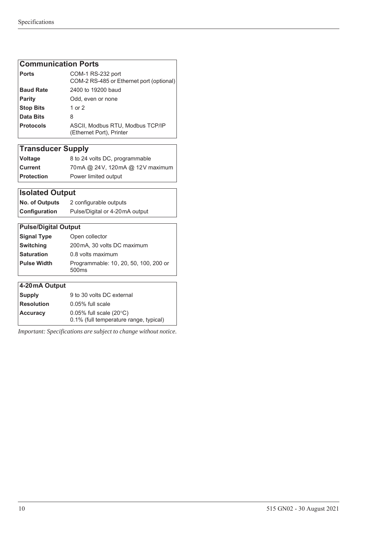### **Communication Ports**

| <b>Ports</b>     | COM-1 RS-232 port<br>COM-2 RS-485 or Ethernet port (optional) |
|------------------|---------------------------------------------------------------|
| <b>Baud Rate</b> | 2400 to 19200 baud                                            |
| <b>Parity</b>    | Odd, even or none                                             |
| <b>Stop Bits</b> | 1 or 2                                                        |
| Data Bits        | 8                                                             |
| <b>Protocols</b> | ASCII, Modbus RTU, Modbus TCP/IP<br>(Ethernet Port), Printer  |

# **Transducer Supply**

| <b>Voltage</b>    | 8 to 24 volts DC, programmable  |
|-------------------|---------------------------------|
| l Current l       | 70mA @ 24V, 120mA @ 12V maximum |
| <b>Protection</b> | Power limited output            |

## **Isolated Output**

| <b>No. of Outputs</b> | 2 configurable outputs         |
|-----------------------|--------------------------------|
| Configuration         | Pulse/Digital or 4-20mA output |

### **Pulse/Digital Output Signal Type** Open collector **Switching** 200mA, 30 volts DC maximum **Saturation** 0.8 volts maximum **Pulse Width** Programmable: 10 , 20, 50, 100, 200 or 500ms **4-20 mA Output Supply** 9 to 30 volts DC external

| <b>Supply</b>     | 9 to 30 yolts DC external              |
|-------------------|----------------------------------------|
| <b>Resolution</b> | 0.05% full scale                       |
| <b>Accuracy</b>   | $0.05\%$ full scale (20 $\degree$ C)   |
|                   | 0.1% (full temperature range, typical) |

*Important: Specifications are subject to change without notice.*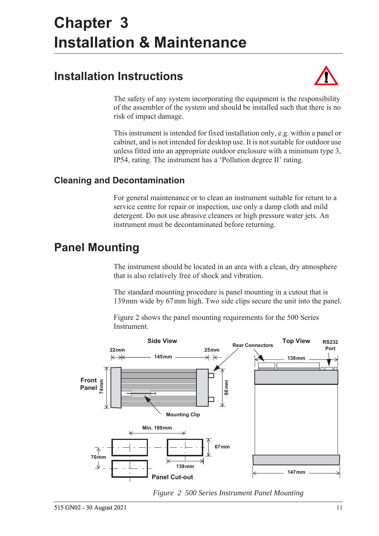# <span id="page-20-5"></span><span id="page-20-0"></span>**Chapter 3 Installation & Maintenance**

# <span id="page-20-1"></span>**Installation Instructions**



The safety of any system incorporating the equipment is the responsibility of the assembler of the system and should be installed such that there is no risk of impact damage.

This instrument is intended for fixed installation only, e.g. within a panel or cabinet, and is not intended for desktop use. It is not suitable for outdoor use unless fitted into an appropriate outdoor enclosure with a minimum type 3, IP54, rating. The instrument has a 'Pollution degree II' rating.

## <span id="page-20-2"></span>**Cleaning and Decontamination**

For general maintenance or to clean an instrument suitable for return to a service centre for repair or inspection, use only a damp cloth and mild detergent. Do not use abrasive cleaners or high pressure water jets. An instrument must be decontaminated before returning.

# <span id="page-20-3"></span>**Panel Mounting**

The instrument should be located in an area with a clean, dry atmosphere that is also relatively free of shock and vibration.

The standard mounting procedure is panel mounting in a cutout that is 139 mm wide by 67 mm high. Two side clips secure the unit into the panel.

[Figure 2](#page-20-4) shows the panel mounting requirements for the 500 Series Instrument.



<span id="page-20-4"></span>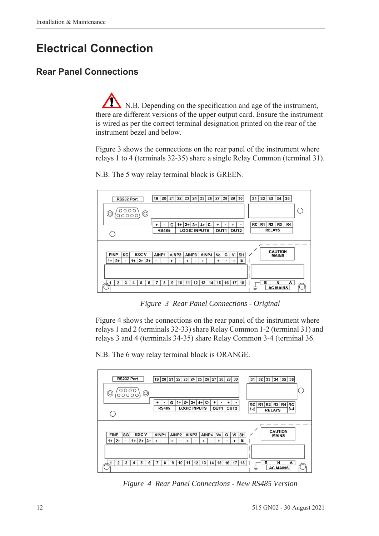# <span id="page-21-0"></span>**Electrical Connection**

# <span id="page-21-1"></span>**Rear Panel Connections**

N.B. Depending on the specification and age of the instrument, there are different versions of the upper output card. Ensure the instrument is wired as per the correct terminal designation printed on the rear of the instrument bezel and below.

[Figure 3](#page-21-2) shows the connections on the rear panel of the instrument where relays 1 to 4 (terminals 32-35) share a single Relay Common (terminal 31).



N.B. The 5 way relay terminal block is GREEN.

*Figure 3 Rear Panel Connections - Original*

<span id="page-21-2"></span>[Figure 4](#page-21-3) shows the connections on the rear panel of the instrument where relays 1 and 2 (terminals 32-33) share Relay Common 1-2 (terminal 31) and relays 3 and 4 (terminals 34-35) share Relay Common 3-4 (terminal 36.

N.B. The 6 way relay terminal block is ORANGE.



<span id="page-21-3"></span>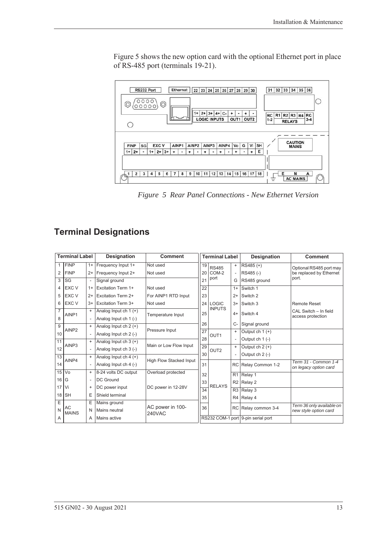[Figure 5](#page-22-1) shows the new option card with the optional Ethernet port in place of RS-485 port (terminals 19-21).



<span id="page-22-1"></span>*Figure 5 Rear Panel Connections - New Ethernet Version*

# <span id="page-22-0"></span>**Terminal Designations**

| <b>Terminal Label</b> |                    |                          | Designation               | <b>Comment</b>          |                 | <b>Terminal Label</b> |                | Designation                        | <b>Comment</b>                                     |
|-----------------------|--------------------|--------------------------|---------------------------|-------------------------|-----------------|-----------------------|----------------|------------------------------------|----------------------------------------------------|
| 1                     | <b>FINP</b>        | $1+$                     | Frequency Input 1+        | Not used                | 19              | <b>RS485</b>          | $\ddot{}$      | RS485 (+)                          | Optional RS485 port may                            |
| 2                     | <b>FINP</b>        | $2+$                     | Frequency Input 2+        | Not used                | 20              | COM-2                 |                | RS485(-)                           | be replaced by Ethernet                            |
| 3                     | SG                 | $\overline{\phantom{a}}$ | Signal ground             |                         | 21              | port                  | G              | RS485 ground                       | port.                                              |
| 4                     | EXC V              | $1+$                     | <b>Excitation Term 1+</b> | Not used                | 22              |                       | $1+$           | Switch 1                           |                                                    |
| 5                     | EXC V              | $2+$                     | <b>Excitation Term 2+</b> | For AINP1 RTD Input     | 23              |                       | $2+$           | Switch 2                           |                                                    |
| 6                     | <b>EXC V</b>       | $3+$                     | <b>Excitation Term 3+</b> | Not used                | 24              | <b>LOGIC</b>          | $3+$           | Switch 3                           | <b>Remote Reset</b>                                |
| $\overline{7}$        | AINP1              | $\ddot{}$                | Analog Input ch $1 (+)$   | Temperature Input       | 25              | <b>INPUTS</b>         | $4+$           | Switch 4                           | CAL Switch - In field                              |
| 8                     |                    |                          | Analog Input ch 1 (-)     |                         |                 |                       |                |                                    | access protection                                  |
| 9                     |                    | $\ddot{}$                | Analog Input ch $2 (+)$   | Pressure Input          | 26              |                       | $C-$           | Signal ground                      |                                                    |
| 10                    | AINP <sub>2</sub>  |                          | Analog Input ch 2 (-)     |                         | $\overline{27}$ | OUT <sub>1</sub>      | $+$            | Output ch $1 (+)$                  |                                                    |
| 11                    |                    | $\ddot{}$                | Analog Input ch $3 (+)$   | Main or Low Flow Input  | 28              |                       |                | Output $ch 1$ (-)                  |                                                    |
| 12                    | AINP3              | $\overline{\phantom{a}}$ | Analog Input ch 3 (-)     |                         | 29              | OUT <sub>2</sub>      | $\ddot{}$      | Output ch $2 (+)$                  |                                                    |
| $\overline{13}$       |                    | $\ddot{}$                | Analog Input ch $4 (+)$   | High Flow Stacked Input | 30              |                       |                | Output $ch 2$ (-)                  |                                                    |
| 14                    | AINP4              |                          | Analog Input ch 4 (-)     |                         | 31              |                       | <b>RC</b>      | Relay Common 1-2                   | Term 31 - Common 1-4<br>on legacy option card      |
| 15                    | Vo                 | $\ddot{}$                | 8-24 volts DC output      | Overload protected      | 32              |                       | R <sub>1</sub> | Relay 1                            |                                                    |
| 16                    | G                  | $\overline{\phantom{a}}$ | <b>DC</b> Ground          |                         | 33              |                       | R2             | Relay 2                            |                                                    |
| 17                    | Vi                 | $\ddot{}$                | DC power input            | DC power in 12-28V      | $\overline{34}$ | <b>RELAYS</b>         | R3             | Relay 3                            |                                                    |
| 18                    | <b>SH</b>          | E                        | Shield terminal           |                         | 35              |                       | R4             | Relay 4                            |                                                    |
| Ε                     |                    | Ε<br>Mains ground        |                           |                         |                 |                       |                |                                    |                                                    |
| N                     | AC<br><b>MAINS</b> | N                        | Mains neutral             | AC power in 100-        | 36              |                       | RC             | Relay common 3-4                   | Term 36 only available on<br>new style option card |
| A                     |                    |                          | Mains active              | <b>240VAC</b>           |                 |                       |                | RS232 COM-1 port 9-pin serial port |                                                    |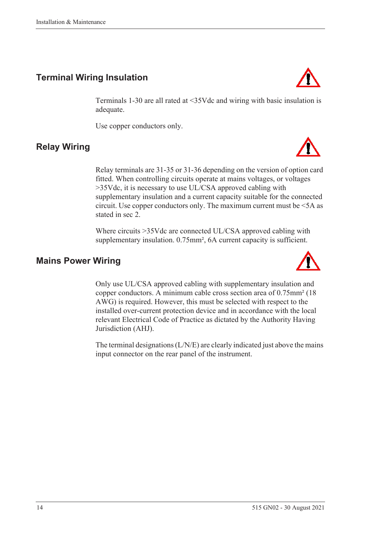# <span id="page-23-0"></span>**Terminal Wiring Insulation**

Terminals 1-30 are all rated at <35Vdc and wiring with basic insulation is adequate.

Use copper conductors only.

# <span id="page-23-1"></span>**Relay Wiring**

Relay terminals are 31-35 or 31-36 depending on the version of option card fitted. When controlling circuits operate at mains voltages, or voltages >35Vdc, it is necessary to use UL/CSA approved cabling with supplementary insulation and a current capacity suitable for the connected circuit. Use copper conductors only. The maximum current must be <5A as stated in sec 2.

Where circuits >35Vdc are connected UL/CSA approved cabling with supplementary insulation. 0.75mm<sup>2</sup>, 6A current capacity is sufficient.

## <span id="page-23-2"></span>**Mains Power Wiring**

Only use UL/CSA approved cabling with supplementary insulation and copper conductors. A minimum cable cross section area of 0.75mm² (18 AWG) is required. However, this must be selected with respect to the installed over-current protection device and in accordance with the local relevant Electrical Code of Practice as dictated by the Authority Having Jurisdiction (AHJ).

The terminal designations (L/N/E) are clearly indicated just above the mains input connector on the rear panel of the instrument.





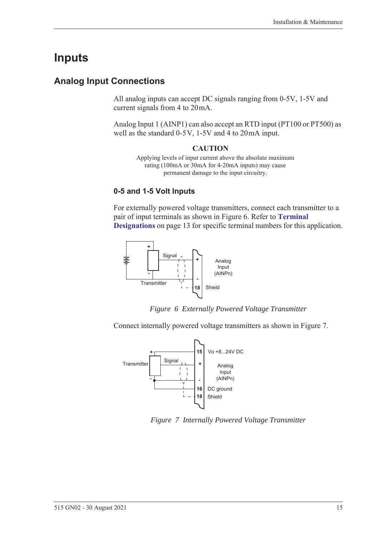# <span id="page-24-0"></span>**Inputs**

## <span id="page-24-1"></span>**Analog Input Connections**

All analog inputs can accept DC signals ranging from 0-5V, 1-5V and current signals from 4 to 20 mA.

Analog Input 1 (AINP1) can also accept an RTD input (PT100 or PT500) as well as the standard  $0-5V$ ,  $1-5V$  and  $4$  to  $20mA$  input.

#### **CAUTION**

Applying levels of input current above the absolute maximum rating (100mA or 30mA for 4-20mA inputs) may cause permanent damage to the input circuitry.

### **0-5 and 1-5 Volt Inputs**

For externally powered voltage transmitters, connect each transmitter to a pair of input terminals as shown in [Figure 6.](#page-24-2) Refer to **[Terminal](#page-22-0)  [Designations](#page-22-0)** on page 13 for specific terminal numbers for this application.



*Figure 6 Externally Powered Voltage Transmitter*

<span id="page-24-2"></span>Connect internally powered voltage transmitters as shown in [Figure 7.](#page-24-3)



<span id="page-24-3"></span>*Figure 7 Internally Powered Voltage Transmitter*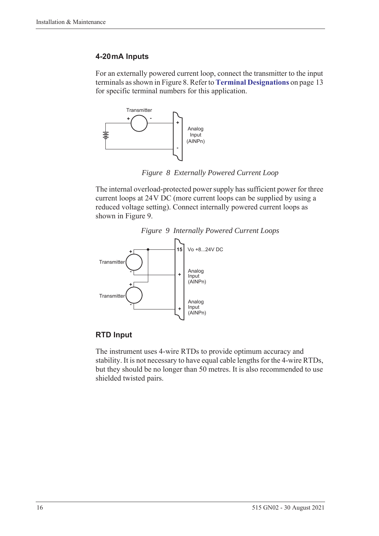### **4-20 mA Inputs**

For an externally powered current loop, connect the transmitter to the input terminals as shown in [Figure 8](#page-25-0). Refer to **[Terminal Designations](#page-22-0)** on page 13 for specific terminal numbers for this application.



*Figure 8 Externally Powered Current Loop*

<span id="page-25-0"></span>The internal overload-protected power supply has sufficient power for three current loops at 24 V DC (more current loops can be supplied by using a reduced voltage setting). Connect internally powered current loops as shown in [Figure 9](#page-25-1).



<span id="page-25-1"></span>

### **RTD Input**

The instrument uses 4-wire RTDs to provide optimum accuracy and stability. It is not necessary to have equal cable lengths for the 4-wire RTDs, but they should be no longer than 50 metres. It is also recommended to use shielded twisted pairs.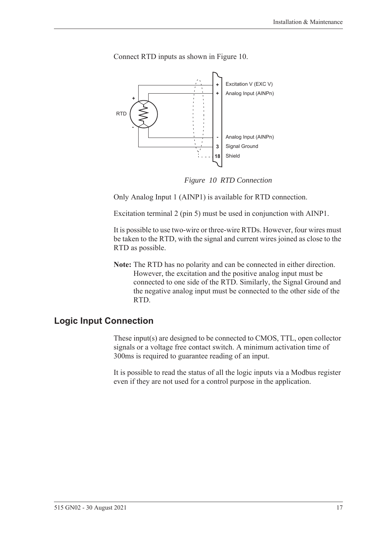

Connect RTD inputs as shown in [Figure 10.](#page-26-1)

*Figure 10 RTD Connection*

<span id="page-26-1"></span>Only Analog Input 1 (AINP1) is available for RTD connection.

Excitation terminal 2 (pin 5) must be used in conjunction with AINP1.

It is possible to use two-wire or three-wire RTDs. However, four wires must be taken to the RTD, with the signal and current wires joined as close to the RTD as possible.

**Note:** The RTD has no polarity and can be connected in either direction. However, the excitation and the positive analog input must be connected to one side of the RTD. Similarly, the Signal Ground and the negative analog input must be connected to the other side of the RTD.

### <span id="page-26-0"></span>**Logic Input Connection**

These input(s) are designed to be connected to CMOS, TTL, open collector signals or a voltage free contact switch. A minimum activation time of 300ms is required to guarantee reading of an input.

It is possible to read the status of all the logic inputs via a Modbus register even if they are not used for a control purpose in the application.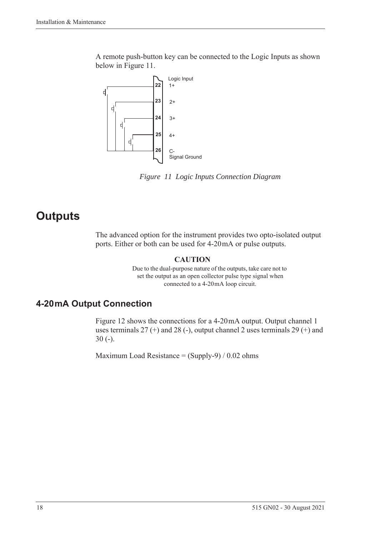A remote push-button key can be connected to the Logic Inputs as shown below in [Figure 11](#page-27-2).



<span id="page-27-2"></span>*Figure 11 Logic Inputs Connection Diagram*

# <span id="page-27-0"></span>**Outputs**

The advanced option for the instrument provides two opto-isolated output ports. Either or both can be used for 4-20 mA or pulse outputs.

### **CAUTION**

Due to the dual-purpose nature of the outputs, take care not to set the output as an open collector pulse type signal when connected to a 4-20 mA loop circuit.

# <span id="page-27-1"></span>**4-20 mA Output Connection**

[Figure 12](#page-28-1) shows the connections for a 4-20 mA output. Output channel 1 uses terminals  $27 (+)$  and  $28 (-)$ , output channel 2 uses terminals  $29 (+)$  and 30 (-).

Maximum Load Resistance =  $(Supply-9) / 0.02$  ohms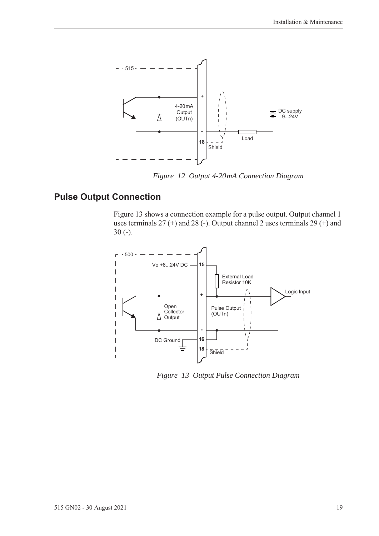

*Figure 12 Output 4-20 mA Connection Diagram*

## <span id="page-28-0"></span>**Pulse Output Connection**

<span id="page-28-1"></span>[Figure 13](#page-28-2) shows a connection example for a pulse output. Output channel 1 uses terminals 27 (+) and 28 (-). Output channel 2 uses terminals 29 (+) and 30 (-).



<span id="page-28-2"></span>*Figure 13 Output Pulse Connection Diagram*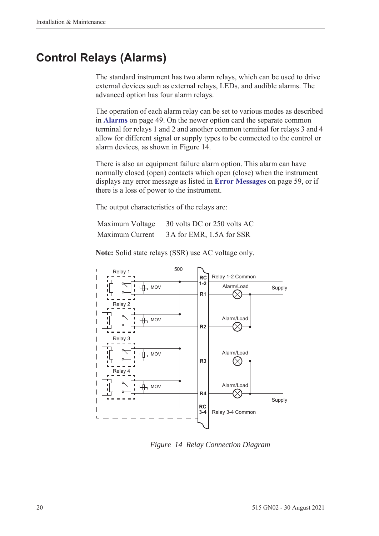# <span id="page-29-0"></span>**Control Relays (Alarms)**

The standard instrument has two alarm relays, which can be used to drive external devices such as external relays, LEDs, and audible alarms. The advanced option has four alarm relays.

The operation of each alarm relay can be set to various modes as described in **Alarms** [on page 49](#page-58-1). On the newer option card the separate common terminal for relays 1 and 2 and another common terminal for relays 3 and 4 allow for different signal or supply types to be connected to the control or alarm devices, as shown in [Figure 14.](#page-29-1)

There is also an equipment failure alarm option. This alarm can have normally closed (open) contacts which open (close) when the instrument displays any error message as listed in **[Error Messages](#page-68-2)** on page 59, or if there is a loss of power to the instrument.

The output characteristics of the relays are:

| Maximum Voltage | 30 volts DC or 250 volts AC |
|-----------------|-----------------------------|
| Maximum Current | 3A for EMR, 1.5A for SSR    |

**Note:** Solid state relays (SSR) use AC voltage only.



<span id="page-29-1"></span>*Figure 14 Relay Connection Diagram*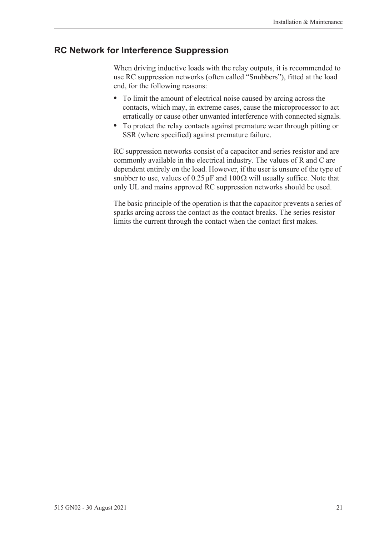### <span id="page-30-0"></span>**RC Network for Interference Suppression**

When driving inductive loads with the relay outputs, it is recommended to use RC suppression networks (often called "Snubbers"), fitted at the load end, for the following reasons:

- **•** To limit the amount of electrical noise caused by arcing across the contacts, which may, in extreme cases, cause the microprocessor to act erratically or cause other unwanted interference with connected signals.
- **•** To protect the relay contacts against premature wear through pitting or SSR (where specified) against premature failure.

RC suppression networks consist of a capacitor and series resistor and are commonly available in the electrical industry. The values of R and C are dependent entirely on the load. However, if the user is unsure of the type of snubber to use, values of  $0.25 \mu$ F and  $100 \Omega$  will usually suffice. Note that only UL and mains approved RC suppression networks should be used.

The basic principle of the operation is that the capacitor prevents a series of sparks arcing across the contact as the contact breaks. The series resistor limits the current through the contact when the contact first makes.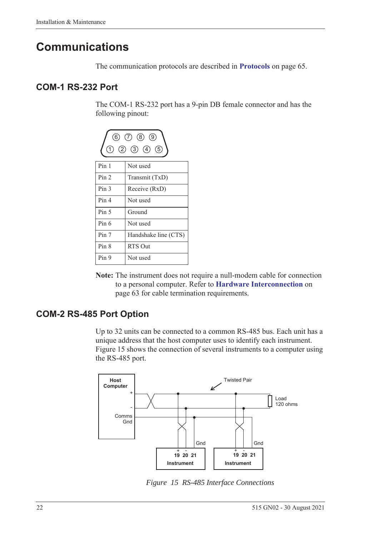# <span id="page-31-0"></span>**Communications**

The communication protocols are described in **Protocols** [on page 65.](#page-74-3)

## <span id="page-31-1"></span>**COM-1 RS-232 Port**

The COM-1 RS-232 port has a 9-pin DB female connector and has the following pinout:



**Note:** The instrument does not require a null-modem cable for connection to a personal computer. Refer to **[Hardware Interconnection](#page-72-4)** on [page 63](#page-72-4) for cable termination requirements.

## <span id="page-31-2"></span>**COM-2 RS-485 Port Option**

Up to 32 units can be connected to a common RS-485 bus. Each unit has a unique address that the host computer uses to identify each instrument. [Figure 15](#page-31-3) shows the connection of several instruments to a computer using the RS-485 port.



<span id="page-31-3"></span>*Figure 15 RS-485 Interface Connections*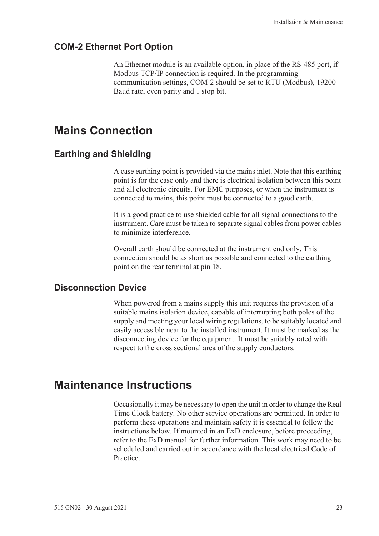## <span id="page-32-0"></span>**COM-2 Ethernet Port Option**

An Ethernet module is an available option, in place of the RS-485 port, if Modbus TCP/IP connection is required. In the programming communication settings, COM-2 should be set to RTU (Modbus), 19200 Baud rate, even parity and 1 stop bit.

# <span id="page-32-1"></span>**Mains Connection**

## <span id="page-32-2"></span>**Earthing and Shielding**

A case earthing point is provided via the mains inlet. Note that this earthing point is for the case only and there is electrical isolation between this point and all electronic circuits. For EMC purposes, or when the instrument is connected to mains, this point must be connected to a good earth.

It is a good practice to use shielded cable for all signal connections to the instrument. Care must be taken to separate signal cables from power cables to minimize interference.

Overall earth should be connected at the instrument end only. This connection should be as short as possible and connected to the earthing point on the rear terminal at pin 18.

### <span id="page-32-3"></span>**Disconnection Device**

When powered from a mains supply this unit requires the provision of a suitable mains isolation device, capable of interrupting both poles of the supply and meeting your local wiring regulations, to be suitably located and easily accessible near to the installed instrument. It must be marked as the disconnecting device for the equipment. It must be suitably rated with respect to the cross sectional area of the supply conductors.

# <span id="page-32-4"></span>**Maintenance Instructions**

Occasionally it may be necessary to open the unit in order to change the Real Time Clock battery. No other service operations are permitted. In order to perform these operations and maintain safety it is essential to follow the instructions below. If mounted in an ExD enclosure, before proceeding, refer to the ExD manual for further information. This work may need to be scheduled and carried out in accordance with the local electrical Code of Practice.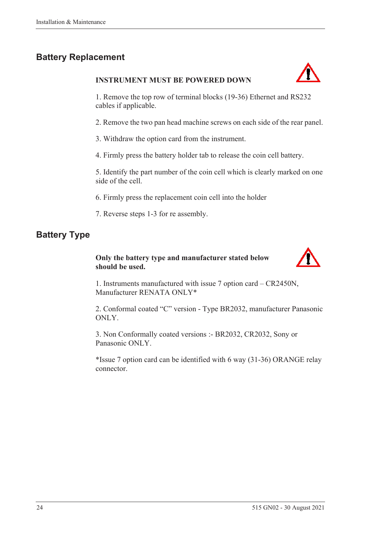# <span id="page-33-0"></span>**Battery Replacement**

### **INSTRUMENT MUST BE POWERED DOWN**



1. Remove the top row of terminal blocks (19-36) Ethernet and RS232 cables if applicable.

2. Remove the two pan head machine screws on each side of the rear panel.

3. Withdraw the option card from the instrument.

4. Firmly press the battery holder tab to release the coin cell battery.

5. Identify the part number of the coin cell which is clearly marked on one side of the cell.

6. Firmly press the replacement coin cell into the holder

7. Reverse steps 1-3 for re assembly.

## <span id="page-33-1"></span>**Battery Type**

### **Only the battery type and manufacturer stated below should be used.**



1. Instruments manufactured with issue 7 option card – CR2450N, Manufacturer RENATA ONLY\*

2. Conformal coated "C" version - Type BR2032, manufacturer Panasonic ONLY.

3. Non Conformally coated versions :- BR2032, CR2032, Sony or Panasonic ONLY.

\*Issue 7 option card can be identified with 6 way (31-36) ORANGE relay connector.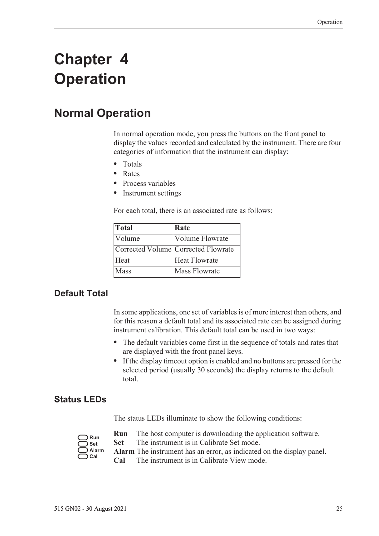# <span id="page-34-0"></span>**Chapter 4 Operation**

# <span id="page-34-1"></span>**Normal Operation**

In normal operation mode, you press the buttons on the front panel to display the values recorded and calculated by the instrument. There are four categories of information that the instrument can display:

- **•** Totals
- **•** Rates
- **•** Process variables
- **•** Instrument settings

For each total, there is an associated rate as follows:

| Total                       | Rate                                |
|-----------------------------|-------------------------------------|
| <i><u><b>Nolume</b></u></i> | <b>Volume Flowrate</b>              |
|                             | Corrected Volume Corrected Flowrate |
| Heat                        | <b>Heat Flowrate</b>                |
| Mass                        | <b>Mass Flowrate</b>                |

# <span id="page-34-2"></span>**Default Total**

In some applications, one set of variables is of more interest than others, and for this reason a default total and its associated rate can be assigned during instrument calibration. This default total can be used in two ways:

- **•** The default variables come first in the sequence of totals and rates that are displayed with the front panel keys.
- **•** If the display timeout option is enabled and no buttons are pressed for the selected period (usually 30 seconds) the display returns to the default total.

### <span id="page-34-3"></span>**Status LEDs**

The status LEDs illuminate to show the following conditions:

| Run   |
|-------|
| Set   |
| Alarm |
| Cal   |

- **Run** The host computer is downloading the application software.
- **Set** The instrument is in Calibrate Set mode.
- **Alarm** The instrument has an error, as indicated on the display panel.
	- **Cal** The instrument is in Calibrate View mode.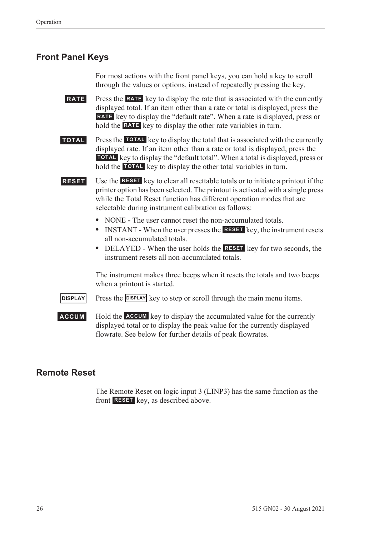## <span id="page-35-0"></span>**Front Panel Keys**

For most actions with the front panel keys, you can hold a key to scroll through the values or options, instead of repeatedly pressing the key.

**RATE** Press the **RATE** key to display the rate that is associated with the currently displayed total. If an item other than a rate or total is displayed, press the RATE key to display the "default rate". When a rate is displayed, press or hold the **RATE** key to display the other rate variables in turn.

**TOTAL** Press the TOTAL key to display the total that is associated with the currently displayed rate. If an item other than a rate or total is displayed, press the **TOTAL** key to display the "default total". When a total is displayed, press or hold the **TOTAL** key to display the other total variables in turn.

**RESET** Use the **RESET** key to clear all resettable totals or to initiate a printout if the printer option has been selected. The printout is activated with a single press while the Total Reset function has different operation modes that are selectable during instrument calibration as follows:

- NONE The user cannot reset the non-accumulated totals.
- INSTANT When the user presses the **RESET** key, the instrument resets all non-accumulated totals.
- DELAYED When the user holds the **RESET** key for two seconds, the instrument resets all non-accumulated totals.

The instrument makes three beeps when it resets the totals and two beeps when a printout is started.

**DISPLAY** Press the **DISPLAY** key to step or scroll through the main menu items.

**ACCUM** Hold the **ACCUM** key to display the accumulated value for the currently displayed total or to display the peak value for the currently displayed flowrate. See below for further details of peak flowrates.

### <span id="page-35-1"></span>**Remote Reset**

The Remote Reset on logic input 3 (LINP3) has the same function as the front **RESET** key, as described above.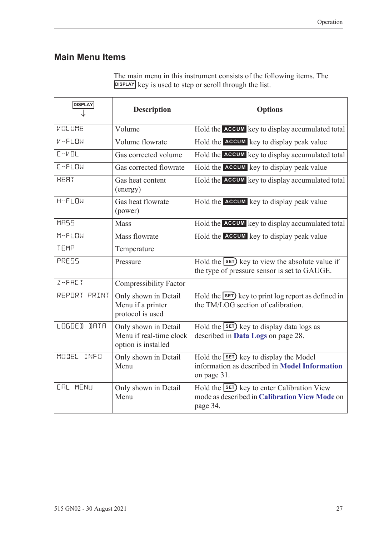# **Main Menu Items**

| The main menu in this instrument consists of the following items. The |
|-----------------------------------------------------------------------|
| DISPLAY key is used to step or scroll through the list.               |

| <b>DISPLAY</b>  | <b>Description</b>                                                     | <b>Options</b>                                                                                                     |
|-----------------|------------------------------------------------------------------------|--------------------------------------------------------------------------------------------------------------------|
| VOLUME          | Volume                                                                 | Hold the ACCUM key to display accumulated total                                                                    |
| $V$ -FLOW       | Volume flowrate                                                        | Hold the <b>ACCUM</b> key to display peak value                                                                    |
| $L - VDL$       | Gas corrected volume                                                   | Hold the ACCUM key to display accumulated total                                                                    |
| $L-FLOW$        | Gas corrected flowrate                                                 | Hold the <b>ACCUM</b> key to display peak value                                                                    |
| HERT            | Gas heat content<br>(energy)                                           | Hold the ACCUM key to display accumulated total                                                                    |
| $H-FLDW$        | Gas heat flowrate<br>(power)                                           | Hold the <b>ACCUM</b> key to display peak value                                                                    |
| <b>MR55</b>     | Mass                                                                   | Hold the ACCUM key to display accumulated total                                                                    |
| $M-FLDW$        | Mass flowrate                                                          | Hold the ACCUM key to display peak value                                                                           |
| TEMP            | Temperature                                                            |                                                                                                                    |
| PRESS           | Pressure                                                               | Hold the $\overline{\text{SET}}$ key to view the absolute value if<br>the type of pressure sensor is set to GAUGE. |
| $Z-FHCT$        | <b>Compressibility Factor</b>                                          |                                                                                                                    |
| REPORT PRINT    | Only shown in Detail<br>Menu if a printer<br>protocol is used          | Hold the SET key to print log report as defined in<br>the TM/LOG section of calibration.                           |
| LOGGED DATA     | Only shown in Detail<br>Menu if real-time clock<br>option is installed | Hold the SET) key to display data logs as<br>described in Data Logs on page 28.                                    |
| MODEL INFO      | Only shown in Detail<br>Menu                                           | Hold the <b>SET</b> key to display the Model<br>information as described in Model Information<br>on page 31.       |
| <b>CAL MENU</b> | Only shown in Detail<br>Menu                                           | Hold the SET) key to enter Calibration View<br>mode as described in Calibration View Mode on<br>page 34.           |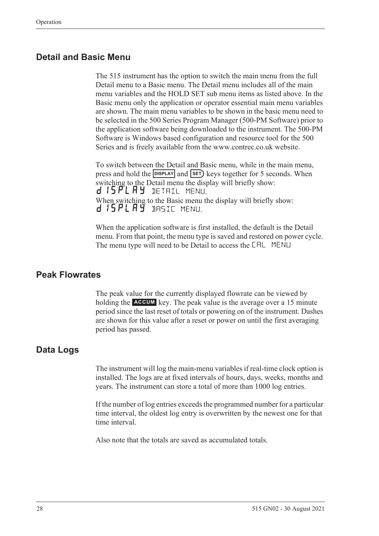### **Detail and Basic Menu**

The 515 instrument has the option to switch the main menu from the full Detail menu to a Basic menu. The Detail menu includes all of the main menu variables and the HOLD SET sub menu items as listed above. In the Basic menu only the application or operator essential main menu variables are shown. The main menu variables to be shown in the basic menu need to be selected in the 500 Series Program Manager (500-PM Software) prior to the application software being downloaded to the instrument. The 500-PM Software is Windows based configuration and resource tool for the 500 Series and is freely available from the www.contrec.co.uk website.

To switch between the Detail and Basic menu, while in the main menu, press and hold the **DISPLAY** and **SET**) keys together for 5 seconds. When switching to the Detail menu the display will briefly show: d 15 PL A Y DETAIL MENU. When switching to the Basic menu the display will briefly show: d 15PLAY BASIC MENU.

When the application software is first installed, the default is the Detail menu. From that point, the menu type is saved and restored on power cycle. The menu type will need to be Detail to access the CAL MENU

### **Peak Flowrates**

The peak value for the currently displayed flowrate can be viewed by holding the **ACCUM** key. The peak value is the average over a 15 minute period since the last reset of totals or powering on of the instrument. Dashes are shown for this value after a reset or power on until the first averaging period has passed.

#### <span id="page-37-0"></span>**Data Logs**

The instrument will log the main-menu variables if real-time clock option is installed. The logs are at fixed intervals of hours, days, weeks, months and years. The instrument can store a total of more than 1000 log entries.

If the number of log entries exceeds the programmed number for a particular time interval, the oldest log entry is overwritten by the newest one for that time interval.

Also note that the totals are saved as accumulated totals.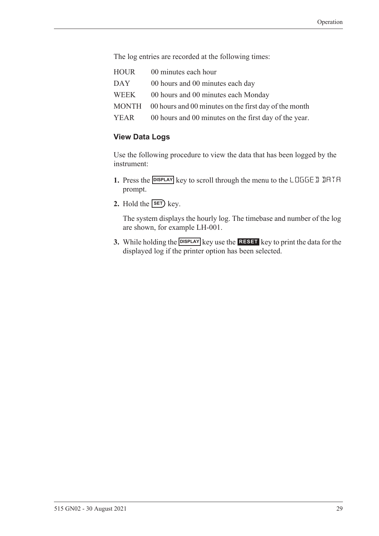The log entries are recorded at the following times:

HOUR 00 minutes each hour DAY 00 hours and 00 minutes each day WEEK 00 hours and 00 minutes each Monday MONTH 00 hours and 00 minutes on the first day of the month YEAR 00 hours and 00 minutes on the first day of the year.

#### **View Data Logs**

Use the following procedure to view the data that has been logged by the instrument:

- **1.** Press the **DISPLAY** key to scroll through the menu to the LOGGE D DATA prompt.
- **2.** Hold the  $\overline{\text{SET}}$  key.

The system displays the hourly log. The timebase and number of the log are shown, for example LH-001.

**3.** While holding the **DISPLAY** key use the **RESET** key to print the data for the displayed log if the printer option has been selected.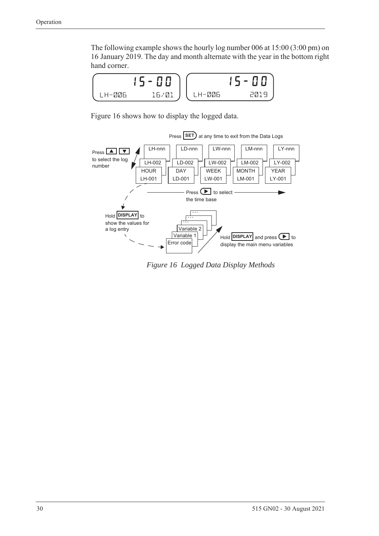The following example shows the hourly log number 006 at 15:00 (3:00 pm) on 16 January 2019. The day and month alternate with the year in the bottom right hand corner.



[Figure 16](#page-39-0) shows how to display the logged data.



<span id="page-39-0"></span>*Figure 16 Logged Data Display Methods*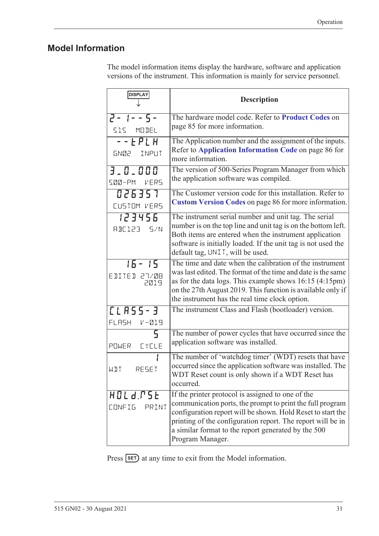# <span id="page-40-1"></span><span id="page-40-0"></span>**Model Information**

The model information items display the hardware, software and application versions of the instrument. This information is mainly for service personnel.

| <b>DISPLAY</b>                    | <b>Description</b>                                                                                                                                                                                                                                                                                                      |
|-----------------------------------|-------------------------------------------------------------------------------------------------------------------------------------------------------------------------------------------------------------------------------------------------------------------------------------------------------------------------|
| $7 - 1 - 5 -$<br>SIS MODEL        | The hardware model code. Refer to Product Codes on<br>page 85 for more information.                                                                                                                                                                                                                                     |
| $  EPLH$<br>GN02 INPUT            | The Application number and the assignment of the inputs.<br>Refer to Application Information Code on page 86 for<br>more information.                                                                                                                                                                                   |
| 3.0.000<br>SØØ-PM VERS            | The version of 500-Series Program Manager from which<br>the application software was compiled.                                                                                                                                                                                                                          |
| 026357<br>CUSTOM VERS             | The Customer version code for this installation. Refer to<br>Custom Version Codes on page 86 for more information.                                                                                                                                                                                                      |
| 123456<br>RBE123 5/N              | The instrument serial number and unit tag. The serial<br>number is on the top line and unit tag is on the bottom left.<br>Both items are entered when the instrument application<br>software is initially loaded. If the unit tag is not used the<br>default tag, UNIT, will be used.                                   |
| $15 - 15$<br>EDITED 27/08<br>2019 | The time and date when the calibration of the instrument<br>was last edited. The format of the time and date is the same<br>as for the data logs. This example shows $16:15(4:15pm)$<br>on the 27th August 2019. This function is available only if<br>the instrument has the real time clock option.                   |
| [LA55-3<br>FLASH<br>$V - 219$     | The instrument Class and Flash (bootloader) version.                                                                                                                                                                                                                                                                    |
| 5<br>POWER EYELE                  | The number of power cycles that have occurred since the<br>application software was installed.                                                                                                                                                                                                                          |
| WIT<br>RESET                      | The number of 'watchdog timer' (WDT) resets that have<br>occurred since the application software was installed. The<br>WDT Reset count is only shown if a WDT Reset has<br>occurred.                                                                                                                                    |
| HOLd.PSE<br>CONFIG<br>PRINT       | If the printer protocol is assigned to one of the<br>communication ports, the prompt to print the full program<br>configuration report will be shown. Hold Reset to start the<br>printing of the configuration report. The report will be in<br>a similar format to the report generated by the 500<br>Program Manager. |

Press **SET**) at any time to exit from the Model information.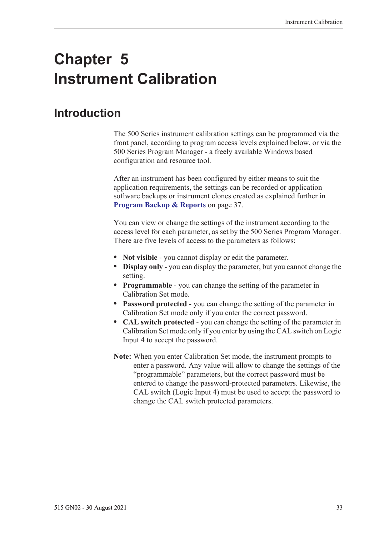# **Chapter 5 Instrument Calibration**

# **Introduction**

The 500 Series instrument calibration settings can be programmed via the front panel, according to program access levels explained below, or via the 500 Series Program Manager - a freely available Windows based configuration and resource tool.

After an instrument has been configured by either means to suit the application requirements, the settings can be recorded or application software backups or instrument clones created as explained further in **[Program Backup & Reports](#page-46-0)** on page 37.

You can view or change the settings of the instrument according to the access level for each parameter, as set by the 500 Series Program Manager. There are five levels of access to the parameters as follows:

- **• Not visible** you cannot display or edit the parameter.
- **• Display only** you can display the parameter, but you cannot change the setting.
- **• Programmable** you can change the setting of the parameter in Calibration Set mode.
- **• Password protected** you can change the setting of the parameter in Calibration Set mode only if you enter the correct password.
- **• CAL switch protected**  you can change the setting of the parameter in Calibration Set mode only if you enter by using the CAL switch on Logic Input 4 to accept the password.
- **Note:** When you enter Calibration Set mode, the instrument prompts to enter a password. Any value will allow to change the settings of the "programmable" parameters, but the correct password must be entered to change the password-protected parameters. Likewise, the CAL switch (Logic Input 4) must be used to accept the password to change the CAL switch protected parameters.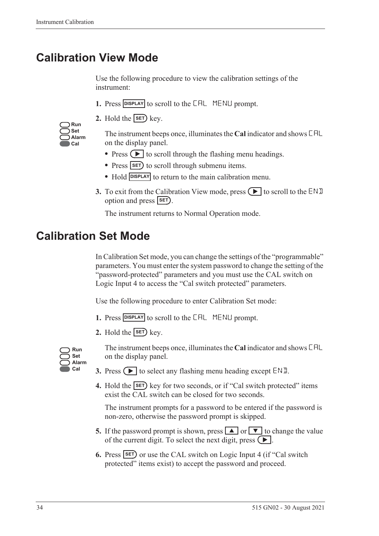# <span id="page-43-0"></span>**Calibration View Mode**

Use the following procedure to view the calibration settings of the instrument:

- 1. Press **DISPLAY** to scroll to the **CAL** MENLI prompt.
- **2.** Hold the  $\overline{\text{SET}}$  key.

| Run   |
|-------|
| Set   |
| Alarm |
| Cal   |

The instrument beeps once, illuminates the **Cal** indicator and shows CAL on the display panel.

- Press  $\left( \blacktriangleright \right)$  to scroll through the flashing menu headings.
- Press **SET**) to scroll through submenu items.
- Hold **DISPLAY** to return to the main calibration menu.
- **3.** To exit from the Calibration View mode, press  $\Box$  to scroll to the END option and press **SET**).

The instrument returns to Normal Operation mode.

# **Calibration Set Mode**

In Calibration Set mode, you can change the settings of the "programmable" parameters. You must enter the system password to change the setting of the "password-protected" parameters and you must use the CAL switch on Logic Input 4 to access the "Cal switch protected" parameters.

Use the following procedure to enter Calibration Set mode:

- **1.** Press **DISPLAY** to scroll to the **CAL** MENLI prompt.
- **2.** Hold the  $\overline{\text{SET}}$  key.



The instrument beeps once, illuminates the **Cal** indicator and shows CAL on the display panel.

- **3.** Press  $\left( \blacktriangleright \right)$  to select any flashing menu heading except END.
- **4.** Hold the **SET** key for two seconds, or if "Cal switch protected" items exist the CAL switch can be closed for two seconds.

The instrument prompts for a password to be entered if the password is non-zero, otherwise the password prompt is skipped.

- **5.** If the password prompt is shown, press  $\boxed{\blacktriangle}$  or  $\boxed{\blacktriangledown}$  to change the value of the current digit. To select the next digit, press  $\left( \blacktriangleright \right)$ .
- **6.** Press **SET** or use the CAL switch on Logic Input 4 (if "Cal switch protected" items exist) to accept the password and proceed.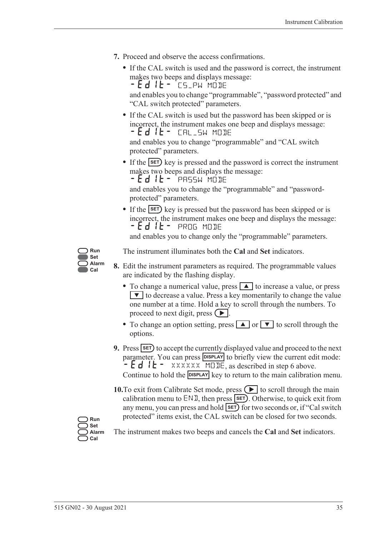- **7.** Proceed and observe the access confirmations.
	- **•** If the CAL switch is used and the password is correct, the instrument makes two beeps and displays message: - Ed IL - CS\_PW MODE

and enables you to change "programmable", "password protected" and "CAL switch protected" parameters.

**•** If the CAL switch is used but the password has been skipped or is incorrect, the instrument makes one beep and displays message: -EDIT- CAL\_SW MODE

and enables you to change "programmable" and "CAL switch protected" parameters.

• If the **SET**) key is pressed and the password is correct the instrument makes two beeps and displays the message:

 $-Ed$  it - PASSW MODE

and enables you to change the "programmable" and "passwordprotected" parameters.

• If the **SET**) key is pressed but the password has been skipped or is incorrect, the instrument makes one beep and displays the message: -EDIT- PROG MODE

and enables you to change only the "programmable" parameters.



The instrument illuminates both the **Cal** and **Set** indicators.

- **8.** Edit the instrument parameters as required. The programmable values are indicated by the flashing display.
	- To change a numerical value, press **A** to increase a value, or press  $\blacktriangledown$  to decrease a value. Press a key momentarily to change the value one number at a time. Hold a key to scroll through the numbers. To proceed to next digit, press  $( \blacktriangleright ).$
	- To change an option setting, press **A** or  $\bullet$  to scroll through the options.
- **9.** Press **SET** to accept the currently displayed value and proceed to the next parameter. You can press **DISPLAY** to briefly view the current edit mode:  $-Ed$   $E - \frac{2}{x}$  XXXXXX MODE, as described in step 6 above. Continue to hold the **DISPLAY** key to return to the main calibration menu.
- **10.**To exit from Calibrate Set mode, press  $\left( \blacktriangleright \right)$  to scroll through the main calibration menu to  $ENI$ , then press  $SET$ . Otherwise, to quick exit from any menu, you can press and hold **SET** for two seconds or, if "Cal switch protected" items exist, the CAL switch can be closed for two seconds.

**Run Set Alarm Cal**

The instrument makes two beeps and cancels the **Cal** and **Set** indicators.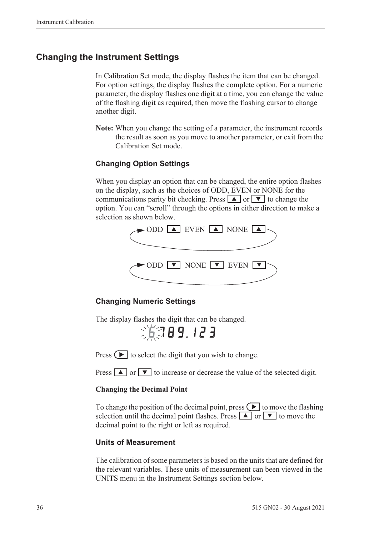## **Changing the Instrument Settings**

In Calibration Set mode, the display flashes the item that can be changed. For option settings, the display flashes the complete option. For a numeric parameter, the display flashes one digit at a time, you can change the value of the flashing digit as required, then move the flashing cursor to change another digit.

**Note:** When you change the setting of a parameter, the instrument records the result as soon as you move to another parameter, or exit from the Calibration Set mode.

### **Changing Option Settings**

When you display an option that can be changed, the entire option flashes on the display, such as the choices of ODD, EVEN or NONE for the communications parity bit checking. Press  $\boxed{\blacktriangle}$  or  $\boxed{\blacktriangledown}$  to change the option. You can "scroll" through the options in either direction to make a selection as shown below.



#### **Changing Numeric Settings**

The display flashes the digit that can be changed.

第第89.123

Press  $\left( \blacktriangleright \right)$  to select the digit that you wish to change.

Press  $\boxed{\blacktriangle}$  or  $\boxed{\blacktriangledown}$  to increase or decrease the value of the selected digit.

#### **Changing the Decimal Point**

To change the position of the decimal point, press  $\Box$  to move the flashing selection until the decimal point flashes. Press  $\boxed{\blacktriangle}$  or  $\boxed{\blacktriangledown}$  to move the decimal point to the right or left as required.

#### **Units of Measurement**

The calibration of some parameters is based on the units that are defined for the relevant variables. These units of measurement can been viewed in the UNITS menu in the Instrument Settings section below.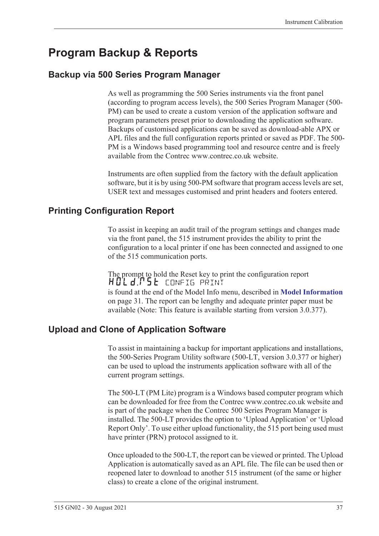# <span id="page-46-0"></span>**Program Backup & Reports**

### **Backup via 500 Series Program Manager**

As well as programming the 500 Series instruments via the front panel (according to program access levels), the 500 Series Program Manager (500- PM) can be used to create a custom version of the application software and program parameters preset prior to downloading the application software. Backups of customised applications can be saved as download-able APX or APL files and the full configuration reports printed or saved as PDF. The 500- PM is a Windows based programming tool and resource centre and is freely available from the Contrec www.contrec.co.uk website.

Instruments are often supplied from the factory with the default application software, but it is by using 500-PM software that program access levels are set, USER text and messages customised and print headers and footers entered.

### **Printing Configuration Report**

To assist in keeping an audit trail of the program settings and changes made via the front panel, the 515 instrument provides the ability to print the configuration to a local printer if one has been connected and assigned to one of the 515 communication ports.

The prompt to hold the Reset key to print the configuration report HOLd:P5E config print is found at the end of the Model Info menu, described in **[Model Information](#page-40-1)** [on page 31](#page-40-1). The report can be lengthy and adequate printer paper must be available (Note: This feature is available starting from version 3.0.377).

### **Upload and Clone of Application Software**

To assist in maintaining a backup for important applications and installations, the 500-Series Program Utility software (500-LT, version 3.0.377 or higher) can be used to upload the instruments application software with all of the current program settings.

The 500-LT (PM Lite) program is a Windows based computer program which can be downloaded for free from the Contrec www.contrec.co.uk website and is part of the package when the Contrec 500 Series Program Manager is installed. The 500-LT provides the option to 'Upload Application' or 'Upload Report Only'. To use either upload functionality, the 515 port being used must have printer (PRN) protocol assigned to it.

Once uploaded to the 500-LT, the report can be viewed or printed. The Upload Application is automatically saved as an APL file. The file can be used then or reopened later to download to another 515 instrument (of the same or higher class) to create a clone of the original instrument.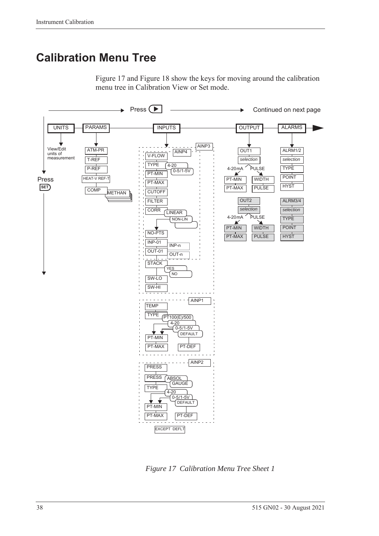# **Calibration Menu Tree**

[Figure 17](#page-47-0) and [Figure 18](#page-48-0) show the keys for moving around the calibration menu tree in Calibration View or Set mode.



<span id="page-47-0"></span>*Figure 17 Calibration Menu Tree Sheet 1*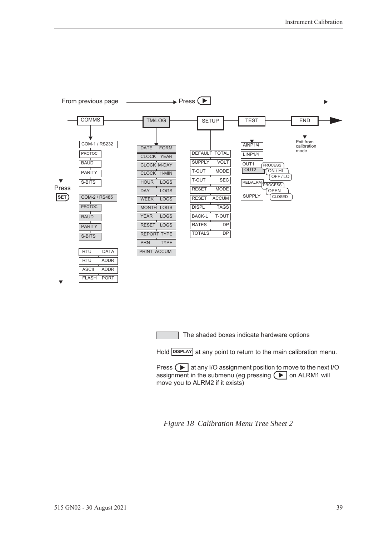

The shaded boxes indicate hardware options

Hold **DISPLAY** at any point to return to the main calibration menu.

Press  $\Box$  at any I/O assignment position to move to the next I/O assignment in the submenu (eg pressing  $\left( \blacktriangleright \right)$  on ALRM1 will move you to ALRM2 if it exists)

<span id="page-48-0"></span>*Figure 18 Calibration Menu Tree Sheet 2*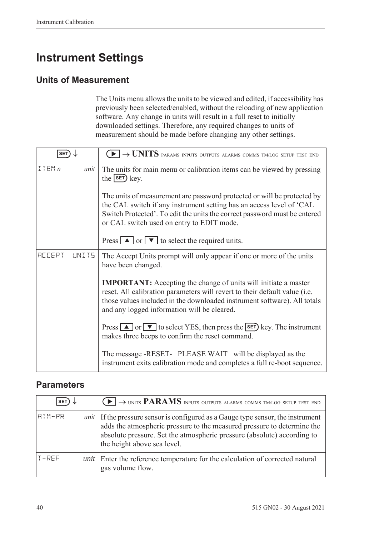# **Instrument Settings**

## **Units of Measurement**

The Units menu allows the units to be viewed and edited, if accessibility has previously been selected/enabled, without the reloading of new application software. Any change in units will result in a full reset to initially downloaded settings. Therefore, any required changes to units of measurement should be made before changing any other settings.

| <b>SET</b>             | $\blacktriangleright$ $\rightarrow$ UNITS params inputs outputs alarms comms tm/log setup test end                                                                                                                                                                              |  |
|------------------------|---------------------------------------------------------------------------------------------------------------------------------------------------------------------------------------------------------------------------------------------------------------------------------|--|
| ITEMn<br>unit          | The units for main menu or calibration items can be viewed by pressing<br>the $\left  \text{set} \right $ key.                                                                                                                                                                  |  |
|                        | The units of measurement are password protected or will be protected by<br>the CAL switch if any instrument setting has an access level of 'CAL<br>Switch Protected'. To edit the units the correct password must be entered<br>or CAL switch used on entry to EDIT mode.       |  |
|                        | Press $\boxed{\blacktriangle}$ or $\boxed{\blacktriangledown}$ to select the required units.                                                                                                                                                                                    |  |
| <b>ACCEPT</b><br>UNIT5 | The Accept Units prompt will only appear if one or more of the units<br>have been changed.                                                                                                                                                                                      |  |
|                        | <b>IMPORTANT:</b> Accepting the change of units will initiate a master<br>reset. All calibration parameters will revert to their default value (i.e.<br>those values included in the downloaded instrument software). All totals<br>and any logged information will be cleared. |  |
|                        | Press $\Box$ or $\nabla$ to select YES, then press the <b>SET</b> ) key. The instrument<br>makes three beeps to confirm the reset command.                                                                                                                                      |  |
|                        | The message -RESET- PLEASE WAIT will be displayed as the<br>instrument exits calibration mode and completes a full re-boot sequence.                                                                                                                                            |  |

### **Parameters**

| <b>SET</b> |      | $\left(\blacktriangleright\right)\rightarrow$ units PARAMS inputs outputs alarms comms tm/log setup test end                                                                                                                                                                 |
|------------|------|------------------------------------------------------------------------------------------------------------------------------------------------------------------------------------------------------------------------------------------------------------------------------|
| IATM-PR    |      | <i>unit</i> If the pressure sensor is configured as a Gauge type sensor, the instrument<br>adds the atmospheric pressure to the measured pressure to determine the<br>absolute pressure. Set the atmospheric pressure (absolute) according to<br>the height above sea level. |
| $T-RFF$    | unit | Enter the reference temperature for the calculation of corrected natural<br>gas volume flow.                                                                                                                                                                                 |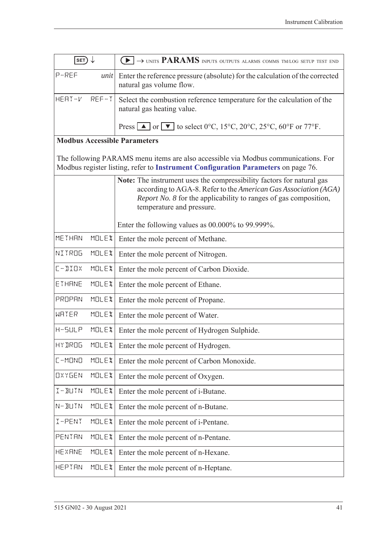| SET)           |              | $\blacktriangleright$ $\rightarrow$ units PARAMS inputs outputs alarms comms tm/log setup test end                                                                                                                                               |
|----------------|--------------|--------------------------------------------------------------------------------------------------------------------------------------------------------------------------------------------------------------------------------------------------|
| P-REF          | unit         | Enter the reference pressure (absolute) for the calculation of the corrected<br>natural gas volume flow.                                                                                                                                         |
| HERT-V         | $REF-T$      | Select the combustion reference temperature for the calculation of the<br>natural gas heating value.                                                                                                                                             |
|                |              | Press $\boxed{\blacktriangle}$ or $\boxed{\blacktriangledown}$ to select 0°C, 15°C, 20°C, 25°C, 60°F or 77°F.                                                                                                                                    |
|                |              | <b>Modbus Accessible Parameters</b>                                                                                                                                                                                                              |
|                |              | The following PARAMS menu items are also accessible via Modbus communications. For<br>Modbus register listing, refer to Instrument Configuration Parameters on page 76.                                                                          |
|                |              | Note: The instrument uses the compressibility factors for natural gas<br>according to AGA-8. Refer to the American Gas Association (AGA)<br><i>Report No. 8</i> for the applicability to ranges of gas composition,<br>temperature and pressure. |
|                |              | Enter the following values as $00.000\%$ to 99.999%.                                                                                                                                                                                             |
| <b>METHAN</b>  | MOLEX        | Enter the mole percent of Methane.                                                                                                                                                                                                               |
| <b>NITROG</b>  | <b>MOLEX</b> | Enter the mole percent of Nitrogen.                                                                                                                                                                                                              |
| $L - IIIIX$    | <b>MOLEX</b> | Enter the mole percent of Carbon Dioxide.                                                                                                                                                                                                        |
| ETHANE         | MOLEX        | Enter the mole percent of Ethane.                                                                                                                                                                                                                |
| PROPAN         | <b>MOLEX</b> | Enter the mole percent of Propane.                                                                                                                                                                                                               |
| WRTER          | <b>MOLEX</b> | Enter the mole percent of Water.                                                                                                                                                                                                                 |
| H-SULP         | <b>MOLEX</b> | Enter the mole percent of Hydrogen Sulphide.                                                                                                                                                                                                     |
| <b>HY JROG</b> | MOLEX        | Enter the mole percent of Hydrogen.                                                                                                                                                                                                              |
| $C - MON$      | MOLEX        | Enter the mole percent of Carbon Monoxide.                                                                                                                                                                                                       |
| OXYGEN         | MOLEX        | Enter the mole percent of Oxygen.                                                                                                                                                                                                                |
| $I - B$ $UN$   | MOLEX        | Enter the mole percent of i-Butane.                                                                                                                                                                                                              |
| N-BUIN         | MOLEX        | Enter the mole percent of n-Butane.                                                                                                                                                                                                              |
| I-PENT         | MOLEX        | Enter the mole percent of i-Pentane.                                                                                                                                                                                                             |
| PENTAN         | MOLEX        | Enter the mole percent of n-Pentane.                                                                                                                                                                                                             |
| <b>HEXRNE</b>  | MOLEX        | Enter the mole percent of n-Hexane.                                                                                                                                                                                                              |
| HEPTAN         | MOLEX        | Enter the mole percent of n-Heptane.                                                                                                                                                                                                             |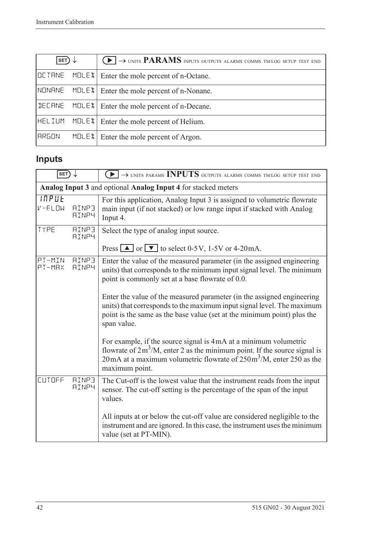| $ $ SET $)\downarrow$ | $\textcolor{blue}{\blacktriangleright} \rightarrow$ units PARAMS inputs outputs alarms comms tm/log setup test end |
|-----------------------|--------------------------------------------------------------------------------------------------------------------|
| [OCTRNE MOLEX]        | Enter the mole percent of n-Octane.                                                                                |
| NONANE MOLEX          | Enter the mole percent of n-Nonane.                                                                                |
|                       | <b>JEERNE</b> MOLE <b>X</b>   Enter the mole percent of n-Decane.                                                  |
|                       | $ HELIUM$ MOLE $X $ Enter the mole percent of Helium.                                                              |
| <b>ARGON</b>          | MULE $\ $ Enter the mole percent of Argon.                                                                         |

# **Inputs**

| SET)                                                          |                              | $\blacktriangleright$ $\rightarrow$ units params INPUTS outputs alarms comms tm/log setup test end                                                                                                                                                                                                                                                                                                                                                                                                                                                                                                                                                                                                               |  |
|---------------------------------------------------------------|------------------------------|------------------------------------------------------------------------------------------------------------------------------------------------------------------------------------------------------------------------------------------------------------------------------------------------------------------------------------------------------------------------------------------------------------------------------------------------------------------------------------------------------------------------------------------------------------------------------------------------------------------------------------------------------------------------------------------------------------------|--|
| Analog Input 3 and optional Analog Input 4 for stacked meters |                              |                                                                                                                                                                                                                                                                                                                                                                                                                                                                                                                                                                                                                                                                                                                  |  |
| INPUE<br>$V - FLOW$                                           | <b>AINP3</b><br><b>AINP4</b> | For this application, Analog Input 3 is assigned to volumetric flowrate<br>main input (if not stacked) or low range input if stacked with Analog<br>Input 4.                                                                                                                                                                                                                                                                                                                                                                                                                                                                                                                                                     |  |
| TYPE                                                          | <b>AINP3</b><br><b>AINP4</b> | Select the type of analog input source.<br>Press $\boxed{\blacktriangle}$ or $\boxed{\blacktriangledown}$ to select 0-5V, 1-5V or 4-20mA.                                                                                                                                                                                                                                                                                                                                                                                                                                                                                                                                                                        |  |
| PT-MIN<br>PT-MAX                                              | RINP3<br><b>AINP4</b>        | Enter the value of the measured parameter (in the assigned engineering<br>units) that corresponds to the minimum input signal level. The minimum<br>point is commonly set at a base flowrate of 0.0.<br>Enter the value of the measured parameter (in the assigned engineering<br>units) that corresponds to the maximum input signal level. The maximum<br>point is the same as the base value (set at the minimum point) plus the<br>span value.<br>For example, if the source signal is 4mA at a minimum volumetric<br>flowrate of $2m3/M$ , enter 2 as the minimum point. If the source signal is<br>20mA at a maximum volumetric flowrate of $250 \text{m}^3/\text{M}$ , enter 250 as the<br>maximum point. |  |
| CUTOFF                                                        | <b>AINP3</b><br><b>AINP4</b> | The Cut-off is the lowest value that the instrument reads from the input<br>sensor. The cut-off setting is the percentage of the span of the input<br>values.<br>All inputs at or below the cut-off value are considered negligible to the<br>instrument and are ignored. In this case, the instrument uses the minimum<br>value (set at PT-MIN).                                                                                                                                                                                                                                                                                                                                                                |  |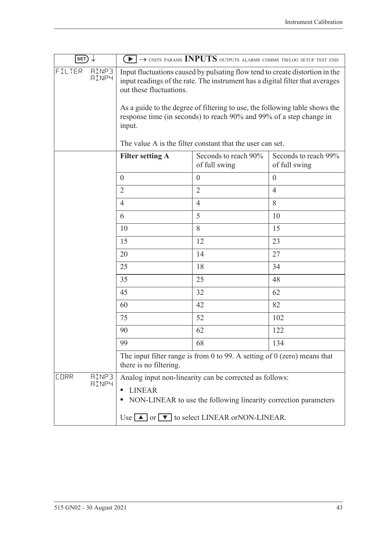| SET)                                        |                                                                                                                                                                                                                                                                                                                                                          | $\textcolor{blue}{\blacktriangleright} \rightarrow$ units params INPUTS outputs alarms comms tm/log setup test end                                                                   |                                       |
|---------------------------------------------|----------------------------------------------------------------------------------------------------------------------------------------------------------------------------------------------------------------------------------------------------------------------------------------------------------------------------------------------------------|--------------------------------------------------------------------------------------------------------------------------------------------------------------------------------------|---------------------------------------|
| FILTER<br><b>AINP3</b><br><b>AINP4</b>      | Input fluctuations caused by pulsating flow tend to create distortion in the<br>input readings of the rate. The instrument has a digital filter that averages<br>out these fluctuations.<br>As a guide to the degree of filtering to use, the following table shows the<br>response time (in seconds) to reach 90% and 99% of a step change in<br>input. |                                                                                                                                                                                      |                                       |
|                                             |                                                                                                                                                                                                                                                                                                                                                          | The value A is the filter constant that the user can set.                                                                                                                            |                                       |
|                                             | <b>Filter setting A</b>                                                                                                                                                                                                                                                                                                                                  | Seconds to reach 90%<br>of full swing                                                                                                                                                | Seconds to reach 99%<br>of full swing |
|                                             | $\theta$                                                                                                                                                                                                                                                                                                                                                 | $\overline{0}$                                                                                                                                                                       | $\theta$                              |
|                                             | $\overline{2}$                                                                                                                                                                                                                                                                                                                                           | $\overline{2}$                                                                                                                                                                       | $\overline{4}$                        |
|                                             | $\overline{4}$                                                                                                                                                                                                                                                                                                                                           | $\overline{4}$                                                                                                                                                                       | 8                                     |
|                                             | 6                                                                                                                                                                                                                                                                                                                                                        | 5                                                                                                                                                                                    | 10                                    |
|                                             | 10                                                                                                                                                                                                                                                                                                                                                       | 8                                                                                                                                                                                    | 15                                    |
|                                             | 15                                                                                                                                                                                                                                                                                                                                                       | 12                                                                                                                                                                                   | 23                                    |
|                                             | 20                                                                                                                                                                                                                                                                                                                                                       | 14                                                                                                                                                                                   | 27                                    |
|                                             | 25                                                                                                                                                                                                                                                                                                                                                       | 18                                                                                                                                                                                   | 34                                    |
|                                             | 35                                                                                                                                                                                                                                                                                                                                                       | 25                                                                                                                                                                                   | 48                                    |
|                                             | 45                                                                                                                                                                                                                                                                                                                                                       | 32                                                                                                                                                                                   | 62                                    |
|                                             | 60                                                                                                                                                                                                                                                                                                                                                       | 42                                                                                                                                                                                   | 82                                    |
|                                             | 75                                                                                                                                                                                                                                                                                                                                                       | 52                                                                                                                                                                                   | 102                                   |
|                                             | 90                                                                                                                                                                                                                                                                                                                                                       | 62                                                                                                                                                                                   | 122                                   |
|                                             | 99                                                                                                                                                                                                                                                                                                                                                       | 68                                                                                                                                                                                   | 134                                   |
|                                             | there is no filtering.                                                                                                                                                                                                                                                                                                                                   | The input filter range is from 0 to 99. A setting of $0$ (zero) means that                                                                                                           |                                       |
| <b>CORR</b><br><b>AINP3</b><br><b>AINP4</b> | <b>LINEAR</b><br>$\bullet$                                                                                                                                                                                                                                                                                                                               | Analog input non-linearity can be corrected as follows:<br>NON-LINEAR to use the following linearity correction parameters<br>Use $\Box$ or $\nabla$ to select LINEAR or NON-LINEAR. |                                       |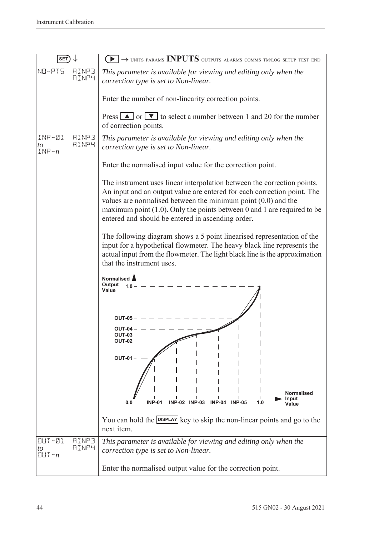| <b>SET</b>                          |                              | $\rightarrow$ UNITS PARAMS INPUTS OUTPUTS ALARMS COMMS TM/LOG SETUP TEST END                                                                                                                                                                                                                                                                             |  |
|-------------------------------------|------------------------------|----------------------------------------------------------------------------------------------------------------------------------------------------------------------------------------------------------------------------------------------------------------------------------------------------------------------------------------------------------|--|
| NO-PIS                              | RINP3<br><b>AINP4</b>        | This parameter is available for viewing and editing only when the<br>correction type is set to Non-linear.                                                                                                                                                                                                                                               |  |
|                                     |                              | Enter the number of non-linearity correction points.                                                                                                                                                                                                                                                                                                     |  |
|                                     |                              | Press $\Box$ or $\nabla$ to select a number between 1 and 20 for the number<br>of correction points.                                                                                                                                                                                                                                                     |  |
| $INP - Q1$<br>to<br>$INP - n$       | <b>AINP3</b><br><b>AINP4</b> | This parameter is available for viewing and editing only when the<br>correction type is set to Non-linear.                                                                                                                                                                                                                                               |  |
|                                     |                              | Enter the normalised input value for the correction point.                                                                                                                                                                                                                                                                                               |  |
|                                     |                              | The instrument uses linear interpolation between the correction points.<br>An input and an output value are entered for each correction point. The<br>values are normalised between the minimum point $(0.0)$ and the<br>maximum point $(1.0)$ . Only the points between 0 and 1 are required to be<br>entered and should be entered in ascending order. |  |
|                                     |                              | The following diagram shows a 5 point linearised representation of the<br>input for a hypothetical flowmeter. The heavy black line represents the<br>actual input from the flowmeter. The light black line is the approximation<br>that the instrument uses.                                                                                             |  |
|                                     |                              | Normalised<br>Output<br>1.0<br>Value                                                                                                                                                                                                                                                                                                                     |  |
|                                     |                              | <b>OUT-05</b><br>OUT-04<br>OUT-03<br><b>OUT-02</b><br><b>OUT-01</b>                                                                                                                                                                                                                                                                                      |  |
|                                     |                              | <b>Normalised</b><br>Input<br><b>INP-01</b><br>INP-02 INP-03<br>0.0<br><b>INP-04</b><br><b>INP-05</b><br>1.0<br>Value                                                                                                                                                                                                                                    |  |
|                                     |                              | You can hold the DISPLAY key to skip the non-linear points and go to the<br>next item.                                                                                                                                                                                                                                                                   |  |
| $UUT - 21$<br>to<br>$[[] \cup [-n]$ | <b>AINP3</b><br><b>AINP4</b> | This parameter is available for viewing and editing only when the<br>correction type is set to Non-linear.                                                                                                                                                                                                                                               |  |
|                                     |                              | Enter the normalised output value for the correction point.                                                                                                                                                                                                                                                                                              |  |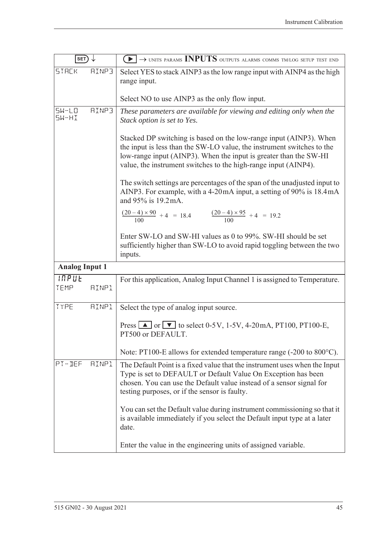| SET)                                 | $\left(\blacktriangleright\right)\rightarrow$ units params INPUTS outputs alarms comms tm/log setup test end                                                                                                                                                                         |
|--------------------------------------|--------------------------------------------------------------------------------------------------------------------------------------------------------------------------------------------------------------------------------------------------------------------------------------|
| <b>STACK</b><br><b>AINP3</b>         | Select YES to stack AINP3 as the low range input with AINP4 as the high<br>range input.                                                                                                                                                                                              |
|                                      | Select NO to use AINP3 as the only flow input.                                                                                                                                                                                                                                       |
| <b>AINP3</b><br>$5W - L0$<br>5W-HI   | These parameters are available for viewing and editing only when the<br>Stack option is set to Yes.                                                                                                                                                                                  |
|                                      | Stacked DP switching is based on the low-range input (AINP3). When<br>the input is less than the SW-LO value, the instrument switches to the<br>low-range input (AINP3). When the input is greater than the SW-HI<br>value, the instrument switches to the high-range input (AINP4). |
|                                      | The switch settings are percentages of the span of the unadjusted input to<br>AINP3. For example, with a 4-20mA input, a setting of 90% is 18.4mA<br>and 95% is 19.2mA.                                                                                                              |
|                                      | $\frac{(20-4) \times 90}{100} + 4 = 18.4$ $\frac{(20-4) \times 95}{100} + 4 = 19.2$                                                                                                                                                                                                  |
|                                      | Enter SW-LO and SW-HI values as 0 to 99%. SW-HI should be set<br>sufficiently higher than SW-LO to avoid rapid toggling between the two<br>inputs.                                                                                                                                   |
| <b>Analog Input 1</b>                |                                                                                                                                                                                                                                                                                      |
| <b>INPUE</b><br>TEMP<br><b>AINP1</b> | For this application, Analog Input Channel 1 is assigned to Temperature.                                                                                                                                                                                                             |
| <b>AINP1</b><br>TYPE                 | Select the type of analog input source.                                                                                                                                                                                                                                              |
|                                      | Press $\Delta$ or $\nabla$ to select 0-5V, 1-5V, 4-20mA, PT100, PT100-E,<br>PT500 or DEFAULT.                                                                                                                                                                                        |
|                                      | Note: PT100-E allows for extended temperature range (-200 to 800 °C).                                                                                                                                                                                                                |
| <b>AINP1</b><br>PT-DEF               | The Default Point is a fixed value that the instrument uses when the Input<br>Type is set to DEFAULT or Default Value On Exception has been<br>chosen. You can use the Default value instead of a sensor signal for<br>testing purposes, or if the sensor is faulty.                 |
|                                      | You can set the Default value during instrument commissioning so that it<br>is available immediately if you select the Default input type at a later<br>date.                                                                                                                        |
|                                      | Enter the value in the engineering units of assigned variable.                                                                                                                                                                                                                       |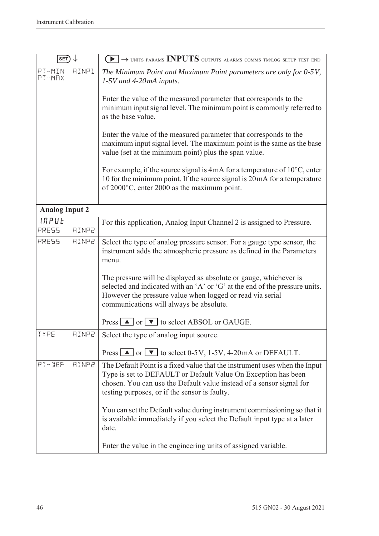| SET                   |              | $\blacktriangleright$ $\rightarrow$ units params INPUTS outputs alarms comms tmlog setup test end                                                                                                                                                                    |
|-----------------------|--------------|----------------------------------------------------------------------------------------------------------------------------------------------------------------------------------------------------------------------------------------------------------------------|
| PT-MIN<br>PT-MRX      | AINP1        | The Minimum Point and Maximum Point parameters are only for 0-5V,<br>$1-5V$ and 4-20mA inputs.                                                                                                                                                                       |
|                       |              | Enter the value of the measured parameter that corresponds to the<br>minimum input signal level. The minimum point is commonly referred to<br>as the base value.                                                                                                     |
|                       |              | Enter the value of the measured parameter that corresponds to the<br>maximum input signal level. The maximum point is the same as the base<br>value (set at the minimum point) plus the span value.                                                                  |
|                       |              | For example, if the source signal is $4mA$ for a temperature of $10^{\circ}$ C, enter<br>10 for the minimum point. If the source signal is 20 mA for a temperature<br>of 2000°C, enter 2000 as the maximum point.                                                    |
| <b>Analog Input 2</b> |              |                                                                                                                                                                                                                                                                      |
| <b>INPUE</b><br>PRESS | <b>AINP2</b> | For this application, Analog Input Channel 2 is assigned to Pressure.                                                                                                                                                                                                |
| PRESS                 | <b>AINP2</b> | Select the type of analog pressure sensor. For a gauge type sensor, the<br>instrument adds the atmospheric pressure as defined in the Parameters<br>menu.                                                                                                            |
|                       |              | The pressure will be displayed as absolute or gauge, whichever is<br>selected and indicated with an 'A' or 'G' at the end of the pressure units.<br>However the pressure value when logged or read via serial<br>communications will always be absolute.             |
|                       |              | Press $\boxed{\blacktriangle}$ or $\boxed{\blacktriangledown}$ to select ABSOL or GAUGE.                                                                                                                                                                             |
| TYPE                  | SANTR        | Select the type of analog input source.                                                                                                                                                                                                                              |
|                       |              | Press $\Box$ or $\nabla$ to select 0-5V, 1-5V, 4-20mA or DEFAULT.                                                                                                                                                                                                    |
| PT-DEF                | <b>AINP2</b> | The Default Point is a fixed value that the instrument uses when the Input<br>Type is set to DEFAULT or Default Value On Exception has been<br>chosen. You can use the Default value instead of a sensor signal for<br>testing purposes, or if the sensor is faulty. |
|                       |              | You can set the Default value during instrument commissioning so that it<br>is available immediately if you select the Default input type at a later<br>date.                                                                                                        |
|                       |              | Enter the value in the engineering units of assigned variable.                                                                                                                                                                                                       |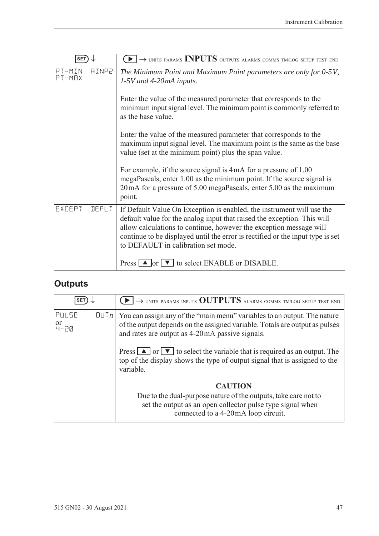| <b>SET</b>             | $\rightarrow$ UNITS PARAMS INPUTS OUTPUTS ALARMS COMMS TM/LOG SETUP TEST END                                                                                                                                                                                                                                                                    |
|------------------------|-------------------------------------------------------------------------------------------------------------------------------------------------------------------------------------------------------------------------------------------------------------------------------------------------------------------------------------------------|
| PT-MIN<br><b>AINP2</b> | The Minimum Point and Maximum Point parameters are only for 0-5V,                                                                                                                                                                                                                                                                               |
| PT-MAX                 | $1-5V$ and 4-20mA inputs.                                                                                                                                                                                                                                                                                                                       |
|                        | Enter the value of the measured parameter that corresponds to the<br>minimum input signal level. The minimum point is commonly referred to<br>as the base value.                                                                                                                                                                                |
|                        | Enter the value of the measured parameter that corresponds to the<br>maximum input signal level. The maximum point is the same as the base<br>value (set at the minimum point) plus the span value.                                                                                                                                             |
|                        | For example, if the source signal is 4mA for a pressure of 1.00<br>megaPascals, enter 1.00 as the minimum point. If the source signal is<br>20 mA for a pressure of 5.00 megaPascals, enter 5.00 as the maximum<br>point.                                                                                                                       |
| EXCEPT<br><b>DEFLT</b> | If Default Value On Exception is enabled, the instrument will use the<br>default value for the analog input that raised the exception. This will<br>allow calculations to continue, however the exception message will<br>continue to be displayed until the error is rectified or the input type is set<br>to DEFAULT in calibration set mode. |
|                        | Press $\Box$ or $\nabla$ to select ENABLE or DISABLE.                                                                                                                                                                                                                                                                                           |

# **Outputs**

| <b>SET</b>            |      | $\rightarrow$ UNITS PARAMS INPUTS OUTPUTS ALARMS COMMS TM/LOG SETUP TEST END                                                                                                                               |
|-----------------------|------|------------------------------------------------------------------------------------------------------------------------------------------------------------------------------------------------------------|
| PULSE<br> or<br> 닉-근Q | [[]] | You can assign any of the "main menu" variables to an output. The nature<br>of the output depends on the assigned variable. Totals are output as pulses<br>and rates are output as 4-20mA passive signals. |
|                       |      | Press $\Box$ or $\nabla$ to select the variable that is required as an output. The<br>top of the display shows the type of output signal that is assigned to the<br>variable.                              |
|                       |      | <b>CAUTION</b><br>Due to the dual-purpose nature of the outputs, take care not to<br>set the output as an open collector pulse type signal when<br>connected to a 4-20mA loop circuit.                     |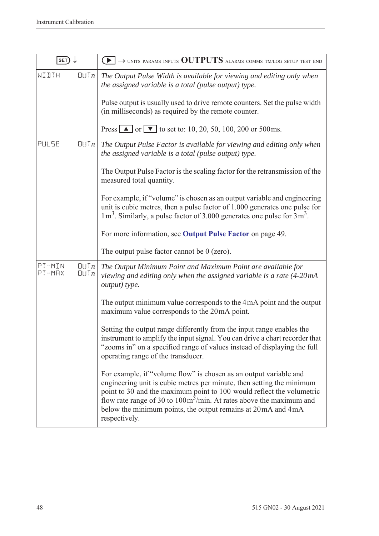| SET)             |                                           | $\rightarrow$ units params inputs OUTPUTS alarms comms tm/log setup test end<br>$\blacktriangleright$ 1                                                                                                                                                                                                                                                                                         |
|------------------|-------------------------------------------|-------------------------------------------------------------------------------------------------------------------------------------------------------------------------------------------------------------------------------------------------------------------------------------------------------------------------------------------------------------------------------------------------|
| WIJTH            | QUTn                                      | The Output Pulse Width is available for viewing and editing only when<br>the assigned variable is a total (pulse output) type.                                                                                                                                                                                                                                                                  |
|                  |                                           | Pulse output is usually used to drive remote counters. Set the pulse width<br>(in milliseconds) as required by the remote counter.                                                                                                                                                                                                                                                              |
|                  |                                           | Press $\triangle$ or $\triangledown$ to set to: 10, 20, 50, 100, 200 or 500 ms.                                                                                                                                                                                                                                                                                                                 |
| PULSE            | QUTn                                      | The Output Pulse Factor is available for viewing and editing only when<br>the assigned variable is a total (pulse output) type.                                                                                                                                                                                                                                                                 |
|                  |                                           | The Output Pulse Factor is the scaling factor for the retransmission of the<br>measured total quantity.                                                                                                                                                                                                                                                                                         |
|                  |                                           | For example, if "volume" is chosen as an output variable and engineering<br>unit is cubic metres, then a pulse factor of 1.000 generates one pulse for<br>$1 \text{ m}^3$ . Similarly, a pulse factor of 3.000 generates one pulse for $3 \text{ m}^3$ .                                                                                                                                        |
|                  |                                           | For more information, see Output Pulse Factor on page 49.                                                                                                                                                                                                                                                                                                                                       |
|                  |                                           | The output pulse factor cannot be $0$ (zero).                                                                                                                                                                                                                                                                                                                                                   |
| PT-MIN<br>PT-MRX | $\Box$ l $Tn$<br>$\Box$ $\Box$ $\Box$ $n$ | The Output Minimum Point and Maximum Point are available for<br>viewing and editing only when the assigned variable is a rate (4-20mA<br>output) type.                                                                                                                                                                                                                                          |
|                  |                                           | The output minimum value corresponds to the 4mA point and the output<br>maximum value corresponds to the 20mA point.                                                                                                                                                                                                                                                                            |
|                  |                                           | Setting the output range differently from the input range enables the<br>instrument to amplify the input signal. You can drive a chart recorder that<br>"zooms in" on a specified range of values instead of displaying the full<br>operating range of the transducer.                                                                                                                          |
|                  |                                           | For example, if "volume flow" is chosen as an output variable and<br>engineering unit is cubic metres per minute, then setting the minimum<br>point to 30 and the maximum point to 100 would reflect the volumetric<br>flow rate range of 30 to $100 \text{m}^3/\text{min}$ . At rates above the maximum and<br>below the minimum points, the output remains at 20 mA and 4 mA<br>respectively. |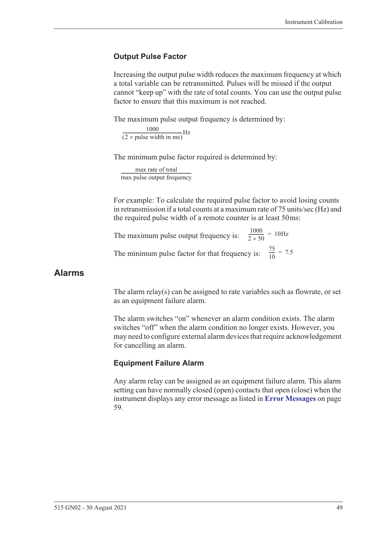#### <span id="page-58-0"></span>**Output Pulse Factor**

Increasing the output pulse width reduces the maximum frequency at which a total variable can be retransmitted. Pulses will be missed if the output cannot "keep up" with the rate of total counts. You can use the output pulse factor to ensure that this maximum is not reached.

The maximum pulse output frequency is determined by:

 $\frac{1000}{(2 \times \text{pulse width in ms})} \text{Hz}$ 

The minimum pulse factor required is determined by:

max rate of total max pulse output frequency ------------------------------------------------------------------

For example: To calculate the required pulse factor to avoid losing counts in retransmission if a total counts at a maximum rate of 75 units/sec (Hz) and the required pulse width of a remote counter is at least 50 ms:

The maximum pulse output frequency is:  $\frac{1000}{2 \times 50}$  = 10Hz The minimum pulse factor for that frequency is:  $\frac{75}{10}$  $\frac{73}{10}$  = 7.5

#### **Alarms**

The alarm relay(s) can be assigned to rate variables such as flowrate, or set as an equipment failure alarm.

The alarm switches "on" whenever an alarm condition exists. The alarm switches "off" when the alarm condition no longer exists. However, you may need to configure external alarm devices that require acknowledgement for cancelling an alarm.

#### **Equipment Failure Alarm**

Any alarm relay can be assigned as an equipment failure alarm. This alarm setting can have normally closed (open) contacts that open (close) when the instrument displays any error message as listed in **[Error Messages](#page-68-0)** on page [59.](#page-68-0)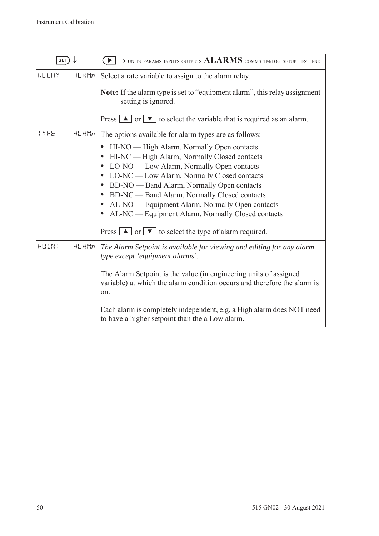| SET)  |       | $\rightarrow$ units params inputs outputs $ALARMS$ comms tm/log setup test end                                                                                                                                                                                                                                                                                                                                                                                                                                                                                                              |
|-------|-------|---------------------------------------------------------------------------------------------------------------------------------------------------------------------------------------------------------------------------------------------------------------------------------------------------------------------------------------------------------------------------------------------------------------------------------------------------------------------------------------------------------------------------------------------------------------------------------------------|
| RELAY | HLRMn | Select a rate variable to assign to the alarm relay.<br><b>Note:</b> If the alarm type is set to "equipment alarm", this relay assignment<br>setting is ignored.<br>Press $\boxed{\blacktriangle}$ or $\boxed{\blacktriangledown}$ to select the variable that is required as an alarm.                                                                                                                                                                                                                                                                                                     |
| TYPE  | HLRMn | The options available for alarm types are as follows:<br>HI-NO — High Alarm, Normally Open contacts<br>HI-NC — High Alarm, Normally Closed contacts<br>$\bullet$<br>LO-NO — Low Alarm, Normally Open contacts<br>$\bullet$<br>LO-NC — Low Alarm, Normally Closed contacts<br>BD-NO — Band Alarm, Normally Open contacts<br>$\bullet$<br>BD-NC — Band Alarm, Normally Closed contacts<br>٠<br>AL-NO — Equipment Alarm, Normally Open contacts<br>$\bullet$<br>AL-NC — Equipment Alarm, Normally Closed contacts<br>$\bullet$<br>Press $\Box$ or $\Box$ to select the type of alarm required. |
| POINT | HLRMn | The Alarm Setpoint is available for viewing and editing for any alarm<br>type except 'equipment alarms'.<br>The Alarm Setpoint is the value (in engineering units of assigned<br>variable) at which the alarm condition occurs and therefore the alarm is<br>on.<br>Each alarm is completely independent, e.g. a High alarm does NOT need<br>to have a higher setpoint than the a Low alarm.                                                                                                                                                                                                |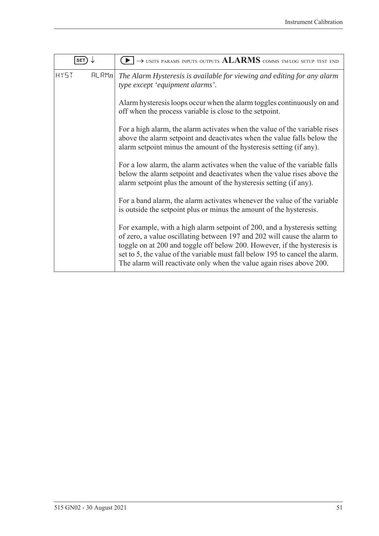| <b>SET</b>           | $\blacktriangleright$ $\rightarrow$ units params inputs outputs $ALARMS$ comms tm/log setup test end                                                                                                                                                                                                                                                                                     |
|----------------------|------------------------------------------------------------------------------------------------------------------------------------------------------------------------------------------------------------------------------------------------------------------------------------------------------------------------------------------------------------------------------------------|
| <b>HY5T</b><br>FLRMn | The Alarm Hysteresis is available for viewing and editing for any alarm<br>type except 'equipment alarms'.                                                                                                                                                                                                                                                                               |
|                      | Alarm hysteresis loops occur when the alarm toggles continuously on and<br>off when the process variable is close to the setpoint.                                                                                                                                                                                                                                                       |
|                      | For a high alarm, the alarm activates when the value of the variable rises<br>above the alarm setpoint and deactivates when the value falls below the<br>alarm setpoint minus the amount of the hysteresis setting (if any).                                                                                                                                                             |
|                      | For a low alarm, the alarm activates when the value of the variable falls<br>below the alarm setpoint and deactivates when the value rises above the<br>alarm setpoint plus the amount of the hysteresis setting (if any).                                                                                                                                                               |
|                      | For a band alarm, the alarm activates whenever the value of the variable<br>is outside the setpoint plus or minus the amount of the hysteresis.                                                                                                                                                                                                                                          |
|                      | For example, with a high alarm setpoint of 200, and a hysteresis setting<br>of zero, a value oscillating between 197 and 202 will cause the alarm to<br>toggle on at 200 and toggle off below 200. However, if the hysteresis is<br>set to 5, the value of the variable must fall below 195 to cancel the alarm.<br>The alarm will reactivate only when the value again rises above 200. |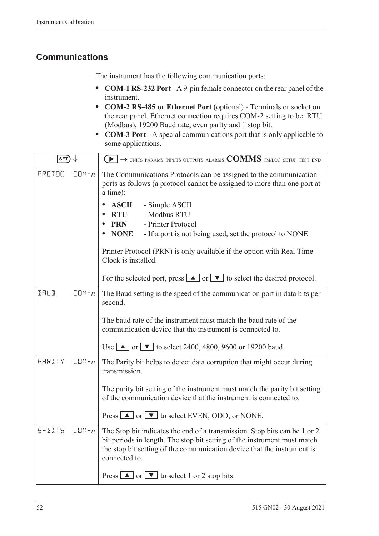# **Communications**

The instrument has the following communication ports:

- **• COM-1 RS-232 Port** A 9-pin female connector on the rear panel of the instrument.
- **• COM-2 RS-485 or Ethernet Port** (optional) Terminals or socket on the rear panel. Ethernet connection requires COM-2 setting to be: RTU (Modbus), 19200 Baud rate, even parity and 1 stop bit.
- **• COM-3 Port** A special communications port that is only applicable to some applications.

| SET)                               | $\left(\blacktriangleright\right)\rightarrow$ units params inputs outputs alarms $\text{COMMS}$ tm/log setup test end                                                                                                                             |
|------------------------------------|---------------------------------------------------------------------------------------------------------------------------------------------------------------------------------------------------------------------------------------------------|
| PROTOC<br>$CDM - n$                | The Communications Protocols can be assigned to the communication<br>ports as follows (a protocol cannot be assigned to more than one port at<br>a time):                                                                                         |
|                                    | <b>ASCII</b><br>- Simple ASCII<br>- Modbus RTU<br><b>RTU</b><br>- Printer Protocol<br><b>PRN</b><br><b>NONE</b><br>- If a port is not being used, set the protocol to NONE.                                                                       |
|                                    | Printer Protocol (PRN) is only available if the option with Real Time<br>Clock is installed.                                                                                                                                                      |
|                                    | For the selected port, press $\Box$ or $\Box$ to select the desired protocol.                                                                                                                                                                     |
| $CDM - n$<br><b>BAUD</b>           | The Baud setting is the speed of the communication port in data bits per<br>second.                                                                                                                                                               |
|                                    | The baud rate of the instrument must match the baud rate of the<br>communication device that the instrument is connected to.                                                                                                                      |
|                                    | Use 1 or $\bullet$ or $\bullet$ to select 2400, 4800, 9600 or 19200 baud.                                                                                                                                                                         |
| PARITY<br>$CDM - n$                | The Parity bit helps to detect data corruption that might occur during<br>transmission.                                                                                                                                                           |
|                                    | The parity bit setting of the instrument must match the parity bit setting<br>of the communication device that the instrument is connected to.                                                                                                    |
|                                    | Press $\Box$ or $\nabla$ to select EVEN, ODD, or NONE.                                                                                                                                                                                            |
| $5 - B1$ <sup>T</sup><br>$CDM - n$ | The Stop bit indicates the end of a transmission. Stop bits can be 1 or 2<br>bit periods in length. The stop bit setting of the instrument must match<br>the stop bit setting of the communication device that the instrument is<br>connected to. |
|                                    | Press $\boxed{\blacktriangle}$ or $\boxed{\blacktriangledown}$ to select 1 or 2 stop bits.                                                                                                                                                        |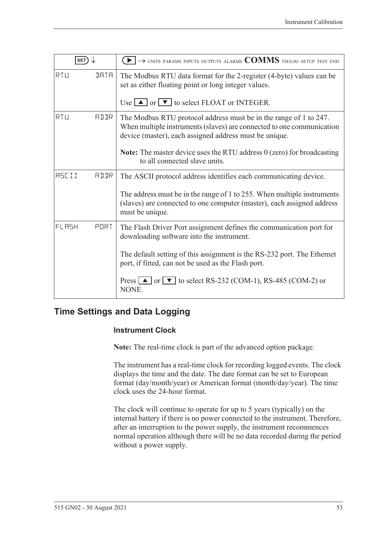| <b>SET</b>   |             | $\rightarrow$ units params inputs outputs alarms $\text{COMMS}$ tm/log setup test end                                                                                                                |
|--------------|-------------|------------------------------------------------------------------------------------------------------------------------------------------------------------------------------------------------------|
| RTU          | <b>JATA</b> | The Modbus RTU data format for the 2-register (4-byte) values can be<br>set as either floating point or long integer values.                                                                         |
|              |             | Use $\Box$ or $\nabla$ to select FLOAT or INTEGER.                                                                                                                                                   |
| RTU          | <b>ALLR</b> | The Modbus RTU protocol address must be in the range of 1 to 247.<br>When multiple instruments (slaves) are connected to one communication<br>device (master), each assigned address must be unique. |
|              |             | <b>Note:</b> The master device uses the RTU address 0 (zero) for broadcasting<br>to all connected slave units.                                                                                       |
| <b>ASCII</b> | AIIR        | The ASCII protocol address identifies each communicating device.                                                                                                                                     |
|              |             | The address must be in the range of 1 to 255. When multiple instruments<br>(slaves) are connected to one computer (master), each assigned address<br>must be unique.                                 |
| FLASH        | PORT        | The Flash Driver Port assignment defines the communication port for<br>downloading software into the instrument.                                                                                     |
|              |             | The default setting of this assignment is the RS-232 port. The Ethernet<br>port, if fitted, can not be used as the Flash port.                                                                       |
|              |             | Press $\Box$ or $\nabla$ to select RS-232 (COM-1), RS-485 (COM-2) or<br>NONE.                                                                                                                        |

### **Time Settings and Data Logging**

#### **Instrument Clock**

**Note:** The real-time clock is part of the advanced option package.

The instrument has a real-time clock for recording logged events. The clock displays the time and the date. The date format can be set to European format (day/month/year) or American format (month/day/year). The time clock uses the 24-hour format.

The clock will continue to operate for up to 5 years (typically) on the internal battery if there is no power connected to the instrument. Therefore, after an interruption to the power supply, the instrument recommences normal operation although there will be no data recorded during the period without a power supply.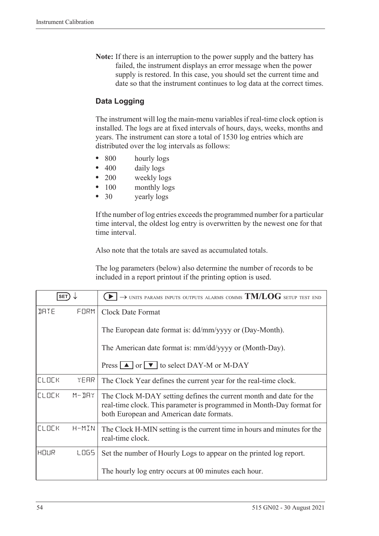**Note:** If there is an interruption to the power supply and the battery has failed, the instrument displays an error message when the power supply is restored. In this case, you should set the current time and date so that the instrument continues to log data at the correct times.

### **Data Logging**

The instrument will log the main-menu variables if real-time clock option is installed. The logs are at fixed intervals of hours, days, weeks, months and years. The instrument can store a total of 1530 log entries which are distributed over the log intervals as follows:

- 800 hourly logs
- 400 daily logs
- 200 weekly logs
- 100 monthly logs
- 30 yearly logs

If the number of log entries exceeds the programmed number for a particular time interval, the oldest log entry is overwritten by the newest one for that time interval.

Also note that the totals are saved as accumulated totals.

The log parameters (below) also determine the number of records to be included in a report printout if the printing option is used.

| <b>SET</b>   |           | $\rightarrow$ units params inputs outputs alarms comms $TM/LOG$ setup test end                                                                                                          |
|--------------|-----------|-----------------------------------------------------------------------------------------------------------------------------------------------------------------------------------------|
| <b>JATE</b>  | FORM      | <b>Clock Date Format</b>                                                                                                                                                                |
|              |           | The European date format is: dd/mm/yyyy or (Day-Month).                                                                                                                                 |
|              |           | The American date format is: mm/dd/yyyy or (Month-Day).                                                                                                                                 |
|              |           | Press $\Delta$ or $\nabla$ to select DAY-M or M-DAY                                                                                                                                     |
| <b>ELDEK</b> | YEAR      | The Clock Year defines the current year for the real-time clock.                                                                                                                        |
| <b>CLOCK</b> | $M - JHY$ | The Clock M-DAY setting defines the current month and date for the<br>real-time clock. This parameter is programmed in Month-Day format for<br>both European and American date formats. |
| <b>ELDEK</b> | H-MIN     | The Clock H-MIN setting is the current time in hours and minutes for the<br>real-time clock.                                                                                            |
| HOUR         | LOG5      | Set the number of Hourly Logs to appear on the printed log report.                                                                                                                      |
|              |           | The hourly log entry occurs at 00 minutes each hour.                                                                                                                                    |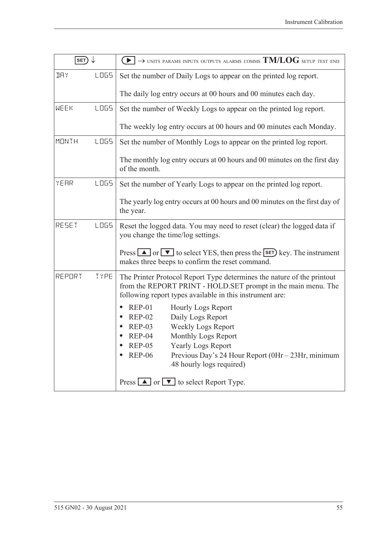| SET)         |             | $\blacktriangleright$ $\rightarrow$ units params inputs outputs alarms comms TM/LOG setup test end                                                                                                                                                                                                                    |
|--------------|-------------|-----------------------------------------------------------------------------------------------------------------------------------------------------------------------------------------------------------------------------------------------------------------------------------------------------------------------|
| <b>IRY</b>   | <b>LOGS</b> | Set the number of Daily Logs to appear on the printed log report.                                                                                                                                                                                                                                                     |
|              |             | The daily log entry occurs at 00 hours and 00 minutes each day.                                                                                                                                                                                                                                                       |
| <b>WEEK</b>  | <b>LOGS</b> | Set the number of Weekly Logs to appear on the printed log report.                                                                                                                                                                                                                                                    |
|              |             | The weekly log entry occurs at 00 hours and 00 minutes each Monday.                                                                                                                                                                                                                                                   |
| <b>MONTH</b> | LO65        | Set the number of Monthly Logs to appear on the printed log report.                                                                                                                                                                                                                                                   |
|              |             | The monthly log entry occurs at 00 hours and 00 minutes on the first day<br>of the month.                                                                                                                                                                                                                             |
| YEAR         | LO65        | Set the number of Yearly Logs to appear on the printed log report.                                                                                                                                                                                                                                                    |
|              |             | The yearly log entry occurs at 00 hours and 00 minutes on the first day of<br>the year.                                                                                                                                                                                                                               |
| RESET        | LOG5        | Reset the logged data. You may need to reset (clear) the logged data if<br>you change the time/log settings.                                                                                                                                                                                                          |
|              |             | Press $\Box$ or $\nabla$ to select YES, then press the <b>SET</b> ) key. The instrument<br>makes three beeps to confirm the reset command.                                                                                                                                                                            |
| REPORT       | TYPE        | The Printer Protocol Report Type determines the nature of the printout<br>from the REPORT PRINT - HOLD.SET prompt in the main menu. The<br>following report types available in this instrument are:                                                                                                                   |
|              |             | $REP-01$<br><b>Hourly Logs Report</b><br>$\bullet$<br>Daily Logs Report<br><b>REP-02</b><br><b>Weekly Logs Report</b><br>$REP-03$<br>Monthly Logs Report<br>$REP-04$<br><b>REP-05</b><br><b>Yearly Logs Report</b><br><b>REP-06</b><br>Previous Day's 24 Hour Report (0Hr - 23Hr, minimum<br>48 hourly logs required) |
|              |             | Press $\boxed{\blacktriangle}$ or $\boxed{\blacktriangledown}$ to select Report Type.                                                                                                                                                                                                                                 |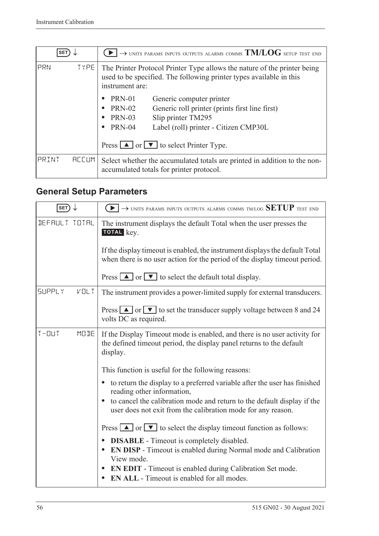| <b>SET</b> |              | $\rightarrow$ units params inputs outputs alarms comms $\mathrm{TM}/\mathrm{LOG}$ setup test end                                                                   |
|------------|--------------|--------------------------------------------------------------------------------------------------------------------------------------------------------------------|
| PRN        | <b>TYPE</b>  | The Printer Protocol Printer Type allows the nature of the printer being<br>used to be specified. The following printer types available in this<br>instrument are: |
|            |              | PRN-01<br>Generic computer printer                                                                                                                                 |
|            |              | <b>PRN-02</b><br>Generic roll printer (prints first line first)<br>$\bullet$                                                                                       |
|            |              | Slip printer TM295<br><b>PRN-03</b><br>٠                                                                                                                           |
|            |              | <b>PRN-04</b><br>Label (roll) printer - Citizen CMP30L<br>$\bullet$                                                                                                |
|            |              | Press $\boxed{\blacktriangle}$ or $\boxed{\blacktriangledown}$ to select Printer Type.                                                                             |
| PRINT      | <b>ACCUM</b> | Select whether the accumulated totals are printed in addition to the non-<br>accumulated totals for printer protocol.                                              |

# <span id="page-65-0"></span>**General Setup Parameters**

| SET)                             | $\rightarrow$ units params inputs outputs alarms comms tm/log $\operatorname{SETUP}$ test end                                                                      |
|----------------------------------|--------------------------------------------------------------------------------------------------------------------------------------------------------------------|
| DEFAULT TOTAL                    | The instrument displays the default Total when the user presses the<br>TOTAL key.                                                                                  |
|                                  | If the display timeout is enabled, the instrument displays the default Total<br>when there is no user action for the period of the display time out period.        |
|                                  | Press $\boxed{\blacktriangle}$ or $\boxed{\blacktriangledown}$ to select the default total display.                                                                |
| <b>SUPPLY</b><br>$V \square L$ T | The instrument provides a power-limited supply for external transducers.                                                                                           |
|                                  | Press $\boxed{\blacktriangle}$ or $\boxed{\blacktriangledown}$ to set the transducer supply voltage between 8 and 24<br>volts DC as required.                      |
| $T - 11T$<br>MODE                | If the Display Timeout mode is enabled, and there is no user activity for<br>the defined timeout period, the display panel returns to the default<br>display.      |
|                                  | This function is useful for the following reasons:                                                                                                                 |
|                                  | to return the display to a preferred variable after the user has finished<br>$\bullet$<br>reading other information,                                               |
|                                  | to cancel the calibration mode and return to the default display if the<br>user does not exit from the calibration mode for any reason.                            |
|                                  | Press $\boxed{\blacktriangle}$ or $\boxed{\blacktriangledown}$ to select the display timeout function as follows:                                                  |
|                                  | <b>DISABLE</b> - Timeout is completely disabled.<br>$\bullet$<br><b>EN DISP</b> - Timeout is enabled during Normal mode and Calibration<br>$\bullet$<br>View mode. |
|                                  | <b>EN EDIT</b> - Timeout is enabled during Calibration Set mode.<br>$\bullet$<br><b>EN ALL</b> - Timeout is enabled for all modes.                                 |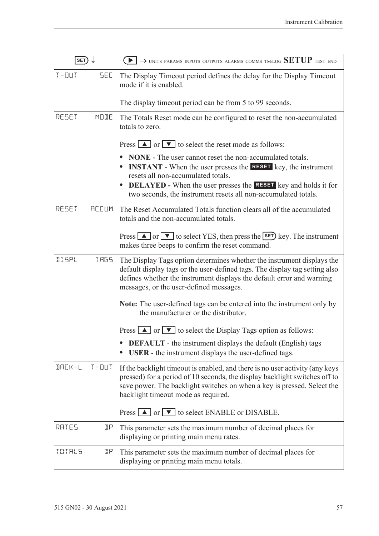| SET)          |              |                                                                                                                                                                                                                                                                                                                                                     |
|---------------|--------------|-----------------------------------------------------------------------------------------------------------------------------------------------------------------------------------------------------------------------------------------------------------------------------------------------------------------------------------------------------|
| $T - 111T$    | <b>SEC</b>   | The Display Timeout period defines the delay for the Display Timeout<br>mode if it is enabled.                                                                                                                                                                                                                                                      |
|               |              | The display timeout period can be from 5 to 99 seconds.                                                                                                                                                                                                                                                                                             |
| RESET         | MODE         | The Totals Reset mode can be configured to reset the non-accumulated<br>totals to zero.                                                                                                                                                                                                                                                             |
|               |              | Press $\boxed{\blacktriangle}$ or $\boxed{\blacktriangledown}$ to select the reset mode as follows:                                                                                                                                                                                                                                                 |
|               |              | <b>NONE</b> - The user cannot reset the non-accumulated totals.<br><b>INSTANT</b> - When the user presses the <b>RESET</b> key, the instrument<br>resets all non-accumulated totals.<br><b>DELAYED</b> - When the user presses the <b>RESET</b> key and holds it for<br>$\bullet$<br>two seconds, the instrument resets all non-accumulated totals. |
| RESET         | <b>REEUM</b> | The Reset Accumulated Totals function clears all of the accumulated<br>totals and the non-accumulated totals.                                                                                                                                                                                                                                       |
|               |              | Press $\Box$ or $\nabla$ to select YES, then press the <b>SET</b> ) key. The instrument<br>makes three beeps to confirm the reset command.                                                                                                                                                                                                          |
| <b>IISPL</b>  | <b>TRGS</b>  | The Display Tags option determines whether the instrument displays the<br>default display tags or the user-defined tags. The display tag setting also<br>defines whether the instrument displays the default error and warning<br>messages, or the user-defined messages.                                                                           |
|               |              | Note: The user-defined tags can be entered into the instrument only by<br>the manufacturer or the distributor.                                                                                                                                                                                                                                      |
|               |              | Press $\Box$ or $\Box$ to select the Display Tags option as follows:                                                                                                                                                                                                                                                                                |
|               |              | <b>DEFAULT</b> - the instrument displays the default (English) tags<br><b>USER</b> - the instrument displays the user-defined tags.                                                                                                                                                                                                                 |
| $B H L K - L$ | $T - 11T$    | If the backlight timeout is enabled, and there is no user activity (any keys<br>pressed) for a period of 10 seconds, the display backlight switches off to<br>save power. The backlight switches on when a key is pressed. Select the<br>backlight timeout mode as required.                                                                        |
|               |              | Press $\Box$ or $\Box$ to select ENABLE or DISABLE.                                                                                                                                                                                                                                                                                                 |
| RATES         | IJΡ          | This parameter sets the maximum number of decimal places for<br>displaying or printing main menu rates.                                                                                                                                                                                                                                             |
| TOTALS        | IJΡ          | This parameter sets the maximum number of decimal places for<br>displaying or printing main menu totals.                                                                                                                                                                                                                                            |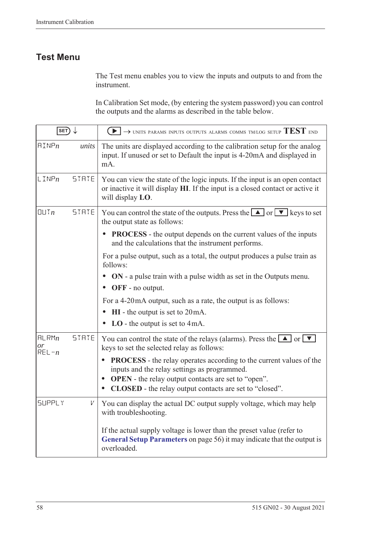# **Test Menu**

The Test menu enables you to view the inputs and outputs to and from the instrument.

In Calibration Set mode, (by entering the system password) you can control the outputs and the alarms as described in the table below.

| $\overline{\text{SET}}$  |              | $\blacktriangleright$ $\blacktriangleright$ UNITS PARAMS INPUTS OUTPUTS ALARMS COMMS TM/LOG SETUP $\text{TEST}$ end                                                                                                                                              |
|--------------------------|--------------|------------------------------------------------------------------------------------------------------------------------------------------------------------------------------------------------------------------------------------------------------------------|
| $\text{HIMP}_n$          | units        | The units are displayed according to the calibration setup for the analog<br>input. If unused or set to Default the input is 4-20mA and displayed in<br>mA.                                                                                                      |
| $L$ INP $n$              | <b>STRTE</b> | You can view the state of the logic inputs. If the input is an open contact<br>or inactive it will display HI. If the input is a closed contact or active it<br>will display LO.                                                                                 |
| UUTn                     | <b>STRTE</b> | You can control the state of the outputs. Press the $\Box$ or $\nabla$ keys to set<br>the output state as follows:                                                                                                                                               |
|                          |              | <b>PROCESS</b> - the output depends on the current values of the inputs<br>and the calculations that the instrument performs.                                                                                                                                    |
|                          |              | For a pulse output, such as a total, the output produces a pulse train as<br>follows:                                                                                                                                                                            |
|                          |              | <b>ON</b> - a pulse train with a pulse width as set in the Outputs menu.<br>OFF - no output.                                                                                                                                                                     |
|                          |              | For a 4-20mA output, such as a rate, the output is as follows:                                                                                                                                                                                                   |
|                          |              | $HI$ - the output is set to $20mA$ .                                                                                                                                                                                                                             |
|                          |              | $LO$ - the output is set to 4mA.                                                                                                                                                                                                                                 |
| HLRMn<br>or<br>$REL - n$ | <b>STRTE</b> | You can control the state of the relays (alarms). Press the $\boxed{\blacktriangle}$ or $\boxed{\blacktriangledown}$<br>keys to set the selected relay as follows:                                                                                               |
|                          |              | <b>PROCESS</b> - the relay operates according to the current values of the<br>inputs and the relay settings as programmed.<br><b>OPEN</b> - the relay output contacts are set to "open".<br>$\bullet$<br>CLOSED - the relay output contacts are set to "closed". |
| <b>SUPPLY</b>            | V            | You can display the actual DC output supply voltage, which may help<br>with troubleshooting.                                                                                                                                                                     |
|                          |              | If the actual supply voltage is lower than the preset value (refer to<br>General Setup Parameters on page 56) it may indicate that the output is<br>overloaded.                                                                                                  |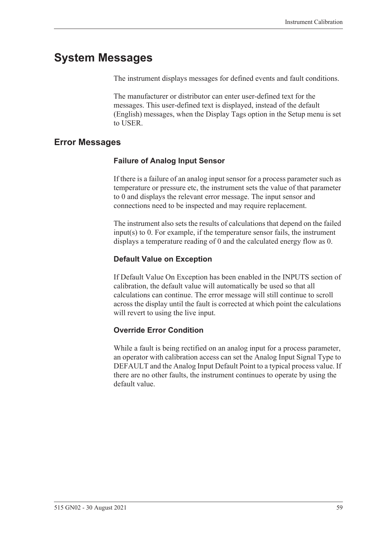# **System Messages**

The instrument displays messages for defined events and fault conditions.

The manufacturer or distributor can enter user-defined text for the messages. This user-defined text is displayed, instead of the default (English) messages, when the Display Tags option in the Setup menu is set to USER.

### <span id="page-68-0"></span>**Error Messages**

#### **Failure of Analog Input Sensor**

If there is a failure of an analog input sensor for a process parameter such as temperature or pressure etc, the instrument sets the value of that parameter to 0 and displays the relevant error message. The input sensor and connections need to be inspected and may require replacement.

The instrument also sets the results of calculations that depend on the failed input(s) to 0. For example, if the temperature sensor fails, the instrument displays a temperature reading of 0 and the calculated energy flow as 0.

### **Default Value on Exception**

If Default Value On Exception has been enabled in the INPUTS section of calibration, the default value will automatically be used so that all calculations can continue. The error message will still continue to scroll across the display until the fault is corrected at which point the calculations will revert to using the live input.

#### **Override Error Condition**

While a fault is being rectified on an analog input for a process parameter, an operator with calibration access can set the Analog Input Signal Type to DEFAULT and the Analog Input Default Point to a typical process value. If there are no other faults, the instrument continues to operate by using the default value.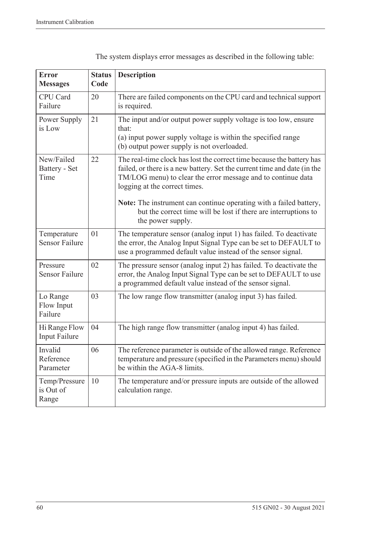| <b>Error</b><br><b>Messages</b>      | <b>Status</b><br>Code | <b>Description</b>                                                                                                                                                                                                                                 |
|--------------------------------------|-----------------------|----------------------------------------------------------------------------------------------------------------------------------------------------------------------------------------------------------------------------------------------------|
| CPU Card<br>Failure                  | 20                    | There are failed components on the CPU card and technical support<br>is required.                                                                                                                                                                  |
| Power Supply<br>is Low               | 21                    | The input and/or output power supply voltage is too low, ensure<br>that:<br>(a) input power supply voltage is within the specified range<br>(b) output power supply is not overloaded.                                                             |
| New/Failed<br>Battery - Set<br>Time  | 22                    | The real-time clock has lost the correct time because the battery has<br>failed, or there is a new battery. Set the current time and date (in the<br>TM/LOG menu) to clear the error message and to continue data<br>logging at the correct times. |
|                                      |                       | Note: The instrument can continue operating with a failed battery,<br>but the correct time will be lost if there are interruptions to<br>the power supply.                                                                                         |
| Temperature<br><b>Sensor Failure</b> | 01                    | The temperature sensor (analog input 1) has failed. To deactivate<br>the error, the Analog Input Signal Type can be set to DEFAULT to<br>use a programmed default value instead of the sensor signal.                                              |
| Pressure<br><b>Sensor Failure</b>    | 02                    | The pressure sensor (analog input 2) has failed. To deactivate the<br>error, the Analog Input Signal Type can be set to DEFAULT to use<br>a programmed default value instead of the sensor signal.                                                 |
| Lo Range<br>Flow Input<br>Failure    | 03                    | The low range flow transmitter (analog input 3) has failed.                                                                                                                                                                                        |
| Hi Range Flow<br>Input Failure       | 04                    | The high range flow transmitter (analog input 4) has failed.                                                                                                                                                                                       |
| Invalid<br>Reference<br>Parameter    | 06                    | The reference parameter is outside of the allowed range. Reference<br>temperature and pressure (specified in the Parameters menu) should<br>be within the AGA-8 limits.                                                                            |
| Temp/Pressure<br>is Out of<br>Range  | 10                    | The temperature and/or pressure inputs are outside of the allowed<br>calculation range.                                                                                                                                                            |

The system displays error messages as described in the following table: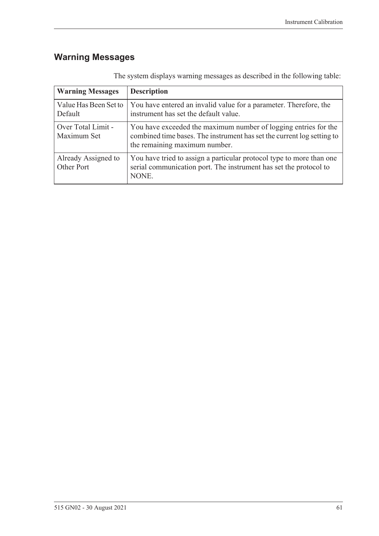# **Warning Messages**

| <b>Warning Messages</b>           | <b>Description</b>                                                                                                                                                         |
|-----------------------------------|----------------------------------------------------------------------------------------------------------------------------------------------------------------------------|
| Value Has Been Set to<br>Default  | You have entered an invalid value for a parameter. Therefore, the<br>instrument has set the default value.                                                                 |
| Over Total Limit -<br>Maximum Set | You have exceeded the maximum number of logging entries for the<br>combined time bases. The instrument has set the current log setting to<br>the remaining maximum number. |
| Already Assigned to<br>Other Port | You have tried to assign a particular protocol type to more than one<br>serial communication port. The instrument has set the protocol to<br>NONE.                         |

The system displays warning messages as described in the following table: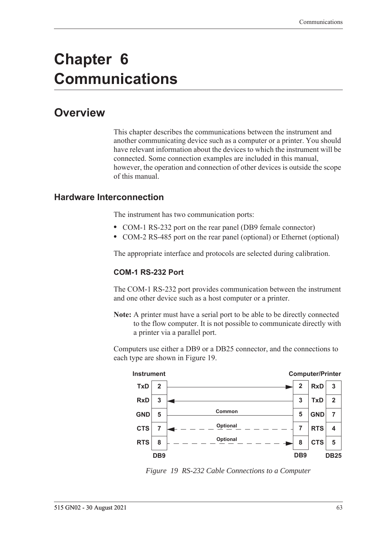# **Chapter 6 Communications**

# **Overview**

<span id="page-72-2"></span>This chapter describes the communications between the instrument and another communicating device such as a computer or a printer. You should have relevant information about the devices to which the instrument will be connected. Some connection examples are included in this manual, however, the operation and connection of other devices is outside the scope of this manual.

# **Hardware Interconnection**

<span id="page-72-3"></span>The instrument has two communication ports:

- **•** COM-1 RS-232 port on the rear panel (DB9 female connector)
- **•** COM-2 RS-485 port on the rear panel (optional) or Ethernet (optional)

The appropriate interface and protocols are selected during calibration.

#### <span id="page-72-1"></span>**COM-1 RS-232 Port**

The COM-1 RS-232 port provides communication between the instrument and one other device such as a host computer or a printer.

**Note:** A printer must have a serial port to be able to be directly connected to the flow computer. It is not possible to communicate directly with a printer via a parallel port.

Computers use either a DB9 or a DB25 connector, and the connections to each type are shown in [Figure 19.](#page-72-0)



<span id="page-72-0"></span>*Figure 19 RS-232 Cable Connections to a Computer*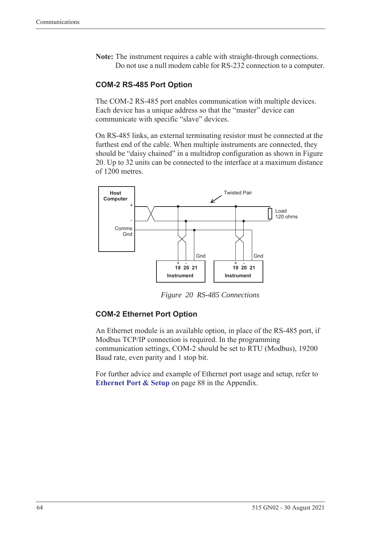**Note:** The instrument requires a cable with straight-through connections. Do not use a null modem cable for RS-232 connection to a computer.

#### <span id="page-73-1"></span>**COM-2 RS-485 Port Option**

The COM-2 RS-485 port enables communication with multiple devices. Each device has a unique address so that the "master" device can communicate with specific "slave" devices.

On RS-485 links, an external terminating resistor must be connected at the furthest end of the cable. When multiple instruments are connected, they should be "daisy chained" in a multidrop configuration as shown in Figure [20](#page-73-0). Up to 32 units can be connected to the interface at a maximum distance of 1200 metres.



<span id="page-73-2"></span>*Figure 20 RS-485 Connections*

#### <span id="page-73-0"></span>**COM-2 Ethernet Port Option**

An Ethernet module is an available option, in place of the RS-485 port, if Modbus TCP/IP connection is required. In the programming communication settings, COM-2 should be set to RTU (Modbus), 19200 Baud rate, even parity and 1 stop bit.

For further advice and example of Ethernet port usage and setup, refer to **[Ethernet Port & Setup](#page-97-0)** on page 88 in the Appendix.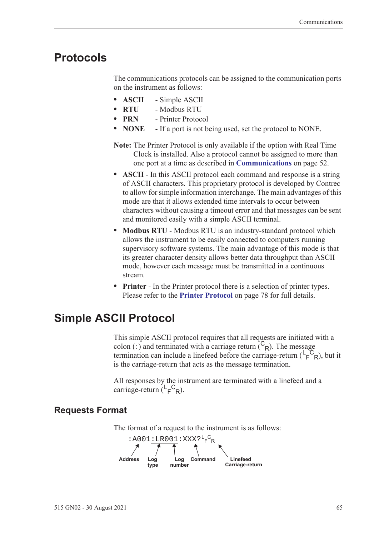# **Protocols**

<span id="page-74-1"></span>The communications protocols can be assigned to the communication ports on the instrument as follows:

- **• ASCII** Simple ASCII
- **• RTU** Modbus RTU
- **• PRN** Printer Protocol
- **• NONE** If a port is not being used, set the protocol to NONE.
- **Note:** The Printer Protocol is only available if the option with Real Time Clock is installed. Also a protocol cannot be assigned to more than one port at a time as described in **[Communications](#page-61-0)** on page 52.
- **• ASCII** In this ASCII protocol each command and response is a string of ASCII characters. This proprietary protocol is developed by Contrec to allow for simple information interchange. The main advantages of this mode are that it allows extended time intervals to occur between characters without causing a timeout error and that messages can be sent and monitored easily with a simple ASCII terminal.
- **• Modbus RTU** Modbus RTU is an industry-standard protocol which allows the instrument to be easily connected to computers running supervisory software systems. The main advantage of this mode is that its greater character density allows better data throughput than ASCII mode, however each message must be transmitted in a continuous stream.
- <span id="page-74-0"></span>**• Printer** - In the Printer protocol there is a selection of printer types. Please refer to the **[Printer Protocol](#page-87-0)** on page 78 for full details.

# **Simple ASCII Protocol**

This simple ASCII protocol requires that all requests are initiated with a colon (:) and terminated with a carriage return  $\binom{C_R}{R}$ . The message termination can include a linefeed before the carriage-return  $(\mathsf{L}_\mathsf{F}^\mathsf{C}_{\mathsf{R}})$ , but it is the carriage-return that acts as the message termination.

<span id="page-74-2"></span>All responses by the instrument are terminated with a linefeed and a carriage-return  $(L_F^C_R)$ .

# **Requests Format**

The format of a request to the instrument is as follows:

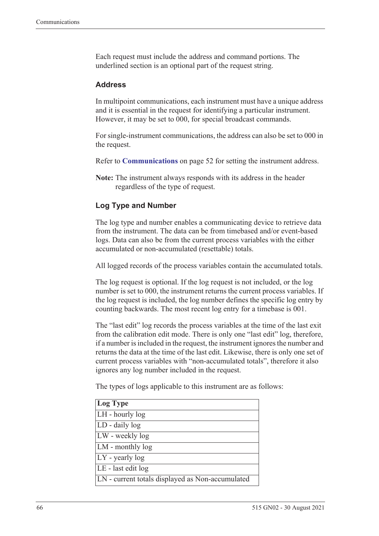Each request must include the address and command portions. The underlined section is an optional part of the request string.

#### <span id="page-75-0"></span>**Address**

In multipoint communications, each instrument must have a unique address and it is essential in the request for identifying a particular instrument. However, it may be set to 000, for special broadcast commands.

For single-instrument communications, the address can also be set to 000 in the request.

Refer to **[Communications](#page-61-0)** on page 52 for setting the instrument address.

**Note:** The instrument always responds with its address in the header regardless of the type of request.

#### **Log Type and Number**

The log type and number enables a communicating device to retrieve data from the instrument. The data can be from timebased and/or event-based logs. Data can also be from the current process variables with the either accumulated or non-accumulated (resettable) totals.

All logged records of the process variables contain the accumulated totals.

The log request is optional. If the log request is not included, or the log number is set to 000, the instrument returns the current process variables. If the log request is included, the log number defines the specific log entry by counting backwards. The most recent log entry for a timebase is 001.

The "last edit" log records the process variables at the time of the last exit from the calibration edit mode. There is only one "last edit" log, therefore, if a number is included in the request, the instrument ignores the number and returns the data at the time of the last edit. Likewise, there is only one set of current process variables with "non-accumulated totals", therefore it also ignores any log number included in the request.

The types of logs applicable to this instrument are as follows:

| Log Type                                         |
|--------------------------------------------------|
| LH - hourly log                                  |
| LD - daily log                                   |
| LW - weekly log                                  |
| LM - monthly log                                 |
| $LY$ - yearly log                                |
| LE - last edit log                               |
| LN - current totals displayed as Non-accumulated |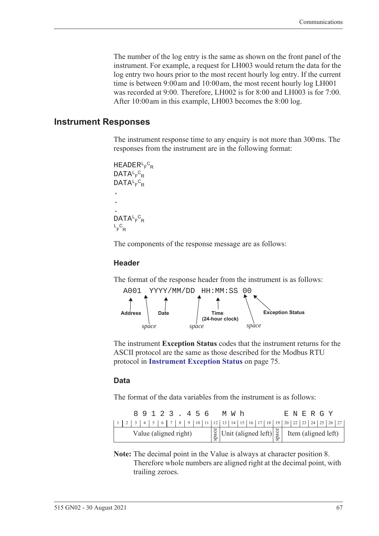The number of the log entry is the same as shown on the front panel of the instrument. For example, a request for LH003 would return the data for the log entry two hours prior to the most recent hourly log entry. If the current time is between 9:00 am and 10:00 am, the most recent hourly log LH001 was recorded at 9:00. Therefore, LH002 is for 8:00 and LH003 is for 7:00. After 10:00 am in this example, LH003 becomes the 8:00 log.

#### **Instrument Responses**

<span id="page-76-1"></span>The instrument response time to any enquiry is not more than 300 ms. The responses from the instrument are in the following format:

```
HEADER<sup>L</sup>F<sup>C</sup>R
DATA<sup>L</sup>F<sup>C</sup>R
DATA<sup>L</sup>F<sup>C</sup>R
.
.
.
DATA<sup>L</sup>F<sup>C</sup>R
L_F^C<sub>R</sub>
```
The components of the response message are as follows:

#### **Header**

The format of the response header from the instrument is as follows:



<span id="page-76-0"></span>The instrument **Exception Status** codes that the instrument returns for the ASCII protocol are the same as those described for the Modbus RTU protocol in **[Instrument Exception Status](#page-84-0)** on page 75.

#### **Data**

The format of the data variables from the instrument is as follows:

|                       |  |  |  |  | 89123.456 |  |  |                                                                                                                                                               |  | M W h |  |  |  |  | E N E R G Y |  |  |
|-----------------------|--|--|--|--|-----------|--|--|---------------------------------------------------------------------------------------------------------------------------------------------------------------|--|-------|--|--|--|--|-------------|--|--|
|                       |  |  |  |  |           |  |  |                                                                                                                                                               |  |       |  |  |  |  |             |  |  |
| Value (aligned right) |  |  |  |  |           |  |  | $\begin{bmatrix} \frac{8}{9} \\ \frac{8}{9} \end{bmatrix}$ Unit (aligned left) $\begin{bmatrix} \frac{8}{9} \\ \frac{8}{9} \end{bmatrix}$ Item (aligned left) |  |       |  |  |  |  |             |  |  |

**Note:** The decimal point in the Value is always at character position 8. Therefore whole numbers are aligned right at the decimal point, with trailing zeroes.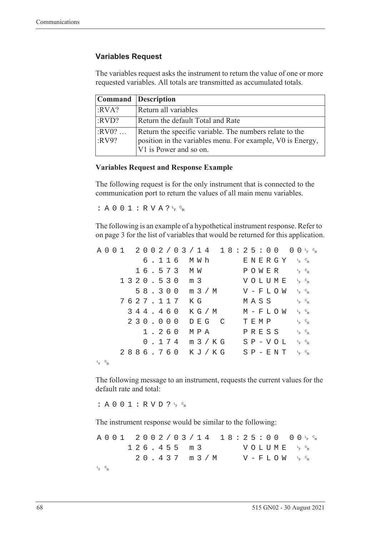#### **Variables Request**

The variables request asks the instrument to return the value of one or more requested variables. All totals are transmitted as accumulated totals.

|                  | <b>Command</b> Description                                                                                                                      |
|------------------|-------------------------------------------------------------------------------------------------------------------------------------------------|
| :RVA?            | Return all variables                                                                                                                            |
| :RVD?            | Return the default Total and Rate                                                                                                               |
| $:RV0?$<br>:RV9? | Return the specific variable. The numbers relate to the<br>position in the variables menu. For example, V0 is Energy,<br>V1 is Power and so on. |

#### **Variables Request and Response Example**

The following request is for the only instrument that is connected to the communication port to return the values of all main menu variables.

:  $A 0 0 1 : R V A ? \frac{c}{r} c_R$ 

The following is an example of a hypothetical instrument response. Refer to [on page 3](#page-12-0) for the list of variables that would be returned for this application.

|             |  |  |  |          |  |              |  |                  | $A\ 0\ 0\ 1\ 2\ 0\ 0\ 2\ / \ 0\ 3\ / \ 1\ 4\ 1\ 8\ :\ 2\ 5\ : \ 0\ 0\ 0\ 0\ _\mathsf{F}\ ^\mathrm{c}_\mathsf{R}$ |  |         |  |                                    |  |                 |  |
|-------------|--|--|--|----------|--|--------------|--|------------------|------------------------------------------------------------------------------------------------------------------|--|---------|--|------------------------------------|--|-----------------|--|
|             |  |  |  |          |  |              |  |                  | 6.116 MWh $ENERGY$ $\vdash$ ${}^C_R$                                                                             |  |         |  |                                    |  |                 |  |
|             |  |  |  |          |  | 16.573 MW    |  |                  |                                                                                                                  |  |         |  | POWER                              |  | $L_F$ $C_R$     |  |
|             |  |  |  |          |  | 1320.530 m 3 |  |                  |                                                                                                                  |  |         |  | VOLUME <sup>L</sup> <sup>C</sup> R |  |                 |  |
|             |  |  |  |          |  |              |  |                  | 58.300 m 3 / M V - F L O W 'F <sup>C</sup> R                                                                     |  |         |  |                                    |  |                 |  |
|             |  |  |  | 7627.117 |  | КG           |  |                  |                                                                                                                  |  | MASS    |  |                                    |  | $L_F$ $C_R$     |  |
|             |  |  |  | 344.460  |  |              |  | K G / M          |                                                                                                                  |  |         |  | M – F L O W                        |  | $L_{F}$ $C_{R}$ |  |
|             |  |  |  | 230.000  |  |              |  | D E G C          |                                                                                                                  |  | T E M P |  |                                    |  | $L_F$ $C_R$     |  |
|             |  |  |  | 1.260    |  | МРА          |  |                  |                                                                                                                  |  |         |  | PRESS                              |  | $L_F$ $C_R$     |  |
|             |  |  |  |          |  |              |  | $0.174$ m $3/KG$ |                                                                                                                  |  |         |  | $S P - V O L$                      |  | $L_{F}$ $C_{R}$ |  |
|             |  |  |  |          |  |              |  | 2886.760 KJ/KG   |                                                                                                                  |  |         |  | $S$ $P$ – $E$ $N$ $T$              |  | $L_{F}$ $C_{R}$ |  |
| $L_F$ $C_R$ |  |  |  |          |  |              |  |                  |                                                                                                                  |  |         |  |                                    |  |                 |  |

The following message to an instrument, requests the current values for the default rate and total:

: A 0 0 1 : R V D ?  $L_F$   $C_R$ 

The instrument response would be similar to the following:

A001 2002/03/14 18:25:00  $F$   $\circ$ <sub>R</sub>  $126.455 m3$ <sup>F</sup> <sup>C</sup> R  $20.437$  m  $3/M$  $F$   $\circ$ <sub>R</sub> L <sup>F</sup> <sup>C</sup> R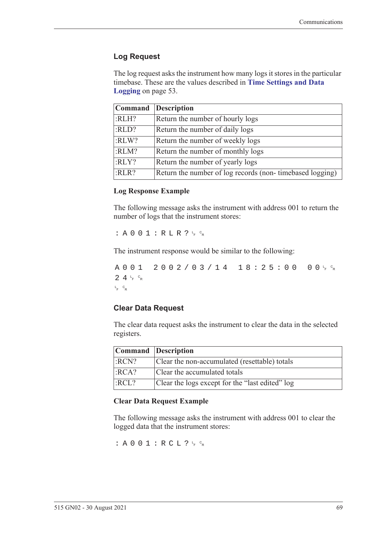#### **Log Request**

The log request asks the instrument how many logs it stores in the particular timebase. These are the values described in **[Time Settings and Data](#page-62-0)  Logging** [on page 53](#page-62-0).

|       | Command Description                                      |
|-------|----------------------------------------------------------|
| :RLH? | Return the number of hourly logs                         |
| :RLD? | Return the number of daily logs                          |
| :RLW? | Return the number of weekly logs                         |
| :RLM? | Return the number of monthly logs                        |
| :RLY? | Return the number of yearly logs                         |
| :RLR? | Return the number of log records (non-timebased logging) |

#### **Log Response Example**

The following message asks the instrument with address 001 to return the number of logs that the instrument stores:

 $: A 0 0 1 : R L R ? \nmid R$ 

The instrument response would be similar to the following:

A001 2002/03/14 18:25:00  $F$   $\circ$ R  $24r$ <sub>F</sub>  $c_R$ L <sup>F</sup> <sup>C</sup> R

#### **Clear Data Request**

The clear data request asks the instrument to clear the data in the selected registers.

| Command Description |                                                 |
|---------------------|-------------------------------------------------|
| :RCN?               | Clear the non-accumulated (resettable) totals   |
| :RCA?               | Clear the accumulated totals                    |
| :RCL?               | Clear the logs except for the "last edited" log |

#### **Clear Data Request Example**

The following message asks the instrument with address 001 to clear the logged data that the instrument stores:

: A 0 0 1 : R C L ?  $L_F$   $c_R$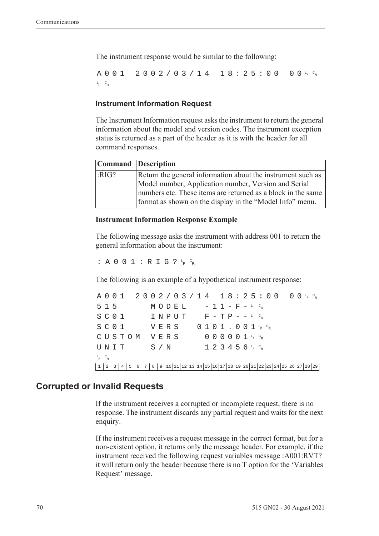The instrument response would be similar to the following:

A001 2002/03/14 18:25:00  $F$   $\circ$ <sub>R</sub> L <sup>F</sup> <sup>C</sup> R

#### **Instrument Information Request**

The Instrument Information request asks the instrument to return the general information about the model and version codes. The instrument exception status is returned as a part of the header as it is with the header for all command responses.

|      | Command Description                                                                                                      |
|------|--------------------------------------------------------------------------------------------------------------------------|
| RIG? | Return the general information about the instrument such as                                                              |
|      | Model number, Application number, Version and Serial                                                                     |
|      | numbers etc. These items are returned as a block in the same<br>format as shown on the display in the "Model Info" menu. |

#### **Instrument Information Response Example**

The following message asks the instrument with address 001 to return the general information about the instrument:

: A 0 0 1 : R I G ?  $L_F$   $C_R$ 

The following is an example of a hypothetical instrument response:

A001 2002/03/14 18:25:00 <sup>F</sup> <sup>C</sup> R  $515$   $MODEL$   $-11-F-F_{R}^{c}$  $S$  C O  $1$  I N P U T F - T P - - <sup>L</sup><sub>F</sub> <sup>C</sup>R  $S$  C O  $1$  V E R S O  $1$  O  $1$  J  $1$  , O  $0$   $1$   $1$   $1$   $6$   $8$ CUSTOM VERS 000001<sup>t</sup>F<sup>c</sup>r  $\texttt{UNIT}$  S/N 123456<sup>L</sup>F <sup>C</sup>R L <sup>F</sup> <sup>C</sup> R 1 2 3 4 5 6 7 8 9 10 11 12 13 14 15 16 17 18 19 20 21 22 23 24 25 26 27 28 29

### **Corrupted or Invalid Requests**

If the instrument receives a corrupted or incomplete request, there is no response. The instrument discards any partial request and waits for the next enquiry.

If the instrument receives a request message in the correct format, but for a non-existent option, it returns only the message header. For example, if the instrument received the following request variables message :A001:RVT? it will return only the header because there is no T option for the 'Variables Request' message.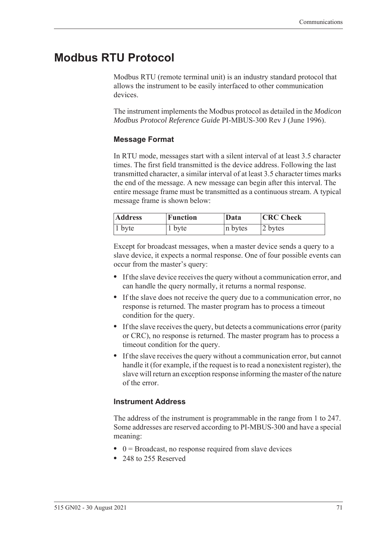# **Modbus RTU Protocol**

<span id="page-80-0"></span>Modbus RTU (remote terminal unit) is an industry standard protocol that allows the instrument to be easily interfaced to other communication devices.

The instrument implements the Modbus protocol as detailed in the *Modicon Modbus Protocol Reference Guide* PI-MBUS-300 Rev J (June 1996).

#### **Message Format**

In RTU mode, messages start with a silent interval of at least 3.5 character times. The first field transmitted is the device address. Following the last transmitted character, a similar interval of at least 3.5 character times marks the end of the message. A new message can begin after this interval. The entire message frame must be transmitted as a continuous stream. A typical message frame is shown below:

| <b>Address</b> | <b>Function</b> | Data    | <b>CRC</b> Check |  |  |  |  |
|----------------|-----------------|---------|------------------|--|--|--|--|
| $ 1$ byte      | 1 byte          | n bytes | 2 bytes          |  |  |  |  |

Except for broadcast messages, when a master device sends a query to a slave device, it expects a normal response. One of four possible events can occur from the master's query:

- **•** If the slave device receives the query without a communication error, and can handle the query normally, it returns a normal response.
- **•** If the slave does not receive the query due to a communication error, no response is returned. The master program has to process a timeout condition for the query.
- **•** If the slave receives the query, but detects a communications error (parity or CRC), no response is returned. The master program has to process a timeout condition for the query.
- **•** If the slave receives the query without a communication error, but cannot handle it (for example, if the request is to read a nonexistent register), the slave will return an exception response informing the master of the nature of the error.

### **Instrument Address**

The address of the instrument is programmable in the range from 1 to 247. Some addresses are reserved according to PI-MBUS-300 and have a special meaning:

- 0 = Broadcast, no response required from slave devices
- **•** 248 to 255 Reserved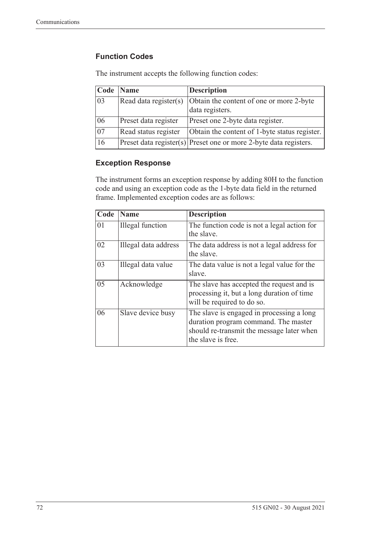## **Function Codes**

| Code            | <b>Name</b>           | <b>Description</b>                                                    |
|-----------------|-----------------------|-----------------------------------------------------------------------|
| 03              | Read data register(s) | Obtain the content of one or more 2-byte<br>data registers.           |
| 06              | Preset data register  | Preset one 2-byte data register.                                      |
| $\overline{07}$ | Read status register  | Obtain the content of 1-byte status register.                         |
| 16              |                       | $ $ Preset data register(s) Preset one or more 2-byte data registers. |

The instrument accepts the following function codes:

#### **Exception Response**

The instrument forms an exception response by adding 80H to the function code and using an exception code as the 1-byte data field in the returned frame. Implemented exception codes are as follows:

| Code | Name                    | <b>Description</b>                                                                                                                                   |
|------|-------------------------|------------------------------------------------------------------------------------------------------------------------------------------------------|
| 01   | <b>Illegal</b> function | The function code is not a legal action for<br>the slave.                                                                                            |
| 02   | Illegal data address    | The data address is not a legal address for<br>the slave.                                                                                            |
| 03   | Illegal data value      | The data value is not a legal value for the<br>slave.                                                                                                |
| 05   | Acknowledge             | The slave has accepted the request and is<br>processing it, but a long duration of time<br>will be required to do so.                                |
| 06   | Slave device busy       | The slave is engaged in processing a long<br>duration program command. The master<br>should re-transmit the message later when<br>the slave is free. |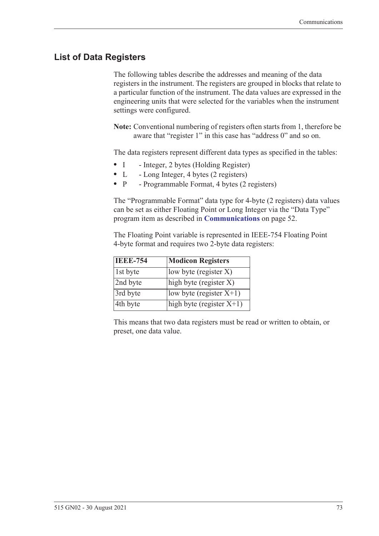# **List of Data Registers**

The following tables describe the addresses and meaning of the data registers in the instrument. The registers are grouped in blocks that relate to a particular function of the instrument. The data values are expressed in the engineering units that were selected for the variables when the instrument settings were configured.

**Note:** Conventional numbering of registers often starts from 1, therefore be aware that "register 1" in this case has "address 0" and so on.

The data registers represent different data types as specified in the tables:

- I Integer, 2 bytes (Holding Register)
- L Long Integer, 4 bytes (2 registers)
- P Programmable Format, 4 bytes (2 registers)

The "Programmable Format" data type for 4-byte (2 registers) data values can be set as either Floating Point or Long Integer via the "Data Type" program item as described in **[Communications](#page-61-0)** on page 52.

The Floating Point variable is represented in IEEE-754 Floating Point 4-byte format and requires two 2-byte data registers:

| <b>IEEE-754</b> | <b>Modicon Registers</b>    |
|-----------------|-----------------------------|
| 1st byte        | low byte (register $X$ )    |
| 2nd byte        | high byte (register X)      |
| 3rd byte        | $ low byte (register X+1) $ |
| 4th byte        | high byte (register $X+1$ ) |

This means that two data registers must be read or written to obtain, or preset, one data value.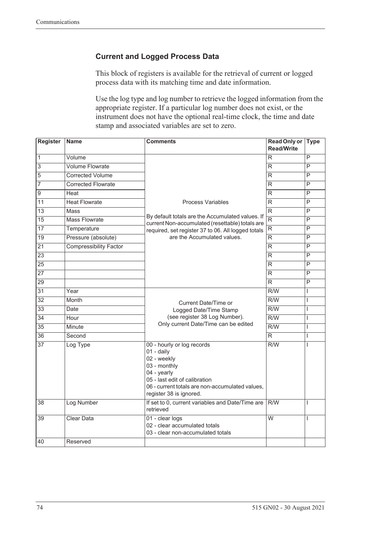## **Current and Logged Process Data**

This block of registers is available for the retrieval of current or logged process data with its matching time and date information.

Use the log type and log number to retrieve the logged information from the appropriate register. If a particular log number does not exist, or the instrument does not have the optional real-time clock, the time and date stamp and associated variables are set to zero.

| Register        | <b>Name</b>                   | <b>Comments</b>                                                                                                                                                                                                | <b>Read Only or</b><br><b>Read/Write</b> | <b>Type</b>             |
|-----------------|-------------------------------|----------------------------------------------------------------------------------------------------------------------------------------------------------------------------------------------------------------|------------------------------------------|-------------------------|
| $\overline{1}$  | Volume                        |                                                                                                                                                                                                                | R                                        | P                       |
| $\overline{3}$  | <b>Volume Flowrate</b>        |                                                                                                                                                                                                                | R                                        | $\overline{\mathsf{P}}$ |
| $\overline{5}$  | <b>Corrected Volume</b>       |                                                                                                                                                                                                                | R                                        | P                       |
| $\overline{7}$  | <b>Corrected Flowrate</b>     |                                                                                                                                                                                                                | R                                        | P                       |
| $\overline{9}$  | Heat                          |                                                                                                                                                                                                                | R                                        | P                       |
| $\overline{11}$ | <b>Heat Flowrate</b>          | Process Variables                                                                                                                                                                                              | $\overline{R}$                           | $\overline{\mathsf{P}}$ |
| $\overline{13}$ | Mass                          |                                                                                                                                                                                                                | $\overline{\mathsf{R}}$                  | P                       |
| 15              | <b>Mass Flowrate</b>          | By default totals are the Accumulated values. If<br>current Non-accumulated (resettable) totals are                                                                                                            | $\overline{\mathsf{R}}$                  | P                       |
| $\overline{17}$ | Temperature                   | required, set register 37 to 06. All logged totals                                                                                                                                                             | $\overline{\mathsf{R}}$                  | $\overline{P}$          |
| $\overline{19}$ | Pressure (absolute)           | are the Accumulated values.                                                                                                                                                                                    | R                                        | P                       |
| 21              | <b>Compressibility Factor</b> |                                                                                                                                                                                                                | R                                        | P                       |
| $\overline{23}$ |                               |                                                                                                                                                                                                                | $\overline{\mathsf{R}}$                  | P                       |
| $\overline{25}$ |                               |                                                                                                                                                                                                                | R                                        | $\overline{\mathsf{P}}$ |
| $\overline{27}$ |                               |                                                                                                                                                                                                                | $\overline{R}$                           | $\overline{\mathsf{P}}$ |
| $\overline{29}$ |                               |                                                                                                                                                                                                                | R.                                       | P                       |
| $\overline{31}$ | Year                          |                                                                                                                                                                                                                | R/W                                      | L                       |
| $\overline{32}$ | Month                         | Current Date/Time or                                                                                                                                                                                           | $\overline{R/W}$                         | $\mathsf{I}$            |
| $\overline{33}$ | Date                          | Logged Date/Time Stamp                                                                                                                                                                                         | $\overline{R/W}$                         | L                       |
| $\overline{34}$ | Hour                          | (see register 38 Log Number).                                                                                                                                                                                  | R/W                                      | $\overline{1}$          |
| $\overline{35}$ | Minute                        | Only current Date/Time can be edited                                                                                                                                                                           | $\overline{R/W}$                         | $\mathsf{I}$            |
| $\overline{36}$ | Second                        |                                                                                                                                                                                                                | $\overline{\mathsf{R}}$                  | $\overline{1}$          |
| $\overline{37}$ | Log Type                      | 00 - hourly or log records<br>$01 - \text{daily}$<br>02 - weekly<br>03 - monthly<br>04 - yearly<br>05 - last edit of calibration<br>06 - current totals are non-accumulated values,<br>register 38 is ignored. | R/W                                      | $\overline{1}$          |
| 38              | Log Number                    | If set to 0, current variables and Date/Time are<br>retrieved                                                                                                                                                  | R/W                                      | T                       |
| 39              | <b>Clear Data</b>             | 01 - clear logs<br>02 - clear accumulated totals<br>03 - clear non-accumulated totals                                                                                                                          | W                                        | $\mathbf{I}$            |
| 40              | Reserved                      |                                                                                                                                                                                                                |                                          |                         |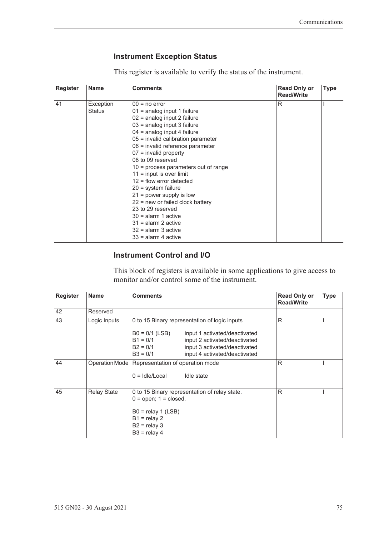## <span id="page-84-1"></span><span id="page-84-0"></span>**Instrument Exception Status**

This register is available to verify the status of the instrument.

| <b>Register</b> | <b>Name</b> | <b>Comments</b>                        | <b>Read Only or</b><br><b>Read/Write</b> | <b>Type</b> |
|-----------------|-------------|----------------------------------------|------------------------------------------|-------------|
| 41              | Exception   | $00 = no error$                        | R                                        |             |
|                 | Status      | $01$ = analog input 1 failure          |                                          |             |
|                 |             | 02 = analog input 2 failure            |                                          |             |
|                 |             | 03 = analog input 3 failure            |                                          |             |
|                 |             | $04$ = analog input 4 failure          |                                          |             |
|                 |             | 05 = invalid calibration parameter     |                                          |             |
|                 |             | 06 = invalid reference parameter       |                                          |             |
|                 |             | $07$ = invalid property                |                                          |             |
|                 |             | 08 to 09 reserved                      |                                          |             |
|                 |             | $10$ = process parameters out of range |                                          |             |
|                 |             | $11 =$ input is over limit             |                                          |             |
|                 |             | $12$ = flow error detected             |                                          |             |
|                 |             | $20 =$ system failure                  |                                          |             |
|                 |             | $21$ = power supply is low             |                                          |             |
|                 |             | $22$ = new or failed clock battery     |                                          |             |
|                 |             | 23 to 29 reserved                      |                                          |             |
|                 |             | $30 =$ alarm 1 active                  |                                          |             |
|                 |             | $31$ = alarm 2 active                  |                                          |             |
|                 |             | $32$ = alarm 3 active                  |                                          |             |
|                 |             | $33$ = alarm 4 active                  |                                          |             |

#### **Instrument Control and I/O**

This block of registers is available in some applications to give access to monitor and/or control some of the instrument.

| <b>Register</b> | <b>Name</b>        | <b>Comments</b>                                                                                                                                          | <b>Read Only or</b><br><b>Read/Write</b> | <b>Type</b> |
|-----------------|--------------------|----------------------------------------------------------------------------------------------------------------------------------------------------------|------------------------------------------|-------------|
| 42              | Reserved           |                                                                                                                                                          |                                          |             |
| 43              | Logic Inputs       | 0 to 15 Binary representation of logic inputs                                                                                                            | R                                        |             |
|                 |                    | $B0 = 0/1$ (LSB)<br>input 1 activated/deactivated<br>$B1 = 0/1$<br>input 2 activated/deactivated<br>$B2 = 0/1$<br>input 3 activated/deactivated          |                                          |             |
|                 |                    | $B3 = 0/1$<br>input 4 activated/deactivated                                                                                                              |                                          |             |
| 44              |                    | Operation Mode   Representation of operation mode<br>$0 =$ Idle/Local<br>Idle state                                                                      | R                                        |             |
| 45              | <b>Relay State</b> | 0 to 15 Binary representation of relay state.<br>$0 =$ open; $1 =$ closed.<br>$B0 =$ relay 1 (LSB)<br>$B1 =$ relay 2<br>$B2 =$ relay 3<br>$B3 =$ relay 4 | R                                        |             |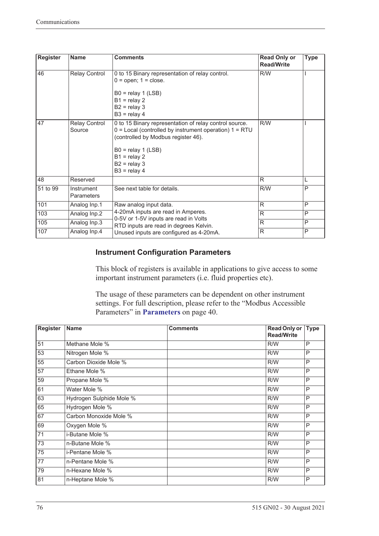| <b>Register</b> | <b>Name</b>              | <b>Comments</b>                                                                                                                                                                                                                           | <b>Read Only or</b><br><b>Read/Write</b> | <b>Type</b> |
|-----------------|--------------------------|-------------------------------------------------------------------------------------------------------------------------------------------------------------------------------------------------------------------------------------------|------------------------------------------|-------------|
| 46              | Relay Control            | 0 to 15 Binary representation of relay control.<br>$0 =$ open; $1 =$ close.<br>$B0 =$ relay 1 (LSB)<br>$B1 =$ relay 2<br>$B2 =$ relay 3<br>$B3 =$ relay 4                                                                                 | R/W                                      |             |
| 47              | Relay Control<br>Source  | 0 to 15 Binary representation of relay control source.<br>$0 =$ Local (controlled by instrument operation) $1 = RTU$<br>(controlled by Modbus register 46).<br>$B0 =$ relay 1 (LSB)<br>$B1$ = relay 2<br>$B2 =$ relay 3<br>$B3 =$ relay 4 | R/W                                      |             |
| 48              | Reserved                 |                                                                                                                                                                                                                                           | R                                        | L           |
| 51 to 99        | Instrument<br>Parameters | See next table for details.                                                                                                                                                                                                               | R/W                                      | P           |
| 101             | Analog Inp.1             | Raw analog input data.                                                                                                                                                                                                                    | R                                        | P           |
| 103             | Analog Inp.2             | 4-20mA inputs are read in Amperes.                                                                                                                                                                                                        | $\mathsf{R}$                             | P           |
| 105             | Analog Inp.3             | 0-5V or 1-5V inputs are read in Volts<br>RTD inputs are read in degrees Kelvin.                                                                                                                                                           | R                                        | P           |
| 107             | Analog Inp.4             | Unused inputs are configured as 4-20mA.                                                                                                                                                                                                   | R                                        | P           |

### **Instrument Configuration Parameters**

This block of registers is available in applications to give access to some important instrument parameters (i.e. fluid properties etc).

The usage of these parameters can be dependent on other instrument settings. For full description, please refer to the "Modbus Accessible Parameters" in **[Parameters](#page-49-0)** on page 40.

| <b>Register</b> | <b>Name</b>              | <b>Comments</b> | Read Only or Type<br><b>Read/Write</b> |   |
|-----------------|--------------------------|-----------------|----------------------------------------|---|
| 51              | Methane Mole %           |                 | R/W                                    | P |
| 53              | Nitrogen Mole %          |                 | R/W                                    | P |
| 55              | Carbon Dioxide Mole %    |                 | R/W                                    | P |
| 57              | Ethane Mole %            |                 | R/W                                    | P |
| 59              | Propane Mole %           |                 | R/W                                    | P |
| 61              | Water Mole %             |                 | R/W                                    | P |
| 63              | Hydrogen Sulphide Mole % |                 | R/W                                    | P |
| 65              | Hydrogen Mole %          |                 | R/W                                    | P |
| 67              | Carbon Monoxide Mole %   |                 | R/W                                    | P |
| 69              | Oxygen Mole %            |                 | R/W                                    | P |
| $\overline{71}$ | i-Butane Mole %          |                 | R/W                                    | P |
| 73              | n-Butane Mole %          |                 | R/W                                    | P |
| 75              | i-Pentane Mole %         |                 | R/W                                    | P |
| 77              | n-Pentane Mole %         |                 | R/W                                    | P |
| 79              | n-Hexane Mole %          |                 | R/W                                    | P |
| 81              | n-Heptane Mole %         |                 | R/W                                    | P |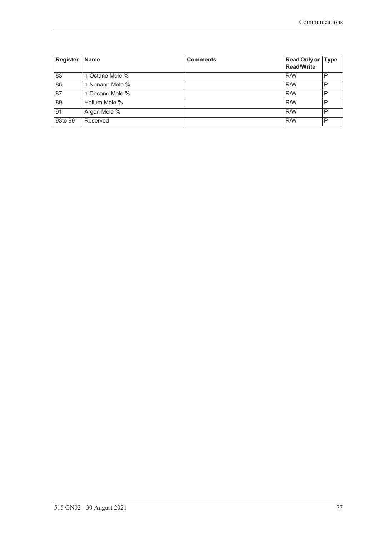| <b>Register</b> | <b>Name</b>     | <b>Comments</b> | Read Only or Type<br><b>Read/Write</b> |   |
|-----------------|-----------------|-----------------|----------------------------------------|---|
| 83              | n-Octane Mole % |                 | R/W                                    | P |
| 85              | n-Nonane Mole % |                 | R/W                                    | P |
| $\overline{8}$  | n-Decane Mole % |                 | R/W                                    | P |
| 89              | Helium Mole %   |                 | R/W                                    | P |
| 91              | Argon Mole %    |                 | R/W                                    | P |
| 93to 99         | Reserved        |                 | R/W                                    | P |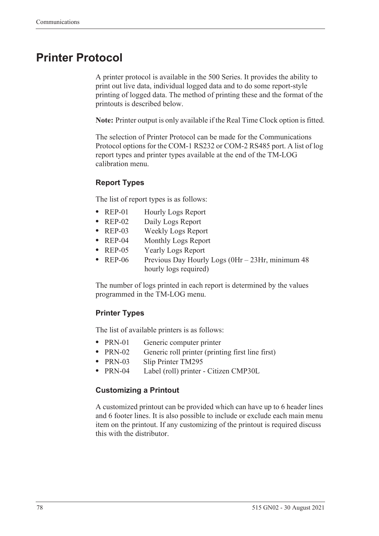# <span id="page-87-0"></span>**Printer Protocol**

<span id="page-87-2"></span>A printer protocol is available in the 500 Series. It provides the ability to print out live data, individual logged data and to do some report-style printing of logged data. The method of printing these and the format of the printouts is described below.

**Note:** Printer output is only available if the Real Time Clock option is fitted.

The selection of Printer Protocol can be made for the Communications Protocol options for the COM-1 RS232 or COM-2 RS485 port. A list of log report types and printer types available at the end of the TM-LOG calibration menu.

### <span id="page-87-3"></span>**Report Types**

The list of report types is as follows:

- REP-01 Hourly Logs Report
- **•** REP-02 Daily Logs Report
- **•** REP-03 Weekly Logs Report
- **•** REP-04 Monthly Logs Report
- **•** REP-05 Yearly Logs Report
- REP-06 Previous Day Hourly Logs (0Hr 23Hr, minimum 48 hourly logs required)

The number of logs printed in each report is determined by the values programmed in the TM-LOG menu.

#### <span id="page-87-4"></span>**Printer Types**

The list of available printers is as follows:

- PRN-01 Generic computer printer
- PRN-02 Generic roll printer (printing first line first)
- **•** PRN-03 Slip Printer TM295
- **•** PRN-04 Label (roll) printer Citizen CMP30L

#### <span id="page-87-1"></span>**Customizing a Printout**

A customized printout can be provided which can have up to 6 header lines and 6 footer lines. It is also possible to include or exclude each main menu item on the printout. If any customizing of the printout is required discuss this with the distributor.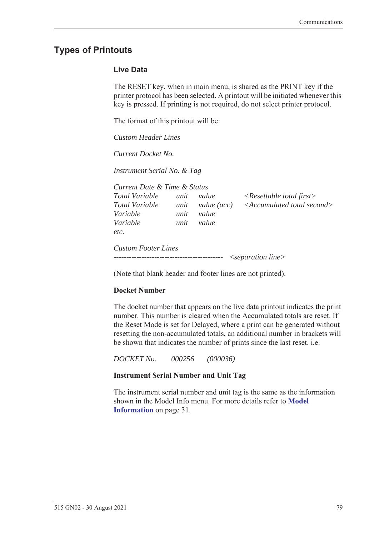# <span id="page-88-1"></span>**Types of Printouts**

#### <span id="page-88-0"></span>**Live Data**

The RESET key, when in main menu, is shared as the PRINT key if the printer protocol has been selected. A printout will be initiated whenever this key is pressed. If printing is not required, do not select printer protocol.

The format of this printout will be:

*Custom Header Lines*

*Current Docket No.* 

*Instrument Serial No. & Tag*

| unit | value | $\langle$ Resettable total first $\rangle$        |
|------|-------|---------------------------------------------------|
|      |       | $\leq$ Accumulated total second $>$               |
| unit | value |                                                   |
| unit | value |                                                   |
|      |       |                                                   |
|      |       | Current Date & Time & Status<br>unit value $(ac)$ |

*Custom Footer Lines ------------------------------------------- <separation line>*

(Note that blank header and footer lines are not printed).

#### **Docket Number**

The docket number that appears on the live data printout indicates the print number. This number is cleared when the Accumulated totals are reset. If the Reset Mode is set for Delayed, where a print can be generated without resetting the non-accumulated totals, an additional number in brackets will be shown that indicates the number of prints since the last reset. i.e.

*DOCKET No. 000256 (000036)*

#### **Instrument Serial Number and Unit Tag**

The instrument serial number and unit tag is the same as the information shown in the Model Info menu. For more details refer to **[Model](#page-40-0)  [Information](#page-40-0)** on page 31.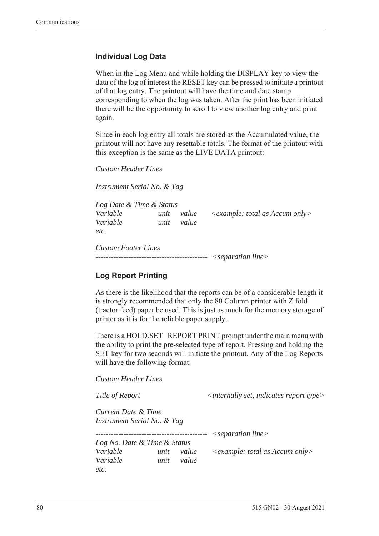#### <span id="page-89-0"></span>**Individual Log Data**

When in the Log Menu and while holding the DISPLAY key to view the data of the log of interest the RESET key can be pressed to initiate a printout of that log entry. The printout will have the time and date stamp corresponding to when the log was taken. After the print has been initiated there will be the opportunity to scroll to view another log entry and print again.

Since in each log entry all totals are stored as the Accumulated value, the printout will not have any resettable totals. The format of the printout with this exception is the same as the LIVE DATA printout:

*Custom Header Lines*

*Instrument Serial No. & Tag*

| Log Date & Time & Status   |      |       |                                     |
|----------------------------|------|-------|-------------------------------------|
| Variable                   | unit | value | $\leq$ example: total as Accum only |
| Variable                   | unit | value |                                     |
| etc.                       |      |       |                                     |
| <b>Custom Footer Lines</b> |      |       |                                     |

*-------------------------------------------- <separation line>*

### <span id="page-89-1"></span>**Log Report Printing**

As there is the likelihood that the reports can be of a considerable length it is strongly recommended that only the 80 Column printer with Z fold (tractor feed) paper be used. This is just as much for the memory storage of printer as it is for the reliable paper supply.

There is a HOLD.SET REPORT PRINT prompt under the main menu with the ability to print the pre-selected type of report. Pressing and holding the SET key for two seconds will initiate the printout. Any of the Log Reports will have the following format:

*Custom Header Lines*

*Title of Report*  $\langle$  *internally set, indicates report type Current Date & Time Instrument Serial No. & Tag -------------------------------------------- <separation line> Log No. Date & Time & Status Variable unit value <example: total as Accum only> Variable unit value etc.*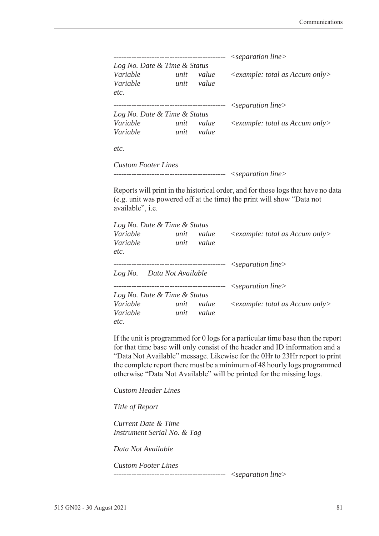|                              |      |       | $\leq$ separation line $>$              |
|------------------------------|------|-------|-----------------------------------------|
| Log No. Date & Time & Status |      |       |                                         |
| Variable                     | unit | value | $\leq$ example: total as Accum only $>$ |
| Variable                     | unit | value |                                         |
| etc.                         |      |       |                                         |
|                              |      |       | $\leq$ separation line $>$              |
| Log No. Date & Time & Status |      |       |                                         |
| Variable                     | unit | value | $\leq$ example: total as Accum only>    |
| Variable                     | unit | value |                                         |
| etc.                         |      |       |                                         |
| <b>Custom Footer Lines</b>   |      |       |                                         |

*-------------------------------------------- <separation line>*

Reports will print in the historical order, and for those logs that have no data (e.g. unit was powered off at the time) the print will show "Data not available", i.e.

| Log No. Date & Time & Status        |      |            |                                      |
|-------------------------------------|------|------------|--------------------------------------|
| Variable                            | unit | value      | $\leq$ example: total as Accum only> |
| Variable                            | unit | value      |                                      |
| etc.                                |      |            |                                      |
|                                     |      |            | $\leq$ separation line $>$           |
| Log No. Data Not Available          |      |            |                                      |
| ----------------------------------- |      | ---------- | $\leq$ separation line $>$           |
| Log No. Date & Time & Status        |      |            |                                      |
| Variable                            | unit | value      | $\leq$ example: total as Accum only> |
| Variable                            | unit | value      |                                      |
| etc.                                |      |            |                                      |

If the unit is programmed for 0 logs for a particular time base then the report for that time base will only consist of the header and ID information and a "Data Not Available" message. Likewise for the 0Hr to 23Hr report to print the complete report there must be a minimum of 48 hourly logs programmed otherwise "Data Not Available" will be printed for the missing logs.

*Custom Header Lines*

*Title of Report*

*Current Date & Time Instrument Serial No. & Tag*

*Data Not Available*

*Custom Footer Lines* 

*-------------------------------------------- <separation line>*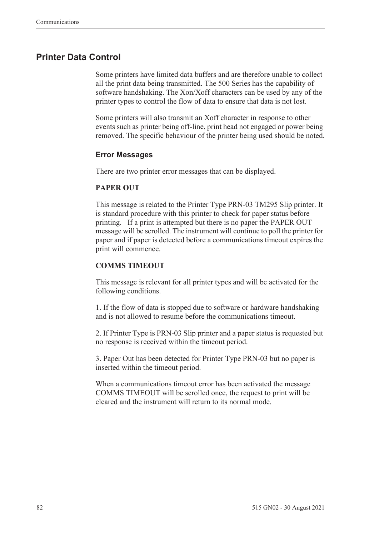# <span id="page-91-0"></span>**Printer Data Control**

Some printers have limited data buffers and are therefore unable to collect all the print data being transmitted. The 500 Series has the capability of software handshaking. The Xon/Xoff characters can be used by any of the printer types to control the flow of data to ensure that data is not lost.

Some printers will also transmit an Xoff character in response to other events such as printer being off-line, print head not engaged or power being removed. The specific behaviour of the printer being used should be noted.

#### <span id="page-91-1"></span>**Error Messages**

There are two printer error messages that can be displayed.

#### **PAPER OUT**

This message is related to the Printer Type PRN-03 TM295 Slip printer. It is standard procedure with this printer to check for paper status before printing. If a print is attempted but there is no paper the PAPER OUT message will be scrolled. The instrument will continue to poll the printer for paper and if paper is detected before a communications timeout expires the print will commence.

#### **COMMS TIMEOUT**

This message is relevant for all printer types and will be activated for the following conditions.

1. If the flow of data is stopped due to software or hardware handshaking and is not allowed to resume before the communications timeout.

2. If Printer Type is PRN-03 Slip printer and a paper status is requested but no response is received within the timeout period.

3. Paper Out has been detected for Printer Type PRN-03 but no paper is inserted within the timeout period.

When a communications timeout error has been activated the message COMMS TIMEOUT will be scrolled once, the request to print will be cleared and the instrument will return to its normal mode.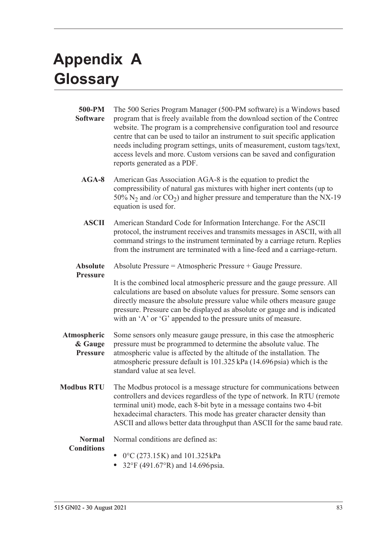# <span id="page-92-1"></span>**Appendix A Glossary**

<span id="page-92-0"></span>

| 500-PM<br><b>Software</b>                 | The 500 Series Program Manager (500-PM software) is a Windows based<br>program that is freely available from the download section of the Contrec<br>website. The program is a comprehensive configuration tool and resource<br>centre that can be used to tailor an instrument to suit specific application<br>needs including program settings, units of measurement, custom tags/text,<br>access levels and more. Custom versions can be saved and configuration<br>reports generated as a PDF. |  |  |  |  |  |  |  |
|-------------------------------------------|---------------------------------------------------------------------------------------------------------------------------------------------------------------------------------------------------------------------------------------------------------------------------------------------------------------------------------------------------------------------------------------------------------------------------------------------------------------------------------------------------|--|--|--|--|--|--|--|
| $AGA-8$                                   | American Gas Association AGA-8 is the equation to predict the<br>compressibility of natural gas mixtures with higher inert contents (up to<br>50% $N_2$ and /or CO <sub>2</sub> ) and higher pressure and temperature than the NX-19<br>equation is used for.                                                                                                                                                                                                                                     |  |  |  |  |  |  |  |
| <b>ASCII</b>                              | American Standard Code for Information Interchange. For the ASCII<br>protocol, the instrument receives and transmits messages in ASCII, with all<br>command strings to the instrument terminated by a carriage return. Replies<br>from the instrument are terminated with a line-feed and a carriage-return.                                                                                                                                                                                      |  |  |  |  |  |  |  |
| <b>Absolute</b>                           | Absolute Pressure = Atmospheric Pressure + Gauge Pressure.                                                                                                                                                                                                                                                                                                                                                                                                                                        |  |  |  |  |  |  |  |
| <b>Pressure</b>                           | It is the combined local atmospheric pressure and the gauge pressure. All<br>calculations are based on absolute values for pressure. Some sensors can<br>directly measure the absolute pressure value while others measure gauge<br>pressure. Pressure can be displayed as absolute or gauge and is indicated<br>with an 'A' or 'G' appended to the pressure units of measure.                                                                                                                    |  |  |  |  |  |  |  |
| Atmospheric<br>& Gauge<br><b>Pressure</b> | Some sensors only measure gauge pressure, in this case the atmospheric<br>pressure must be programmed to determine the absolute value. The<br>atmospheric value is affected by the altitude of the installation. The<br>atmospheric pressure default is 101.325 kPa (14.696 psia) which is the<br>standard value at sea level.                                                                                                                                                                    |  |  |  |  |  |  |  |
| <b>Modbus RTU</b>                         | The Modbus protocol is a message structure for communications between<br>controllers and devices regardless of the type of network. In RTU (remote<br>terminal unit) mode, each 8-bit byte in a message contains two 4-bit<br>hexadecimal characters. This mode has greater character density than<br>ASCII and allows better data throughput than ASCII for the same baud rate.                                                                                                                  |  |  |  |  |  |  |  |
| <b>Normal</b>                             | Normal conditions are defined as:                                                                                                                                                                                                                                                                                                                                                                                                                                                                 |  |  |  |  |  |  |  |
| <b>Conditions</b>                         | $0^{\circ}$ C (273.15K) and 101.325 kPa<br>32°F (491.67°R) and 14.696 psia.                                                                                                                                                                                                                                                                                                                                                                                                                       |  |  |  |  |  |  |  |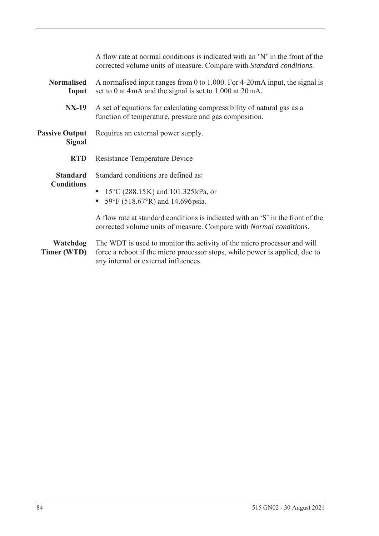|                                                                                                                                                  | A flow rate at normal conditions is indicated with an 'N' in the front of the<br>corrected volume units of measure. Compare with Standard conditions.                                          |  |  |  |  |  |
|--------------------------------------------------------------------------------------------------------------------------------------------------|------------------------------------------------------------------------------------------------------------------------------------------------------------------------------------------------|--|--|--|--|--|
| <b>Normalised</b><br>Input                                                                                                                       | A normalised input ranges from 0 to 1.000. For 4-20 mA input, the signal is<br>set to 0 at 4mA and the signal is set to 1.000 at 20mA.                                                         |  |  |  |  |  |
| A set of equations for calculating compressibility of natural gas as a<br><b>NX-19</b><br>function of temperature, pressure and gas composition. |                                                                                                                                                                                                |  |  |  |  |  |
| <b>Passive Output</b><br><b>Signal</b>                                                                                                           | Requires an external power supply.                                                                                                                                                             |  |  |  |  |  |
| <b>RTD</b>                                                                                                                                       | Resistance Temperature Device                                                                                                                                                                  |  |  |  |  |  |
| <b>Standard</b><br><b>Conditions</b>                                                                                                             | Standard conditions are defined as:                                                                                                                                                            |  |  |  |  |  |
|                                                                                                                                                  | • 15°C (288.15K) and 101.325kPa, or<br>• 59°F (518.67°R) and 14.696 psia.                                                                                                                      |  |  |  |  |  |
|                                                                                                                                                  | A flow rate at standard conditions is indicated with an 'S' in the front of the<br>corrected volume units of measure. Compare with Normal conditions.                                          |  |  |  |  |  |
| Watchdog<br>Timer (WTD)                                                                                                                          | The WDT is used to monitor the activity of the micro processor and will<br>force a reboot if the micro processor stops, while power is applied, due to<br>any internal or external influences. |  |  |  |  |  |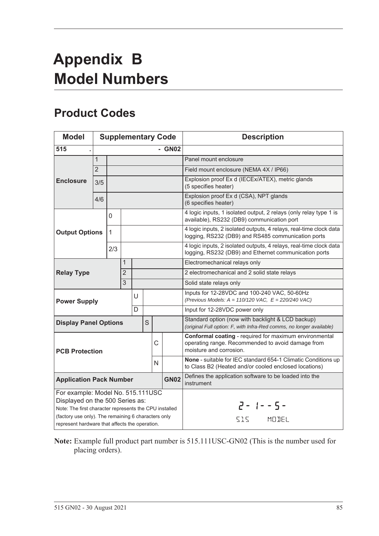# <span id="page-94-1"></span>**Appendix B Model Numbers**

# <span id="page-94-0"></span>**Product Codes**

| <b>Model</b>                                                                                                                                                                          | <b>Supplementary Code</b>        |              |   |   |                                                                                                                                        | <b>Description</b>                           |                                                                          |                                                                                                                             |  |
|---------------------------------------------------------------------------------------------------------------------------------------------------------------------------------------|----------------------------------|--------------|---|---|----------------------------------------------------------------------------------------------------------------------------------------|----------------------------------------------|--------------------------------------------------------------------------|-----------------------------------------------------------------------------------------------------------------------------|--|
| 515                                                                                                                                                                                   |                                  |              |   |   |                                                                                                                                        |                                              | - GN02                                                                   |                                                                                                                             |  |
|                                                                                                                                                                                       | $\mathbf{1}$                     |              |   |   |                                                                                                                                        |                                              |                                                                          | Panel mount enclosure                                                                                                       |  |
|                                                                                                                                                                                       | $\overline{2}$                   |              |   |   |                                                                                                                                        |                                              |                                                                          | Field mount enclosure (NEMA 4X / IP66)                                                                                      |  |
| <b>Enclosure</b>                                                                                                                                                                      | 3/5                              |              |   |   |                                                                                                                                        |                                              | Explosion proof Ex d (IECEx/ATEX), metric glands<br>(5 specifies heater) |                                                                                                                             |  |
|                                                                                                                                                                                       | 4/6                              |              |   |   |                                                                                                                                        |                                              |                                                                          | Explosion proof Ex d (CSA), NPT glands<br>(6 specifies heater)                                                              |  |
|                                                                                                                                                                                       |                                  | 0            |   |   |                                                                                                                                        |                                              |                                                                          | 4 logic inputs, 1 isolated output, 2 relays (only relay type 1 is<br>available), RS232 (DB9) communication port             |  |
| <b>Output Options</b>                                                                                                                                                                 |                                  | $\mathbf{1}$ |   |   |                                                                                                                                        |                                              |                                                                          | 4 logic inputs, 2 isolated outputs, 4 relays, real-time clock data<br>logging, RS232 (DB9) and RS485 communication ports    |  |
|                                                                                                                                                                                       |                                  | 2/3          |   |   |                                                                                                                                        |                                              |                                                                          | 4 logic inputs, 2 isolated outputs, 4 relays, real-time clock data<br>logging, RS232 (DB9) and Ethernet communication ports |  |
|                                                                                                                                                                                       |                                  |              | 1 |   |                                                                                                                                        |                                              |                                                                          | Electromechanical relays only                                                                                               |  |
| <b>Relay Type</b>                                                                                                                                                                     | $\overline{2}$<br>$\overline{3}$ |              |   |   |                                                                                                                                        | 2 electromechanical and 2 solid state relays |                                                                          |                                                                                                                             |  |
|                                                                                                                                                                                       |                                  |              |   |   |                                                                                                                                        |                                              | Solid state relays only                                                  |                                                                                                                             |  |
| <b>Power Supply</b>                                                                                                                                                                   |                                  |              |   | U |                                                                                                                                        |                                              |                                                                          | Inputs for 12-28VDC and 100-240 VAC, 50-60Hz<br>(Previous Models: $A = 110/120$ VAC, $E = 220/240$ VAC)                     |  |
|                                                                                                                                                                                       |                                  |              |   | D |                                                                                                                                        |                                              |                                                                          | Input for 12-28VDC power only                                                                                               |  |
| <b>Display Panel Options</b>                                                                                                                                                          |                                  |              |   |   | S                                                                                                                                      |                                              |                                                                          | Standard option (now with backlight & LCD backup)<br>(original Full option: F, with Infra-Red comms, no longer available)   |  |
| C<br><b>PCB Protection</b>                                                                                                                                                            |                                  |              |   |   | Conformal coating - required for maximum environmental<br>operating range. Recommended to avoid damage from<br>moisture and corrosion. |                                              |                                                                          |                                                                                                                             |  |
| N                                                                                                                                                                                     |                                  |              |   |   | None - suitable for IEC standard 654-1 Climatic Conditions up<br>to Class B2 (Heated and/or cooled enclosed locations)                 |                                              |                                                                          |                                                                                                                             |  |
| <b>GN02</b><br><b>Application Pack Number</b>                                                                                                                                         |                                  |              |   |   |                                                                                                                                        |                                              |                                                                          | Defines the application software to be loaded into the<br>instrument                                                        |  |
| For example: Model No. 515.111USC<br>Displayed on the 500 Series as:<br>Note: The first character represents the CPU installed<br>(factory use only). The remaining 6 characters only |                                  |              |   |   |                                                                                                                                        |                                              |                                                                          | $2 - 1 - 5 -$<br>MODEL<br>515                                                                                               |  |
| represent hardware that affects the operation.                                                                                                                                        |                                  |              |   |   |                                                                                                                                        |                                              |                                                                          |                                                                                                                             |  |

**Note:** Example full product part number is 515.111USC-GN02 (This is the number used for placing orders).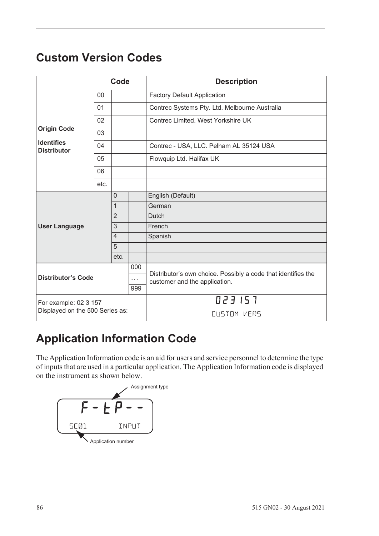# <span id="page-95-1"></span>**Custom Version Codes**

|                                                               | Code |                        |                                                                                                | <b>Description</b>                            |  |  |
|---------------------------------------------------------------|------|------------------------|------------------------------------------------------------------------------------------------|-----------------------------------------------|--|--|
|                                                               | 00   |                        |                                                                                                | <b>Factory Default Application</b>            |  |  |
|                                                               | 01   |                        |                                                                                                | Contrec Systems Pty. Ltd. Melbourne Australia |  |  |
|                                                               | 02   |                        |                                                                                                | Contrec Limited. West Yorkshire UK            |  |  |
| <b>Origin Code</b>                                            | 03   |                        |                                                                                                |                                               |  |  |
| <b>Identifies</b><br><b>Distributor</b>                       | 04   |                        |                                                                                                | Contrec - USA, LLC. Pelham AL 35124 USA       |  |  |
|                                                               | 05   |                        |                                                                                                | Flowquip Ltd. Halifax UK                      |  |  |
|                                                               | 06   |                        |                                                                                                |                                               |  |  |
|                                                               | etc. |                        |                                                                                                |                                               |  |  |
|                                                               |      | English (Default)<br>0 |                                                                                                |                                               |  |  |
|                                                               |      | $\mathbf{1}$           |                                                                                                | German                                        |  |  |
|                                                               |      | $\overline{2}$         |                                                                                                | <b>Dutch</b>                                  |  |  |
| 3<br><b>User Language</b><br>$\overline{4}$<br>$\overline{5}$ |      |                        |                                                                                                | French                                        |  |  |
|                                                               |      |                        |                                                                                                | Spanish                                       |  |  |
|                                                               |      |                        |                                                                                                |                                               |  |  |
|                                                               |      | etc.                   |                                                                                                |                                               |  |  |
|                                                               | 000  |                        |                                                                                                |                                               |  |  |
| <b>Distributor's Code</b><br>$\cdots$<br>999                  |      |                        | Distributor's own choice. Possibly a code that identifies the<br>customer and the application. |                                               |  |  |
|                                                               |      |                        |                                                                                                |                                               |  |  |
| For example: 02 3 157                                         |      |                        |                                                                                                | 023157                                        |  |  |
| Displayed on the 500 Series as:                               |      |                        | CUSTOM VERS                                                                                    |                                               |  |  |

# **Application Information Code**

The Application Information code is an aid for users and service personnel to determine the type of inputs that are used in a particular application. The Application Information code is displayed on the instrument as shown below.

<span id="page-95-0"></span>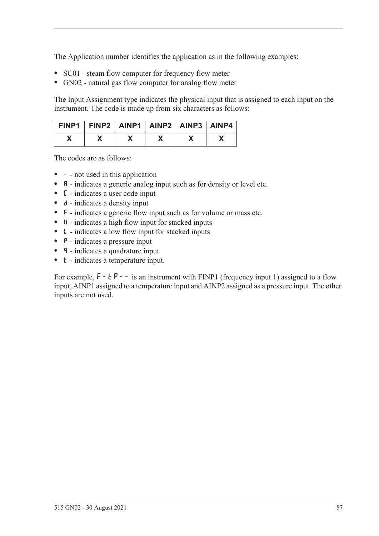The Application number identifies the application as in the following examples:

- **•** SC01 steam flow computer for frequency flow meter
- **•** GN02 natural gas flow computer for analog flow meter

The Input Assignment type indicates the physical input that is assigned to each input on the instrument. The code is made up from six characters as follows:

| FINP1   FINP2   AINP1   AINP2   AINP3   AINP4 |  |  |  |
|-----------------------------------------------|--|--|--|
|                                               |  |  |  |

The codes are as follows:

- - not used in this application
- **A** indicates a generic analog input such as for density or level etc.
- **•** C indicates a user code input
- d indicates a density input
- **•** F indicates a generic flow input such as for volume or mass etc.
- H indicates a high flow input for stacked inputs
- **•** L indicates a low flow input for stacked inputs
- **•** P indicates a pressure input
- **q** indicates a quadrature input
- *k* indicates a temperature input.

For example,  $F - F - i$  is an instrument with FINP1 (frequency input 1) assigned to a flow input, AINP1 assigned to a temperature input and AINP2 assigned as a pressure input. The other inputs are not used.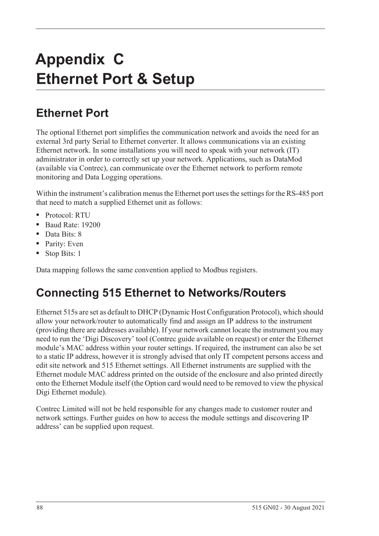# <span id="page-97-0"></span>**Appendix C Ethernet Port & Setup**

# **Ethernet Port**

The optional Ethernet port simplifies the communication network and avoids the need for an external 3rd party Serial to Ethernet converter. It allows communications via an existing Ethernet network. In some installations you will need to speak with your network (IT) administrator in order to correctly set up your network. Applications, such as DataMod (available via Contrec), can communicate over the Ethernet network to perform remote monitoring and Data Logging operations.

Within the instrument's calibration menus the Ethernet port uses the settings for the RS-485 port that need to match a supplied Ethernet unit as follows:

- **•** Protocol: RTU
- **•** Baud Rate: 19200
- **•** Data Bits: 8
- **•** Parity: Even
- **•** Stop Bits: 1

Data mapping follows the same convention applied to Modbus registers.

# **Connecting 515 Ethernet to Networks/Routers**

Ethernet 515s are set as default to DHCP (Dynamic Host Configuration Protocol), which should allow your network/router to automatically find and assign an IP address to the instrument (providing there are addresses available). If your network cannot locate the instrument you may need to run the 'Digi Discovery' tool (Contrec guide available on request) or enter the Ethernet module's MAC address within your router settings. If required, the instrument can also be set to a static IP address, however it is strongly advised that only IT competent persons access and edit site network and 515 Ethernet settings. All Ethernet instruments are supplied with the Ethernet module MAC address printed on the outside of the enclosure and also printed directly onto the Ethernet Module itself (the Option card would need to be removed to view the physical Digi Ethernet module).

Contrec Limited will not be held responsible for any changes made to customer router and network settings. Further guides on how to access the module settings and discovering IP address' can be supplied upon request.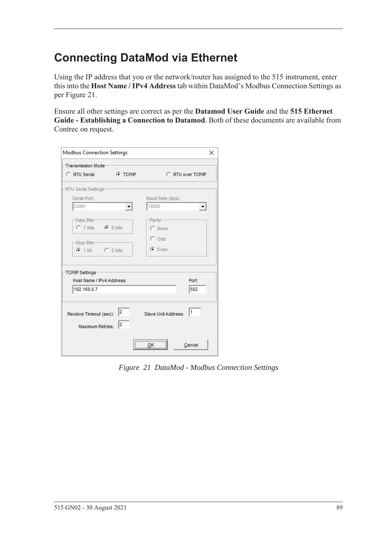# **Connecting DataMod via Ethernet**

Using the IP address that you or the network/router has assigned to the 515 instrument, enter this into the **Host Name / IPv4 Address** tab within DataMod's Modbus Connection Settings as per [Figure 21.](#page-98-0)

Ensure all other settings are correct as per the **Datamod User Guide** and the **515 Ethernet Guide - Establishing a Connection to Datamod**. Both of these documents are available from Contrec on request.

| Transmission Mode-                                   |                 |                     |                      |
|------------------------------------------------------|-----------------|---------------------|----------------------|
| C RTU Serial                                         | <b>C</b> TCP/IP | C RTU over TCP/IP   |                      |
| -RTU Serial Settings-                                |                 |                     |                      |
| Serial Port:                                         |                 | Baud Rate (bps):    |                      |
| COM1                                                 |                 | 19200               | $\blacktriangledown$ |
| -Data Bits-                                          |                 | -Parity-            |                      |
| C 7 bits C 8 bits                                    |                 | C None              |                      |
|                                                      |                 | $C$ Odd             |                      |
| -Stop Bits-                                          |                 | $G$ Even            |                      |
| $C$ 1 bit $C$ 2 bits                                 |                 |                     |                      |
| TCP/IP Settings                                      |                 |                     |                      |
| Host Name / IPv4 Address:                            |                 |                     | Port:                |
| 192.168.0.7                                          |                 |                     | 502                  |
| Receive Timeout (sec): $\vert^2$<br>Maximum Retries: | 2               | Slave Unit Address: | 11                   |
|                                                      |                 | ,                   | Cancel               |

<span id="page-98-0"></span>*Figure 21 DataMod - Modbus Connection Settings*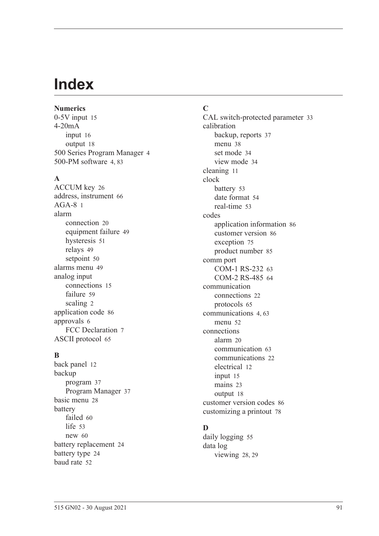# **Index**

**Numerics** 0-5V inpu[t 15](#page-24-0) 4-20mA input [16](#page-25-0) output [18](#page-27-0) 500 Series Program Manage[r 4](#page-13-0) 500-PM software [4,](#page-13-0) [83](#page-92-0)

#### **A**

ACCUM ke[y 26](#page-35-0) address, instrumen[t 66](#page-75-0) AGA-[8 1](#page-10-0) alarm connection [20](#page-29-0) equipment failur[e 49](#page-58-0) hysteresi[s 51](#page-60-0) relays [49](#page-58-1) setpoin[t 50](#page-59-0) alarms menu [49](#page-58-2) analog input connection[s 15](#page-24-1) failur[e 59](#page-68-0) scalin[g 2](#page-11-0) application cod[e 86](#page-95-0) approvals [6](#page-15-0) FCC Declaration [7](#page-16-0) ASCII protoco[l 65](#page-74-0)

### **B**

back panel [12](#page-21-0) backup program [37](#page-46-0) Program Manage[r 37](#page-46-1) basic men[u 28](#page-37-0) battery faile[d 60](#page-69-0) lif[e 53](#page-62-1) ne[w 60](#page-69-0) battery replacemen[t 24](#page-33-0) battery typ[e 24](#page-33-1) baud rat[e 52](#page-61-1)

# **C**

CAL switch-protected parameter [33](#page-42-0) calibration backup, reports [37](#page-46-0) menu [38](#page-47-0) set mode [34](#page-43-0) view mode [34](#page-43-1) cleaning [11](#page-20-0) clock batter[y 53](#page-62-1) date format [54](#page-63-0) real-tim[e 53](#page-62-2) codes application information [86](#page-95-0) customer versio[n 86](#page-95-1) exception [75](#page-84-1) product numbe[r 85](#page-94-0) comm port COM-1 RS-232 [63](#page-72-1) COM-2 RS-485 [64](#page-73-1) communication connection[s 22](#page-31-0) protocols [65](#page-74-1) communication[s 4,](#page-13-1) [63](#page-72-2) menu [52](#page-61-2) connections alar[m 20](#page-29-0) communication [63](#page-72-3) communication[s 22](#page-31-0) electrical [12](#page-21-1) input [15](#page-24-2) mains [23](#page-32-0) output [18](#page-27-1) customer version codes [86](#page-95-1) customizing a printout [78](#page-87-1)

# **D**

daily logging [55](#page-64-0) data log viewing [28,](#page-37-1) [29](#page-38-0)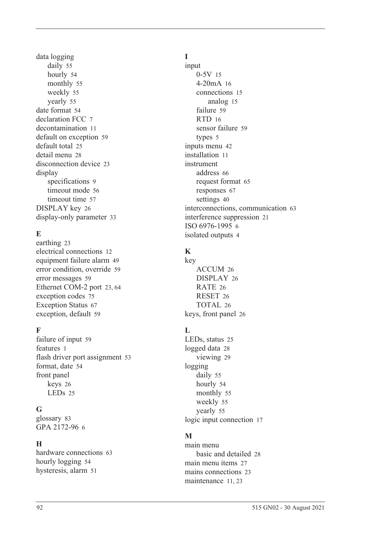data logging daily [55](#page-64-0) hourl[y 54](#page-63-1) monthly [55](#page-64-1) weekl[y 55](#page-64-2) yearly [55](#page-64-3) date format [54](#page-63-0) declaration FCC [7](#page-16-0) decontamination [11](#page-20-0) default on exception [59](#page-68-1) default tota[l 25](#page-34-0) detail men[u 28](#page-37-0) disconnection device [23](#page-32-1) display specifications [9](#page-18-0) timeout mod[e 56](#page-65-0) timeout time [57](#page-66-0) DISPLAY key [26](#page-35-1) display-only parameter [33](#page-42-1)

# **E**

earthin[g 23](#page-32-2) electrical connections [12](#page-21-1) equipment failure alarm [49](#page-58-0) error condition, overrid[e 59](#page-68-2) error message[s 59](#page-68-3) Ethernet COM-2 por[t 23,](#page-32-3) [64](#page-73-2) exception codes [75](#page-84-1) Exception Status [67](#page-76-0) exception, default [59](#page-68-1)

### **F**

failure of input [59](#page-68-0) features [1](#page-10-1) flash driver port assignmen[t 53](#page-62-3) format, date [54](#page-63-0) front panel keys [26](#page-35-2) LEDs [25](#page-34-1)

### **G**

glossary [83](#page-92-1) GPA 2172-96 [6](#page-15-1)

### **H**

hardware connections [63](#page-72-3) hourly logging [54](#page-63-1) hysteresis, alar[m 51](#page-60-0)

# **I**

input 0-5[V 15](#page-24-0) 4-20mA [16](#page-25-0) connections [15](#page-24-2) analog [15](#page-24-1) failure [59](#page-68-0) RTD [16](#page-25-1) sensor failure [59](#page-68-0) types [5](#page-14-0) inputs menu [42](#page-51-0) installation [11](#page-20-1) instrument address [66](#page-75-0) request forma[t 65](#page-74-2) response[s 67](#page-76-1) setting[s 40](#page-49-1) interconnections, communication [63](#page-72-3) interference suppression [21](#page-30-0) ISO 6976-1995 [6](#page-15-2) isolated output[s 4](#page-13-2)

# **K**

key ACCUM [26](#page-35-0) DISPLA[Y 26](#page-35-1) RATE [26](#page-35-3) RESE[T 26](#page-35-4) TOTAL [26](#page-35-5) keys, front panel [26](#page-35-2)

# **L**

LEDs, status [25](#page-34-1) logged dat[a 28](#page-37-1) viewin[g 29](#page-38-0) logging daily [55](#page-64-0) hourly [54](#page-63-1) monthly [55](#page-64-1) weekl[y 55](#page-64-2) yearly [55](#page-64-3) logic input connection [17](#page-26-0)

# **M**

main menu basic and detailed [28](#page-37-0) main menu item[s 27](#page-36-0) mains connections [23](#page-32-0) maintenanc[e 11,](#page-20-1) [23](#page-32-4)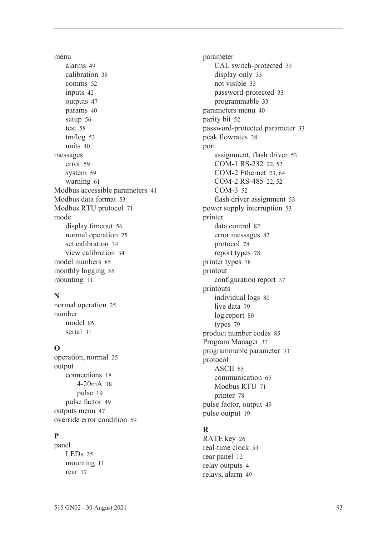menu alarm[s 49](#page-58-2) calibratio[n 38](#page-47-0) comms [52](#page-61-2) input[s 42](#page-51-0) output[s 47](#page-56-0) params [40](#page-49-2) setu[p 56](#page-65-1) test [58](#page-67-0) tm/lo[g 53](#page-62-4) unit[s 40](#page-49-3) messages erro[r 59](#page-68-3) syste[m 59](#page-68-4) warnin[g 61](#page-70-0) Modbus accessible parameters [41](#page-50-0) Modbus data forma[t 53](#page-62-5) Modbus RTU protoco[l 71](#page-80-0) mode display timeou[t 56](#page-65-0) normal operatio[n 25](#page-34-2) set calibration [34](#page-43-0) view calibration [34](#page-43-1) model number[s 85](#page-94-1) monthly logging [55](#page-64-1) mountin[g 11](#page-20-2)

### **N**

normal operatio[n 25](#page-34-2) number mode[l 85](#page-94-1) seria[l 31](#page-40-1)

# **O**

operation, norma[l 25](#page-34-2) output connection[s 18](#page-27-1) 4-20m[A 18](#page-27-0) puls[e 19](#page-28-0) pulse facto[r 49](#page-58-3) outputs men[u 47](#page-56-0) override error condition [59](#page-68-2)

# **P**

panel LED[s 25](#page-34-1) mountin[g 11](#page-20-2) rear [12](#page-21-0)

parameter CAL switch-protected [33](#page-42-0) display-only [33](#page-42-1) not visibl[e 33](#page-42-2) password-protected [33](#page-42-3) programmable [33](#page-42-4) parameters men[u 40](#page-49-2) parity bit [52](#page-61-3) password-protected parameter [33](#page-42-3) peak flowrate[s 28](#page-37-2) port assignment, flash driver [53](#page-62-3) COM-1 RS-232 [22,](#page-31-1) [52](#page-61-4) COM-2 Ethernet [23,](#page-32-3) [64](#page-73-2) COM-2 RS-485 [22,](#page-31-2) [52](#page-61-5) COM-[3 52](#page-61-6) flash driver assignment [53](#page-62-3) power supply interruption [53](#page-62-1) printer data control [82](#page-91-0) error messages [82](#page-91-1) protocol [78](#page-87-2) report types [78](#page-87-3) printer type[s 78](#page-87-4) printout configuration repor[t 37](#page-46-2) printouts individual logs [80](#page-89-0) live data [79](#page-88-0) log report [80](#page-89-1) type[s 79](#page-88-1) product number codes [85](#page-94-0) Program Manager [37](#page-46-1) programmable parameter [33](#page-42-4) protocol ASCI[I 65](#page-74-0) communication [65](#page-74-1) Modbus RT[U 71](#page-80-0) printer [78](#page-87-2) pulse factor, output [49](#page-58-3) pulse output [19](#page-28-0)

# **R**

RATE key [26](#page-35-3) real-time cloc[k 53](#page-62-2) rear panel [12](#page-21-0) relay output[s 4](#page-13-3) relays, alarm [49](#page-58-1)